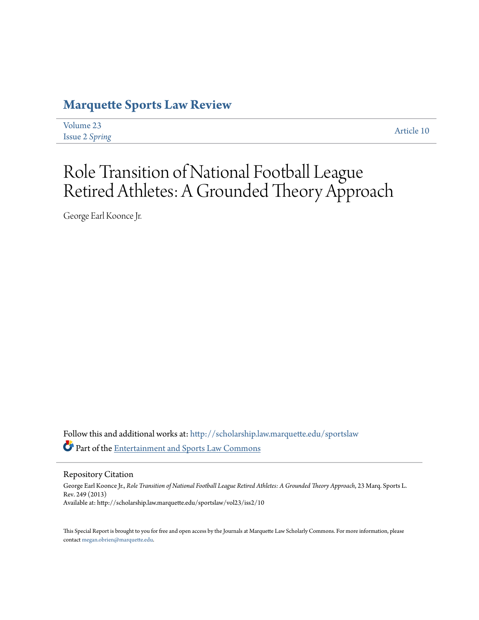## **[Marquette Sports Law Review](http://scholarship.law.marquette.edu/sportslaw?utm_source=scholarship.law.marquette.edu%2Fsportslaw%2Fvol23%2Fiss2%2F10&utm_medium=PDF&utm_campaign=PDFCoverPages)**

| Volume 23             |
|-----------------------|
| <b>Issue 2 Spring</b> |

[Article 10](http://scholarship.law.marquette.edu/sportslaw/vol23/iss2/10?utm_source=scholarship.law.marquette.edu%2Fsportslaw%2Fvol23%2Fiss2%2F10&utm_medium=PDF&utm_campaign=PDFCoverPages)

# Role Transition of National Football League Retired Athletes: A Grounded Theory Approach

George Earl Koonce Jr.

Follow this and additional works at: [http://scholarship.law.marquette.edu/sportslaw](http://scholarship.law.marquette.edu/sportslaw?utm_source=scholarship.law.marquette.edu%2Fsportslaw%2Fvol23%2Fiss2%2F10&utm_medium=PDF&utm_campaign=PDFCoverPages) Part of the [Entertainment and Sports Law Commons](http://network.bepress.com/hgg/discipline/893?utm_source=scholarship.law.marquette.edu%2Fsportslaw%2Fvol23%2Fiss2%2F10&utm_medium=PDF&utm_campaign=PDFCoverPages)

Repository Citation

George Earl Koonce Jr., *Role Transition of National Football League Retired Athletes: A Grounded Theory Approach*, 23 Marq. Sports L. Rev. 249 (2013) Available at: http://scholarship.law.marquette.edu/sportslaw/vol23/iss2/10

This Special Report is brought to you for free and open access by the Journals at Marquette Law Scholarly Commons. For more information, please contact [megan.obrien@marquette.edu.](mailto:megan.obrien@marquette.edu)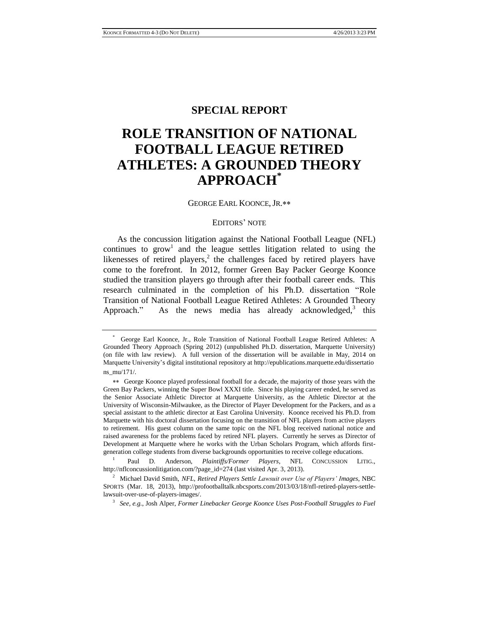### **SPECIAL REPORT**

# **ROLE TRANSITION OF NATIONAL FOOTBALL LEAGUE RETIRED ATHLETES: A GROUNDED THEORY APPROACH\***

GEORGE EARL KOONCE, JR.\*\*

#### EDITORS' NOTE

As the concussion litigation against the National Football League (NFL) continues to  $\text{grow}^1$  and the league settles litigation related to using the likenesses of retired players, $<sup>2</sup>$  the challenges faced by retired players have</sup> come to the forefront. In 2012, former Green Bay Packer George Koonce studied the transition players go through after their football career ends. This research culminated in the completion of his Ph.D. dissertation "Role Transition of National Football League Retired Athletes: A Grounded Theory Approach." As the news media has already acknowledged, $3$  this

<sup>\*</sup> George Earl Koonce, Jr., Role Transition of National Football League Retired Athletes: A Grounded Theory Approach (Spring 2012) (unpublished Ph.D. dissertation, Marquette University) (on file with law review). A full version of the dissertation will be available in May, 2014 on Marquette University's digital institutional repository at http://epublications.marquette.edu/dissertatio ns\_mu/171/.

George Koonce played professional football for a decade, the majority of those years with the Green Bay Packers, winning the Super Bowl XXXI title. Since his playing career ended, he served as the Senior Associate Athletic Director at Marquette University, as the Athletic Director at the University of Wisconsin-Milwaukee, as the Director of Player Development for the Packers, and as a special assistant to the athletic director at East Carolina University. Koonce received his Ph.D. from Marquette with his doctoral dissertation focusing on the transition of NFL players from active players to retirement. His guest column on the same topic on the NFL blog received national notice and raised awareness for the problems faced by retired NFL players. Currently he serves as Director of Development at Marquette where he works with the Urban Scholars Program, which affords firstgeneration college students from diverse backgrounds opportunities to receive college educations.

<sup>1</sup> Paul D. Anderson, *Plaintiffs/Former Players*, NFL CONCUSSION LITIG., http://nflconcussionlitigation.com/?page\_id=274 (last visited Apr. 3, 2013).

<sup>2</sup> Michael David Smith, *NFL, Retired Players Settle Lawsuit over Use of Players' Images*, NBC SPORTS (Mar. 18, 2013), http://profootballtalk.nbcsports.com/2013/03/18/nfl-retired-players-settlelawsuit-over-use-of-players-images/.

<sup>3</sup> *See, e.g.*, Josh Alper, *Former Linebacker George Koonce Uses Post-Football Struggles to Fuel*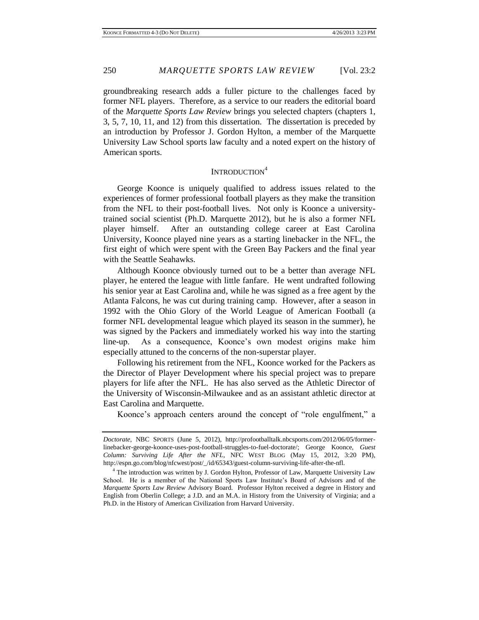groundbreaking research adds a fuller picture to the challenges faced by former NFL players. Therefore, as a service to our readers the editorial board of the *Marquette Sports Law Review* brings you selected chapters (chapters 1, 3, 5, 7, 10, 11, and 12) from this dissertation. The dissertation is preceded by an introduction by Professor J. Gordon Hylton, a member of the Marquette University Law School sports law faculty and a noted expert on the history of American sports.

## INTRODUCTION<sup>4</sup>

George Koonce is uniquely qualified to address issues related to the experiences of former professional football players as they make the transition from the NFL to their post-football lives. Not only is Koonce a universitytrained social scientist (Ph.D. Marquette 2012), but he is also a former NFL player himself. After an outstanding college career at East Carolina University, Koonce played nine years as a starting linebacker in the NFL, the first eight of which were spent with the Green Bay Packers and the final year with the Seattle Seahawks.

Although Koonce obviously turned out to be a better than average NFL player, he entered the league with little fanfare. He went undrafted following his senior year at East Carolina and, while he was signed as a free agent by the Atlanta Falcons, he was cut during training camp. However, after a season in 1992 with the Ohio Glory of the World League of American Football (a former NFL developmental league which played its season in the summer), he was signed by the Packers and immediately worked his way into the starting line-up. As a consequence, Koonce's own modest origins make him especially attuned to the concerns of the non-superstar player.

Following his retirement from the NFL, Koonce worked for the Packers as the Director of Player Development where his special project was to prepare players for life after the NFL. He has also served as the Athletic Director of the University of Wisconsin-Milwaukee and as an assistant athletic director at East Carolina and Marquette.

Koonce's approach centers around the concept of "role engulfment," a

*Doctorate*, NBC SPORTS (June 5, 2012), http://profootballtalk.nbcsports.com/2012/06/05/formerlinebacker-george-koonce-uses-post-football-struggles-to-fuel-doctorate/; George Koonce, *Guest Column: Surviving Life After the NFL*, NFC WEST BLOG (May 15, 2012, 3:20 PM), http://espn.go.com/blog/nfcwest/post/\_/id/65343/guest-column-surviving-life-after-the-nfl.

<sup>&</sup>lt;sup>4</sup> The introduction was written by J. Gordon Hylton, Professor of Law, Marquette University Law School. He is a member of the National Sports Law Institute's Board of Advisors and of the *Marquette Sports Law Review* Advisory Board. Professor Hylton received a degree in History and English from Oberlin College; a J.D. and an M.A. in History from the University of Virginia; and a Ph.D. in the History of American Civilization from Harvard University.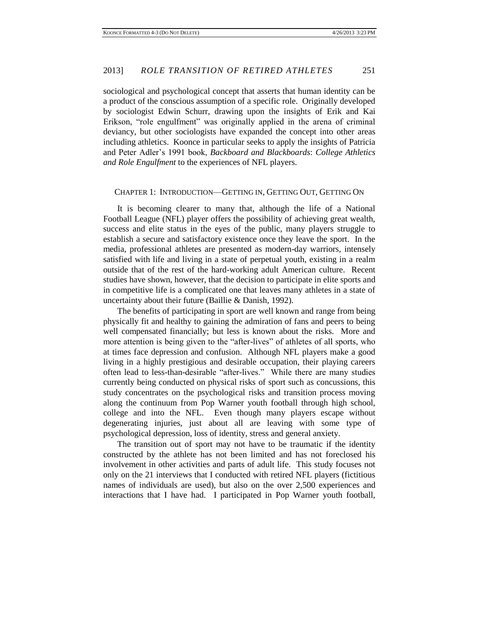sociological and psychological concept that asserts that human identity can be a product of the conscious assumption of a specific role. Originally developed by sociologist Edwin Schurr, drawing upon the insights of Erik and Kai Erikson, "role engulfment" was originally applied in the arena of criminal deviancy, but other sociologists have expanded the concept into other areas including athletics. Koonce in particular seeks to apply the insights of Patricia and Peter Adler's 1991 book, *Backboard and Blackboards*: *College Athletics and Role Engulfment* to the experiences of NFL players.

#### CHAPTER 1: INTRODUCTION—GETTING IN, GETTING OUT, GETTING ON

It is becoming clearer to many that, although the life of a National Football League (NFL) player offers the possibility of achieving great wealth, success and elite status in the eyes of the public, many players struggle to establish a secure and satisfactory existence once they leave the sport. In the media, professional athletes are presented as modern-day warriors, intensely satisfied with life and living in a state of perpetual youth, existing in a realm outside that of the rest of the hard-working adult American culture. Recent studies have shown, however, that the decision to participate in elite sports and in competitive life is a complicated one that leaves many athletes in a state of uncertainty about their future (Baillie & Danish, 1992).

The benefits of participating in sport are well known and range from being physically fit and healthy to gaining the admiration of fans and peers to being well compensated financially; but less is known about the risks. More and more attention is being given to the "after-lives" of athletes of all sports, who at times face depression and confusion. Although NFL players make a good living in a highly prestigious and desirable occupation, their playing careers often lead to less-than-desirable "after-lives." While there are many studies currently being conducted on physical risks of sport such as concussions, this study concentrates on the psychological risks and transition process moving along the continuum from Pop Warner youth football through high school, college and into the NFL. Even though many players escape without degenerating injuries, just about all are leaving with some type of psychological depression, loss of identity, stress and general anxiety.

The transition out of sport may not have to be traumatic if the identity constructed by the athlete has not been limited and has not foreclosed his involvement in other activities and parts of adult life. This study focuses not only on the 21 interviews that I conducted with retired NFL players (fictitious names of individuals are used), but also on the over 2,500 experiences and interactions that I have had. I participated in Pop Warner youth football,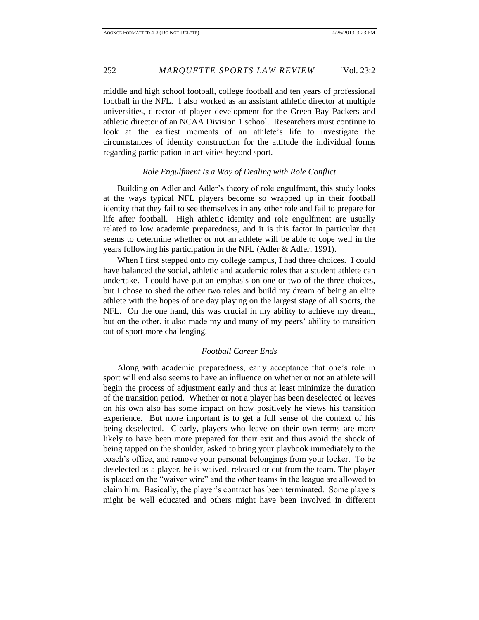middle and high school football, college football and ten years of professional football in the NFL. I also worked as an assistant athletic director at multiple universities, director of player development for the Green Bay Packers and athletic director of an NCAA Division 1 school. Researchers must continue to look at the earliest moments of an athlete's life to investigate the circumstances of identity construction for the attitude the individual forms regarding participation in activities beyond sport.

#### *Role Engulfment Is a Way of Dealing with Role Conflict*

Building on Adler and Adler's theory of role engulfment, this study looks at the ways typical NFL players become so wrapped up in their football identity that they fail to see themselves in any other role and fail to prepare for life after football. High athletic identity and role engulfment are usually related to low academic preparedness, and it is this factor in particular that seems to determine whether or not an athlete will be able to cope well in the years following his participation in the NFL (Adler & Adler, 1991).

When I first stepped onto my college campus, I had three choices. I could have balanced the social, athletic and academic roles that a student athlete can undertake. I could have put an emphasis on one or two of the three choices, but I chose to shed the other two roles and build my dream of being an elite athlete with the hopes of one day playing on the largest stage of all sports, the NFL. On the one hand, this was crucial in my ability to achieve my dream, but on the other, it also made my and many of my peers' ability to transition out of sport more challenging.

#### *Football Career Ends*

Along with academic preparedness, early acceptance that one's role in sport will end also seems to have an influence on whether or not an athlete will begin the process of adjustment early and thus at least minimize the duration of the transition period. Whether or not a player has been deselected or leaves on his own also has some impact on how positively he views his transition experience. But more important is to get a full sense of the context of his being deselected. Clearly, players who leave on their own terms are more likely to have been more prepared for their exit and thus avoid the shock of being tapped on the shoulder, asked to bring your playbook immediately to the coach's office, and remove your personal belongings from your locker. To be deselected as a player, he is waived, released or cut from the team. The player is placed on the "waiver wire" and the other teams in the league are allowed to claim him. Basically, the player's contract has been terminated. Some players might be well educated and others might have been involved in different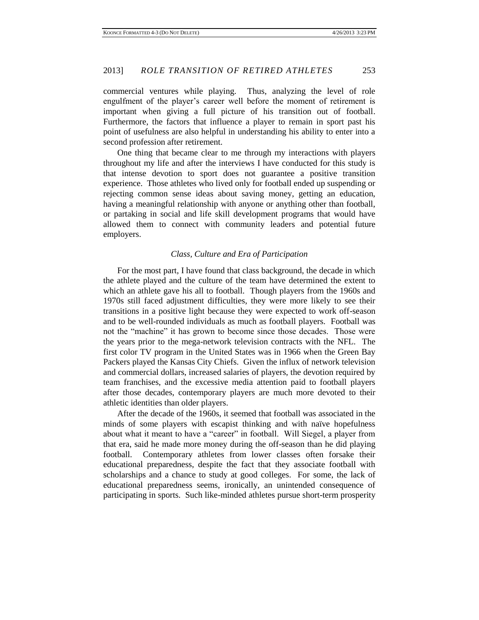commercial ventures while playing. Thus, analyzing the level of role engulfment of the player's career well before the moment of retirement is important when giving a full picture of his transition out of football. Furthermore, the factors that influence a player to remain in sport past his point of usefulness are also helpful in understanding his ability to enter into a second profession after retirement.

One thing that became clear to me through my interactions with players throughout my life and after the interviews I have conducted for this study is that intense devotion to sport does not guarantee a positive transition experience. Those athletes who lived only for football ended up suspending or rejecting common sense ideas about saving money, getting an education, having a meaningful relationship with anyone or anything other than football, or partaking in social and life skill development programs that would have allowed them to connect with community leaders and potential future employers.

#### *Class, Culture and Era of Participation*

For the most part, I have found that class background, the decade in which the athlete played and the culture of the team have determined the extent to which an athlete gave his all to football. Though players from the 1960s and 1970s still faced adjustment difficulties, they were more likely to see their transitions in a positive light because they were expected to work off-season and to be well-rounded individuals as much as football players. Football was not the "machine" it has grown to become since those decades. Those were the years prior to the mega-network television contracts with the NFL. The first color TV program in the United States was in 1966 when the Green Bay Packers played the Kansas City Chiefs. Given the influx of network television and commercial dollars, increased salaries of players, the devotion required by team franchises, and the excessive media attention paid to football players after those decades, contemporary players are much more devoted to their athletic identities than older players.

After the decade of the 1960s, it seemed that football was associated in the minds of some players with escapist thinking and with naïve hopefulness about what it meant to have a "career" in football. Will Siegel, a player from that era, said he made more money during the off-season than he did playing football. Contemporary athletes from lower classes often forsake their educational preparedness, despite the fact that they associate football with scholarships and a chance to study at good colleges. For some, the lack of educational preparedness seems, ironically, an unintended consequence of participating in sports. Such like-minded athletes pursue short-term prosperity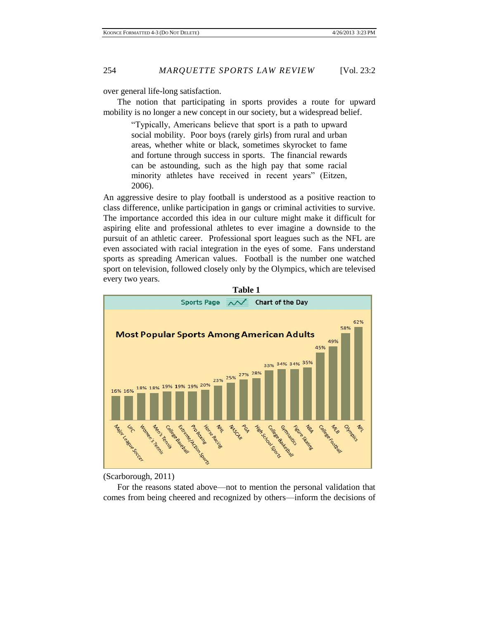over general life-long satisfaction.

The notion that participating in sports provides a route for upward mobility is no longer a new concept in our society, but a widespread belief.

> "Typically, Americans believe that sport is a path to upward social mobility. Poor boys (rarely girls) from rural and urban areas, whether white or black, sometimes skyrocket to fame and fortune through success in sports. The financial rewards can be astounding, such as the high pay that some racial minority athletes have received in recent years" (Eitzen, 2006).

An aggressive desire to play football is understood as a positive reaction to class difference, unlike participation in gangs or criminal activities to survive. The importance accorded this idea in our culture might make it difficult for aspiring elite and professional athletes to ever imagine a downside to the pursuit of an athletic career. Professional sport leagues such as the NFL are even associated with racial integration in the eyes of some. Fans understand sports as spreading American values. Football is the number one watched sport on television, followed closely only by the Olympics, which are televised every two years.



<sup>(</sup>Scarborough, 2011)

For the reasons stated above—not to mention the personal validation that comes from being cheered and recognized by others—inform the decisions of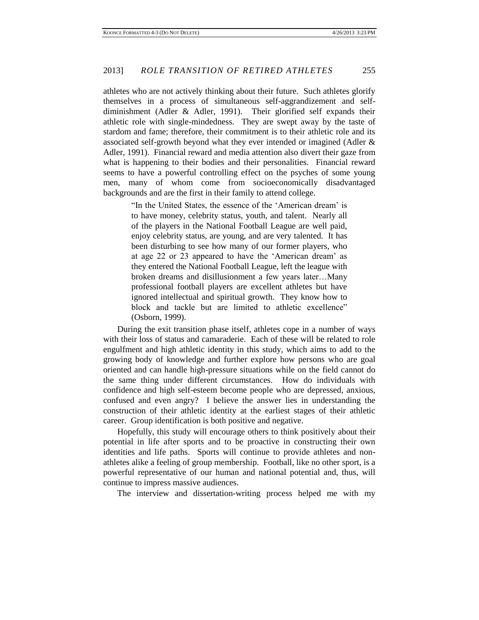athletes who are not actively thinking about their future. Such athletes glorify themselves in a process of simultaneous self-aggrandizement and selfdiminishment (Adler & Adler, 1991). Their glorified self expands their athletic role with single-mindedness. They are swept away by the taste of stardom and fame; therefore, their commitment is to their athletic role and its associated self-growth beyond what they ever intended or imagined (Adler & Adler, 1991). Financial reward and media attention also divert their gaze from what is happening to their bodies and their personalities. Financial reward seems to have a powerful controlling effect on the psyches of some young men, many of whom come from socioeconomically disadvantaged backgrounds and are the first in their family to attend college.

> "In the United States, the essence of the 'American dream' is to have money, celebrity status, youth, and talent. Nearly all of the players in the National Football League are well paid, enjoy celebrity status, are young, and are very talented. It has been disturbing to see how many of our former players, who at age 22 or 23 appeared to have the 'American dream' as they entered the National Football League, left the league with broken dreams and disillusionment a few years later…Many professional football players are excellent athletes but have ignored intellectual and spiritual growth. They know how to block and tackle but are limited to athletic excellence" (Osborn, 1999).

During the exit transition phase itself, athletes cope in a number of ways with their loss of status and camaraderie. Each of these will be related to role engulfment and high athletic identity in this study, which aims to add to the growing body of knowledge and further explore how persons who are goal oriented and can handle high-pressure situations while on the field cannot do the same thing under different circumstances. How do individuals with confidence and high self-esteem become people who are depressed, anxious, confused and even angry? I believe the answer lies in understanding the construction of their athletic identity at the earliest stages of their athletic career. Group identification is both positive and negative.

Hopefully, this study will encourage others to think positively about their potential in life after sports and to be proactive in constructing their own identities and life paths. Sports will continue to provide athletes and nonathletes alike a feeling of group membership. Football, like no other sport, is a powerful representative of our human and national potential and, thus, will continue to impress massive audiences.

The interview and dissertation-writing process helped me with my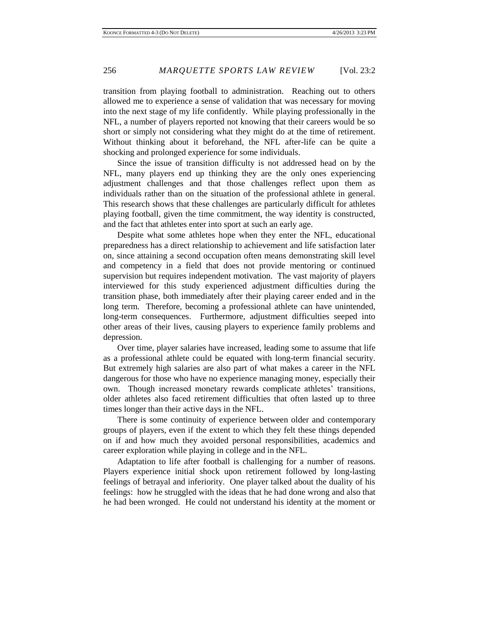transition from playing football to administration. Reaching out to others allowed me to experience a sense of validation that was necessary for moving into the next stage of my life confidently. While playing professionally in the NFL, a number of players reported not knowing that their careers would be so short or simply not considering what they might do at the time of retirement. Without thinking about it beforehand, the NFL after-life can be quite a shocking and prolonged experience for some individuals.

Since the issue of transition difficulty is not addressed head on by the NFL, many players end up thinking they are the only ones experiencing adjustment challenges and that those challenges reflect upon them as individuals rather than on the situation of the professional athlete in general. This research shows that these challenges are particularly difficult for athletes playing football, given the time commitment, the way identity is constructed, and the fact that athletes enter into sport at such an early age.

Despite what some athletes hope when they enter the NFL, educational preparedness has a direct relationship to achievement and life satisfaction later on, since attaining a second occupation often means demonstrating skill level and competency in a field that does not provide mentoring or continued supervision but requires independent motivation. The vast majority of players interviewed for this study experienced adjustment difficulties during the transition phase, both immediately after their playing career ended and in the long term. Therefore, becoming a professional athlete can have unintended, long-term consequences. Furthermore, adjustment difficulties seeped into other areas of their lives, causing players to experience family problems and depression.

Over time, player salaries have increased, leading some to assume that life as a professional athlete could be equated with long-term financial security. But extremely high salaries are also part of what makes a career in the NFL dangerous for those who have no experience managing money, especially their own. Though increased monetary rewards complicate athletes' transitions, older athletes also faced retirement difficulties that often lasted up to three times longer than their active days in the NFL.

There is some continuity of experience between older and contemporary groups of players, even if the extent to which they felt these things depended on if and how much they avoided personal responsibilities, academics and career exploration while playing in college and in the NFL.

Adaptation to life after football is challenging for a number of reasons. Players experience initial shock upon retirement followed by long-lasting feelings of betrayal and inferiority. One player talked about the duality of his feelings: how he struggled with the ideas that he had done wrong and also that he had been wronged. He could not understand his identity at the moment or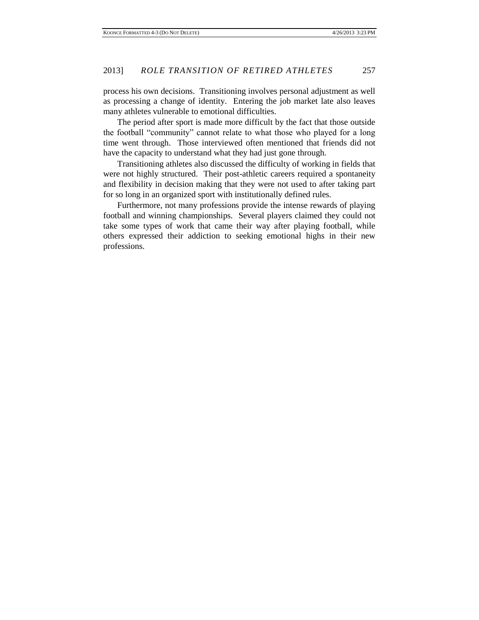process his own decisions. Transitioning involves personal adjustment as well as processing a change of identity. Entering the job market late also leaves many athletes vulnerable to emotional difficulties.

The period after sport is made more difficult by the fact that those outside the football "community" cannot relate to what those who played for a long time went through. Those interviewed often mentioned that friends did not have the capacity to understand what they had just gone through.

Transitioning athletes also discussed the difficulty of working in fields that were not highly structured. Their post-athletic careers required a spontaneity and flexibility in decision making that they were not used to after taking part for so long in an organized sport with institutionally defined rules.

Furthermore, not many professions provide the intense rewards of playing football and winning championships. Several players claimed they could not take some types of work that came their way after playing football, while others expressed their addiction to seeking emotional highs in their new professions.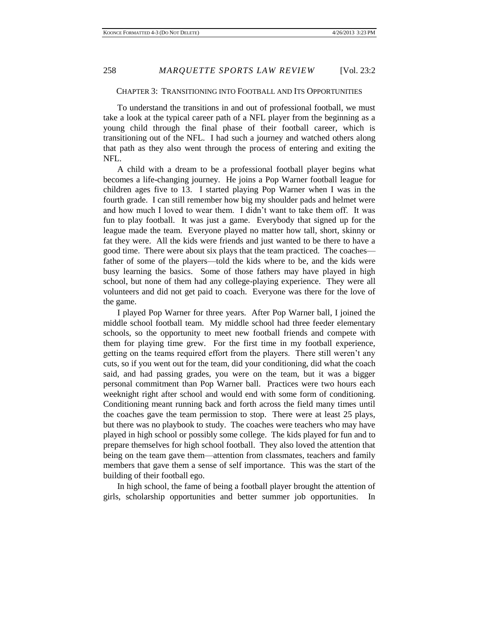#### CHAPTER 3: TRANSITIONING INTO FOOTBALL AND ITS OPPORTUNITIES

To understand the transitions in and out of professional football, we must take a look at the typical career path of a NFL player from the beginning as a young child through the final phase of their football career, which is transitioning out of the NFL. I had such a journey and watched others along that path as they also went through the process of entering and exiting the NFL.

A child with a dream to be a professional football player begins what becomes a life-changing journey. He joins a Pop Warner football league for children ages five to 13. I started playing Pop Warner when I was in the fourth grade. I can still remember how big my shoulder pads and helmet were and how much I loved to wear them. I didn't want to take them off. It was fun to play football. It was just a game. Everybody that signed up for the league made the team. Everyone played no matter how tall, short, skinny or fat they were. All the kids were friends and just wanted to be there to have a good time. There were about six plays that the team practiced. The coaches father of some of the players—told the kids where to be, and the kids were busy learning the basics. Some of those fathers may have played in high school, but none of them had any college-playing experience. They were all volunteers and did not get paid to coach. Everyone was there for the love of the game.

I played Pop Warner for three years. After Pop Warner ball, I joined the middle school football team. My middle school had three feeder elementary schools, so the opportunity to meet new football friends and compete with them for playing time grew. For the first time in my football experience, getting on the teams required effort from the players. There still weren't any cuts, so if you went out for the team, did your conditioning, did what the coach said, and had passing grades, you were on the team, but it was a bigger personal commitment than Pop Warner ball. Practices were two hours each weeknight right after school and would end with some form of conditioning. Conditioning meant running back and forth across the field many times until the coaches gave the team permission to stop. There were at least 25 plays, but there was no playbook to study. The coaches were teachers who may have played in high school or possibly some college. The kids played for fun and to prepare themselves for high school football. They also loved the attention that being on the team gave them—attention from classmates, teachers and family members that gave them a sense of self importance. This was the start of the building of their football ego.

In high school, the fame of being a football player brought the attention of girls, scholarship opportunities and better summer job opportunities. In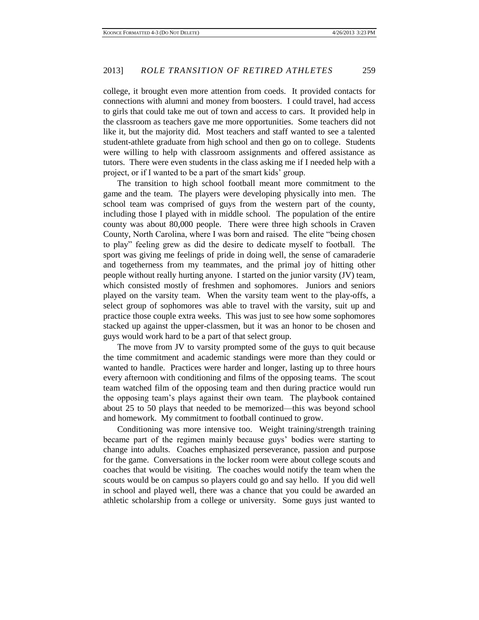college, it brought even more attention from coeds. It provided contacts for connections with alumni and money from boosters. I could travel, had access to girls that could take me out of town and access to cars. It provided help in the classroom as teachers gave me more opportunities. Some teachers did not like it, but the majority did. Most teachers and staff wanted to see a talented student-athlete graduate from high school and then go on to college. Students were willing to help with classroom assignments and offered assistance as tutors. There were even students in the class asking me if I needed help with a project, or if I wanted to be a part of the smart kids' group.

The transition to high school football meant more commitment to the game and the team. The players were developing physically into men. The school team was comprised of guys from the western part of the county, including those I played with in middle school. The population of the entire county was about 80,000 people. There were three high schools in Craven County, North Carolina, where I was born and raised. The elite "being chosen to play" feeling grew as did the desire to dedicate myself to football. The sport was giving me feelings of pride in doing well, the sense of camaraderie and togetherness from my teammates, and the primal joy of hitting other people without really hurting anyone. I started on the junior varsity (JV) team, which consisted mostly of freshmen and sophomores. Juniors and seniors played on the varsity team. When the varsity team went to the play-offs, a select group of sophomores was able to travel with the varsity, suit up and practice those couple extra weeks. This was just to see how some sophomores stacked up against the upper-classmen, but it was an honor to be chosen and guys would work hard to be a part of that select group.

The move from JV to varsity prompted some of the guys to quit because the time commitment and academic standings were more than they could or wanted to handle. Practices were harder and longer, lasting up to three hours every afternoon with conditioning and films of the opposing teams. The scout team watched film of the opposing team and then during practice would run the opposing team's plays against their own team. The playbook contained about 25 to 50 plays that needed to be memorized—this was beyond school and homework. My commitment to football continued to grow.

Conditioning was more intensive too. Weight training/strength training became part of the regimen mainly because guys' bodies were starting to change into adults. Coaches emphasized perseverance, passion and purpose for the game. Conversations in the locker room were about college scouts and coaches that would be visiting. The coaches would notify the team when the scouts would be on campus so players could go and say hello. If you did well in school and played well, there was a chance that you could be awarded an athletic scholarship from a college or university. Some guys just wanted to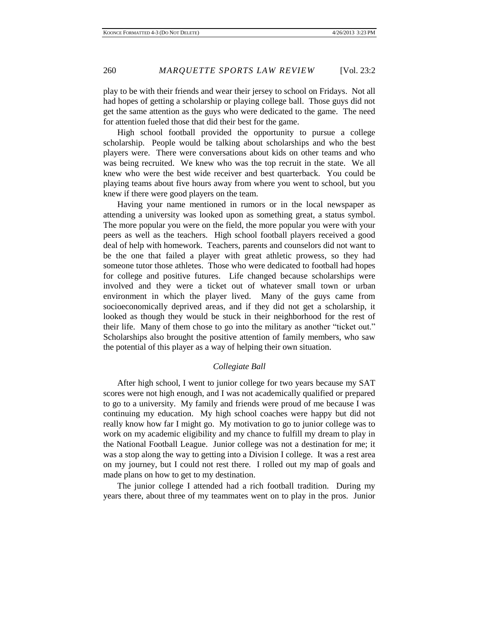play to be with their friends and wear their jersey to school on Fridays. Not all had hopes of getting a scholarship or playing college ball. Those guys did not get the same attention as the guys who were dedicated to the game. The need for attention fueled those that did their best for the game.

High school football provided the opportunity to pursue a college scholarship. People would be talking about scholarships and who the best players were. There were conversations about kids on other teams and who was being recruited. We knew who was the top recruit in the state. We all knew who were the best wide receiver and best quarterback. You could be playing teams about five hours away from where you went to school, but you knew if there were good players on the team.

Having your name mentioned in rumors or in the local newspaper as attending a university was looked upon as something great, a status symbol. The more popular you were on the field, the more popular you were with your peers as well as the teachers. High school football players received a good deal of help with homework. Teachers, parents and counselors did not want to be the one that failed a player with great athletic prowess, so they had someone tutor those athletes. Those who were dedicated to football had hopes for college and positive futures. Life changed because scholarships were involved and they were a ticket out of whatever small town or urban environment in which the player lived. Many of the guys came from socioeconomically deprived areas, and if they did not get a scholarship, it looked as though they would be stuck in their neighborhood for the rest of their life. Many of them chose to go into the military as another "ticket out." Scholarships also brought the positive attention of family members, who saw the potential of this player as a way of helping their own situation.

#### *Collegiate Ball*

After high school, I went to junior college for two years because my SAT scores were not high enough, and I was not academically qualified or prepared to go to a university. My family and friends were proud of me because I was continuing my education. My high school coaches were happy but did not really know how far I might go. My motivation to go to junior college was to work on my academic eligibility and my chance to fulfill my dream to play in the National Football League. Junior college was not a destination for me; it was a stop along the way to getting into a Division I college. It was a rest area on my journey, but I could not rest there. I rolled out my map of goals and made plans on how to get to my destination.

The junior college I attended had a rich football tradition. During my years there, about three of my teammates went on to play in the pros. Junior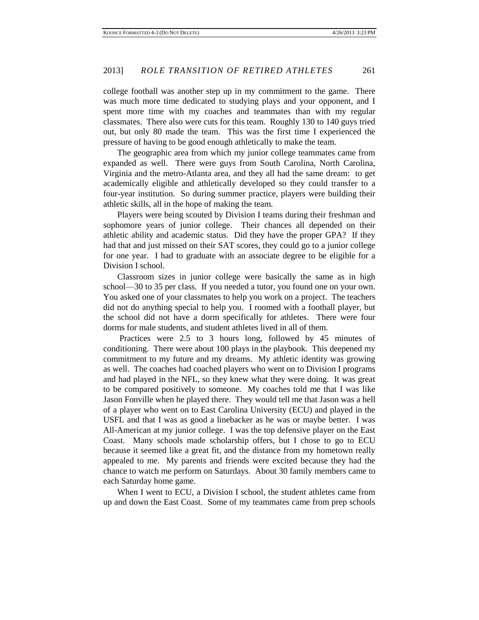college football was another step up in my commitment to the game. There was much more time dedicated to studying plays and your opponent, and I spent more time with my coaches and teammates than with my regular classmates. There also were cuts for this team. Roughly 130 to 140 guys tried out, but only 80 made the team. This was the first time I experienced the pressure of having to be good enough athletically to make the team.

The geographic area from which my junior college teammates came from expanded as well. There were guys from South Carolina, North Carolina, Virginia and the metro-Atlanta area, and they all had the same dream: to get academically eligible and athletically developed so they could transfer to a four-year institution. So during summer practice, players were building their athletic skills, all in the hope of making the team.

Players were being scouted by Division I teams during their freshman and sophomore years of junior college. Their chances all depended on their athletic ability and academic status. Did they have the proper GPA? If they had that and just missed on their SAT scores, they could go to a junior college for one year. I had to graduate with an associate degree to be eligible for a Division I school.

Classroom sizes in junior college were basically the same as in high school—30 to 35 per class. If you needed a tutor, you found one on your own. You asked one of your classmates to help you work on a project. The teachers did not do anything special to help you. I roomed with a football player, but the school did not have a dorm specifically for athletes. There were four dorms for male students, and student athletes lived in all of them.

Practices were 2.5 to 3 hours long, followed by 45 minutes of conditioning. There were about 100 plays in the playbook. This deepened my commitment to my future and my dreams. My athletic identity was growing as well. The coaches had coached players who went on to Division I programs and had played in the NFL, so they knew what they were doing. It was great to be compared positively to someone. My coaches told me that I was like Jason Fonville when he played there. They would tell me that Jason was a hell of a player who went on to East Carolina University (ECU) and played in the USFL and that I was as good a linebacker as he was or maybe better. I was All-American at my junior college. I was the top defensive player on the East Coast. Many schools made scholarship offers, but I chose to go to ECU because it seemed like a great fit, and the distance from my hometown really appealed to me. My parents and friends were excited because they had the chance to watch me perform on Saturdays. About 30 family members came to each Saturday home game.

When I went to ECU, a Division I school, the student athletes came from up and down the East Coast. Some of my teammates came from prep schools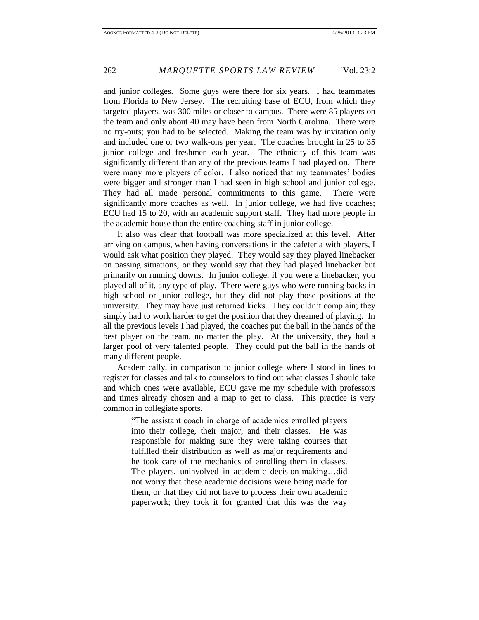and junior colleges. Some guys were there for six years. I had teammates from Florida to New Jersey. The recruiting base of ECU, from which they targeted players, was 300 miles or closer to campus. There were 85 players on the team and only about 40 may have been from North Carolina. There were no try-outs; you had to be selected. Making the team was by invitation only and included one or two walk-ons per year. The coaches brought in 25 to 35 junior college and freshmen each year. The ethnicity of this team was significantly different than any of the previous teams I had played on. There were many more players of color. I also noticed that my teammates' bodies were bigger and stronger than I had seen in high school and junior college. They had all made personal commitments to this game. There were significantly more coaches as well. In junior college, we had five coaches; ECU had 15 to 20, with an academic support staff. They had more people in the academic house than the entire coaching staff in junior college.

It also was clear that football was more specialized at this level. After arriving on campus, when having conversations in the cafeteria with players, I would ask what position they played. They would say they played linebacker on passing situations, or they would say that they had played linebacker but primarily on running downs. In junior college, if you were a linebacker, you played all of it, any type of play. There were guys who were running backs in high school or junior college, but they did not play those positions at the university. They may have just returned kicks. They couldn't complain; they simply had to work harder to get the position that they dreamed of playing. In all the previous levels I had played, the coaches put the ball in the hands of the best player on the team, no matter the play. At the university, they had a larger pool of very talented people. They could put the ball in the hands of many different people.

Academically, in comparison to junior college where I stood in lines to register for classes and talk to counselors to find out what classes I should take and which ones were available, ECU gave me my schedule with professors and times already chosen and a map to get to class. This practice is very common in collegiate sports.

> "The assistant coach in charge of academics enrolled players into their college, their major, and their classes. He was responsible for making sure they were taking courses that fulfilled their distribution as well as major requirements and he took care of the mechanics of enrolling them in classes. The players, uninvolved in academic decision-making…did not worry that these academic decisions were being made for them, or that they did not have to process their own academic paperwork; they took it for granted that this was the way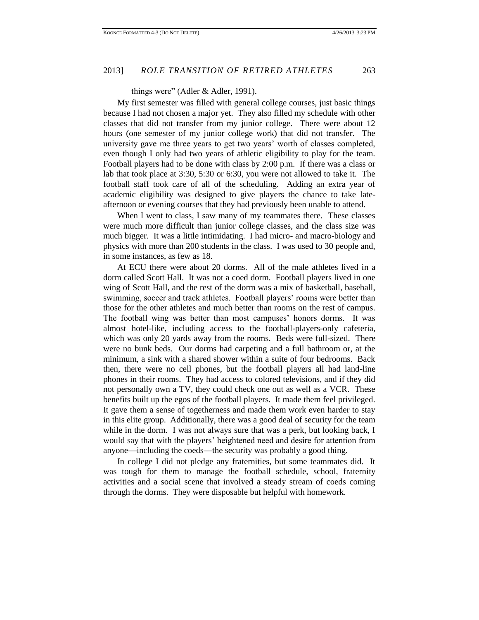things were" (Adler & Adler, 1991).

My first semester was filled with general college courses, just basic things because I had not chosen a major yet. They also filled my schedule with other classes that did not transfer from my junior college. There were about 12 hours (one semester of my junior college work) that did not transfer. The university gave me three years to get two years' worth of classes completed, even though I only had two years of athletic eligibility to play for the team. Football players had to be done with class by 2:00 p.m. If there was a class or lab that took place at 3:30, 5:30 or 6:30, you were not allowed to take it. The football staff took care of all of the scheduling. Adding an extra year of academic eligibility was designed to give players the chance to take lateafternoon or evening courses that they had previously been unable to attend.

When I went to class, I saw many of my teammates there. These classes were much more difficult than junior college classes, and the class size was much bigger. It was a little intimidating. I had micro- and macro-biology and physics with more than 200 students in the class. I was used to 30 people and, in some instances, as few as 18.

At ECU there were about 20 dorms. All of the male athletes lived in a dorm called Scott Hall. It was not a coed dorm. Football players lived in one wing of Scott Hall, and the rest of the dorm was a mix of basketball, baseball, swimming, soccer and track athletes. Football players' rooms were better than those for the other athletes and much better than rooms on the rest of campus. The football wing was better than most campuses' honors dorms. It was almost hotel-like, including access to the football-players-only cafeteria, which was only 20 yards away from the rooms. Beds were full-sized. There were no bunk beds. Our dorms had carpeting and a full bathroom or, at the minimum, a sink with a shared shower within a suite of four bedrooms. Back then, there were no cell phones, but the football players all had land-line phones in their rooms. They had access to colored televisions, and if they did not personally own a TV, they could check one out as well as a VCR. These benefits built up the egos of the football players. It made them feel privileged. It gave them a sense of togetherness and made them work even harder to stay in this elite group. Additionally, there was a good deal of security for the team while in the dorm. I was not always sure that was a perk, but looking back, I would say that with the players' heightened need and desire for attention from anyone—including the coeds—the security was probably a good thing.

In college I did not pledge any fraternities, but some teammates did. It was tough for them to manage the football schedule, school, fraternity activities and a social scene that involved a steady stream of coeds coming through the dorms. They were disposable but helpful with homework.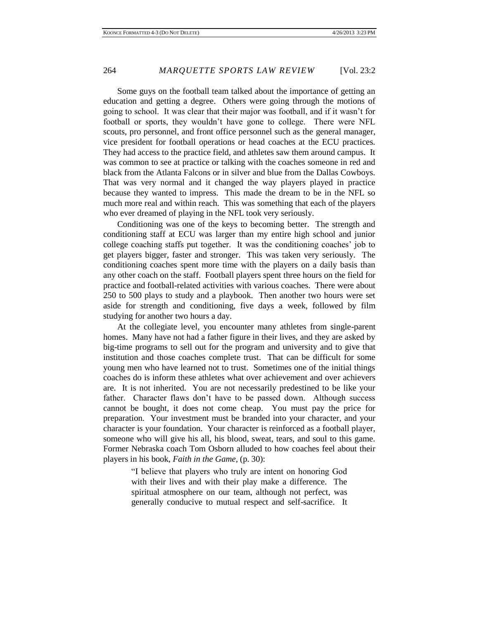Some guys on the football team talked about the importance of getting an education and getting a degree. Others were going through the motions of going to school. It was clear that their major was football, and if it wasn't for football or sports, they wouldn't have gone to college. There were NFL scouts, pro personnel, and front office personnel such as the general manager, vice president for football operations or head coaches at the ECU practices. They had access to the practice field, and athletes saw them around campus. It was common to see at practice or talking with the coaches someone in red and black from the Atlanta Falcons or in silver and blue from the Dallas Cowboys. That was very normal and it changed the way players played in practice because they wanted to impress. This made the dream to be in the NFL so much more real and within reach. This was something that each of the players who ever dreamed of playing in the NFL took very seriously.

Conditioning was one of the keys to becoming better. The strength and conditioning staff at ECU was larger than my entire high school and junior college coaching staffs put together. It was the conditioning coaches' job to get players bigger, faster and stronger. This was taken very seriously. The conditioning coaches spent more time with the players on a daily basis than any other coach on the staff. Football players spent three hours on the field for practice and football-related activities with various coaches. There were about 250 to 500 plays to study and a playbook. Then another two hours were set aside for strength and conditioning, five days a week, followed by film studying for another two hours a day.

At the collegiate level, you encounter many athletes from single-parent homes. Many have not had a father figure in their lives, and they are asked by big-time programs to sell out for the program and university and to give that institution and those coaches complete trust. That can be difficult for some young men who have learned not to trust. Sometimes one of the initial things coaches do is inform these athletes what over achievement and over achievers are. It is not inherited. You are not necessarily predestined to be like your father. Character flaws don't have to be passed down. Although success cannot be bought, it does not come cheap. You must pay the price for preparation. Your investment must be branded into your character, and your character is your foundation. Your character is reinforced as a football player, someone who will give his all, his blood, sweat, tears, and soul to this game. Former Nebraska coach Tom Osborn alluded to how coaches feel about their players in his book, *Faith in the Game*, (p. 30):

> "I believe that players who truly are intent on honoring God with their lives and with their play make a difference. The spiritual atmosphere on our team, although not perfect, was generally conducive to mutual respect and self-sacrifice. It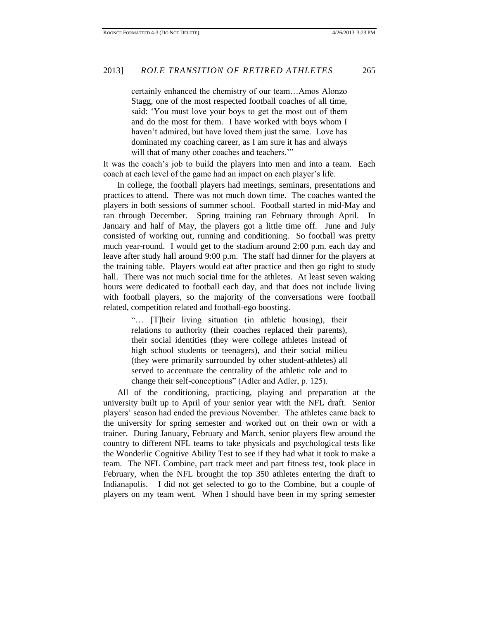certainly enhanced the chemistry of our team…Amos Alonzo Stagg, one of the most respected football coaches of all time, said: 'You must love your boys to get the most out of them and do the most for them. I have worked with boys whom I haven't admired, but have loved them just the same. Love has dominated my coaching career, as I am sure it has and always will that of many other coaches and teachers."

It was the coach's job to build the players into men and into a team. Each coach at each level of the game had an impact on each player's life.

In college, the football players had meetings, seminars, presentations and practices to attend. There was not much down time. The coaches wanted the players in both sessions of summer school. Football started in mid-May and ran through December. Spring training ran February through April. In January and half of May, the players got a little time off. June and July consisted of working out, running and conditioning. So football was pretty much year-round. I would get to the stadium around 2:00 p.m. each day and leave after study hall around 9:00 p.m. The staff had dinner for the players at the training table. Players would eat after practice and then go right to study hall. There was not much social time for the athletes. At least seven waking hours were dedicated to football each day, and that does not include living with football players, so the majority of the conversations were football related, competition related and football-ego boosting.

> "… [T]heir living situation (in athletic housing), their relations to authority (their coaches replaced their parents), their social identities (they were college athletes instead of high school students or teenagers), and their social milieu (they were primarily surrounded by other student-athletes) all served to accentuate the centrality of the athletic role and to change their self-conceptions" (Adler and Adler, p. 125).

All of the conditioning, practicing, playing and preparation at the university built up to April of your senior year with the NFL draft. Senior players' season had ended the previous November. The athletes came back to the university for spring semester and worked out on their own or with a trainer. During January, February and March, senior players flew around the country to different NFL teams to take physicals and psychological tests like the Wonderlic Cognitive Ability Test to see if they had what it took to make a team. The NFL Combine, part track meet and part fitness test, took place in February, when the NFL brought the top 350 athletes entering the draft to Indianapolis. I did not get selected to go to the Combine, but a couple of players on my team went. When I should have been in my spring semester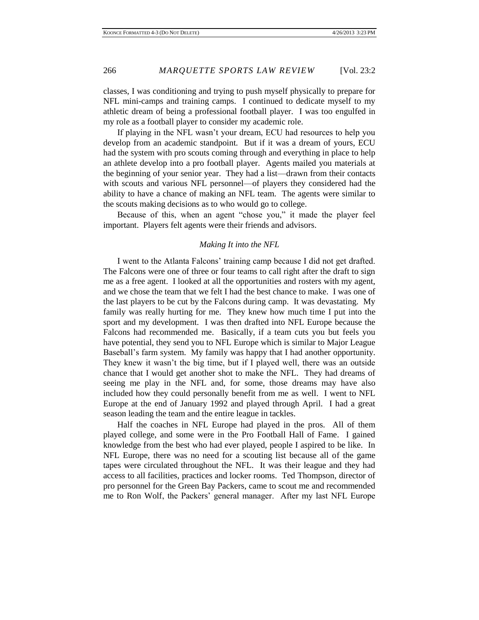classes, I was conditioning and trying to push myself physically to prepare for NFL mini-camps and training camps. I continued to dedicate myself to my athletic dream of being a professional football player. I was too engulfed in my role as a football player to consider my academic role.

If playing in the NFL wasn't your dream, ECU had resources to help you develop from an academic standpoint. But if it was a dream of yours, ECU had the system with pro scouts coming through and everything in place to help an athlete develop into a pro football player. Agents mailed you materials at the beginning of your senior year. They had a list—drawn from their contacts with scouts and various NFL personnel—of players they considered had the ability to have a chance of making an NFL team. The agents were similar to the scouts making decisions as to who would go to college.

Because of this, when an agent "chose you," it made the player feel important. Players felt agents were their friends and advisors.

#### *Making It into the NFL*

I went to the Atlanta Falcons' training camp because I did not get drafted. The Falcons were one of three or four teams to call right after the draft to sign me as a free agent. I looked at all the opportunities and rosters with my agent, and we chose the team that we felt I had the best chance to make. I was one of the last players to be cut by the Falcons during camp. It was devastating. My family was really hurting for me. They knew how much time I put into the sport and my development. I was then drafted into NFL Europe because the Falcons had recommended me. Basically, if a team cuts you but feels you have potential, they send you to NFL Europe which is similar to Major League Baseball's farm system. My family was happy that I had another opportunity. They knew it wasn't the big time, but if I played well, there was an outside chance that I would get another shot to make the NFL. They had dreams of seeing me play in the NFL and, for some, those dreams may have also included how they could personally benefit from me as well. I went to NFL Europe at the end of January 1992 and played through April. I had a great season leading the team and the entire league in tackles.

Half the coaches in NFL Europe had played in the pros. All of them played college, and some were in the Pro Football Hall of Fame. I gained knowledge from the best who had ever played, people I aspired to be like. In NFL Europe, there was no need for a scouting list because all of the game tapes were circulated throughout the NFL. It was their league and they had access to all facilities, practices and locker rooms. Ted Thompson, director of pro personnel for the Green Bay Packers, came to scout me and recommended me to Ron Wolf, the Packers' general manager. After my last NFL Europe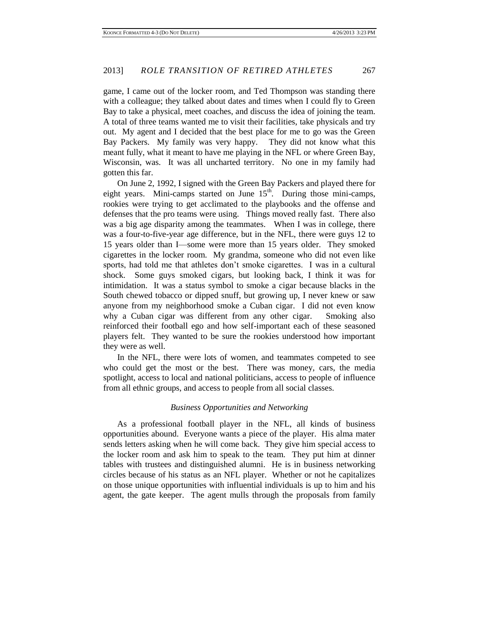game, I came out of the locker room, and Ted Thompson was standing there with a colleague; they talked about dates and times when I could fly to Green Bay to take a physical, meet coaches, and discuss the idea of joining the team. A total of three teams wanted me to visit their facilities, take physicals and try out. My agent and I decided that the best place for me to go was the Green Bay Packers. My family was very happy. They did not know what this meant fully, what it meant to have me playing in the NFL or where Green Bay, Wisconsin, was. It was all uncharted territory. No one in my family had gotten this far.

On June 2, 1992, I signed with the Green Bay Packers and played there for eight years. Mini-camps started on June  $15<sup>th</sup>$ . During those mini-camps, rookies were trying to get acclimated to the playbooks and the offense and defenses that the pro teams were using. Things moved really fast. There also was a big age disparity among the teammates. When I was in college, there was a four-to-five-year age difference, but in the NFL, there were guys 12 to 15 years older than I—some were more than 15 years older. They smoked cigarettes in the locker room. My grandma, someone who did not even like sports, had told me that athletes don't smoke cigarettes. I was in a cultural shock. Some guys smoked cigars, but looking back, I think it was for intimidation. It was a status symbol to smoke a cigar because blacks in the South chewed tobacco or dipped snuff, but growing up, I never knew or saw anyone from my neighborhood smoke a Cuban cigar. I did not even know why a Cuban cigar was different from any other cigar. Smoking also reinforced their football ego and how self-important each of these seasoned players felt. They wanted to be sure the rookies understood how important they were as well.

In the NFL, there were lots of women, and teammates competed to see who could get the most or the best. There was money, cars, the media spotlight, access to local and national politicians, access to people of influence from all ethnic groups, and access to people from all social classes.

#### *Business Opportunities and Networking*

As a professional football player in the NFL, all kinds of business opportunities abound. Everyone wants a piece of the player. His alma mater sends letters asking when he will come back. They give him special access to the locker room and ask him to speak to the team. They put him at dinner tables with trustees and distinguished alumni. He is in business networking circles because of his status as an NFL player. Whether or not he capitalizes on those unique opportunities with influential individuals is up to him and his agent, the gate keeper. The agent mulls through the proposals from family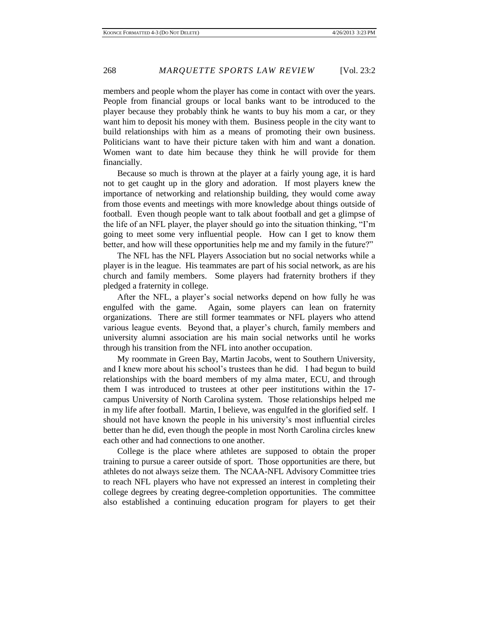members and people whom the player has come in contact with over the years. People from financial groups or local banks want to be introduced to the player because they probably think he wants to buy his mom a car, or they want him to deposit his money with them. Business people in the city want to build relationships with him as a means of promoting their own business. Politicians want to have their picture taken with him and want a donation. Women want to date him because they think he will provide for them financially.

Because so much is thrown at the player at a fairly young age, it is hard not to get caught up in the glory and adoration. If most players knew the importance of networking and relationship building, they would come away from those events and meetings with more knowledge about things outside of football. Even though people want to talk about football and get a glimpse of the life of an NFL player, the player should go into the situation thinking, "I'm going to meet some very influential people. How can I get to know them better, and how will these opportunities help me and my family in the future?"

The NFL has the NFL Players Association but no social networks while a player is in the league. His teammates are part of his social network, as are his church and family members. Some players had fraternity brothers if they pledged a fraternity in college.

After the NFL, a player's social networks depend on how fully he was engulfed with the game. Again, some players can lean on fraternity organizations. There are still former teammates or NFL players who attend various league events. Beyond that, a player's church, family members and university alumni association are his main social networks until he works through his transition from the NFL into another occupation.

My roommate in Green Bay, Martin Jacobs, went to Southern University, and I knew more about his school's trustees than he did. I had begun to build relationships with the board members of my alma mater, ECU, and through them I was introduced to trustees at other peer institutions within the 17 campus University of North Carolina system. Those relationships helped me in my life after football. Martin, I believe, was engulfed in the glorified self. I should not have known the people in his university's most influential circles better than he did, even though the people in most North Carolina circles knew each other and had connections to one another.

College is the place where athletes are supposed to obtain the proper training to pursue a career outside of sport. Those opportunities are there, but athletes do not always seize them. The NCAA-NFL Advisory Committee tries to reach NFL players who have not expressed an interest in completing their college degrees by creating degree-completion opportunities. The committee also established a continuing education program for players to get their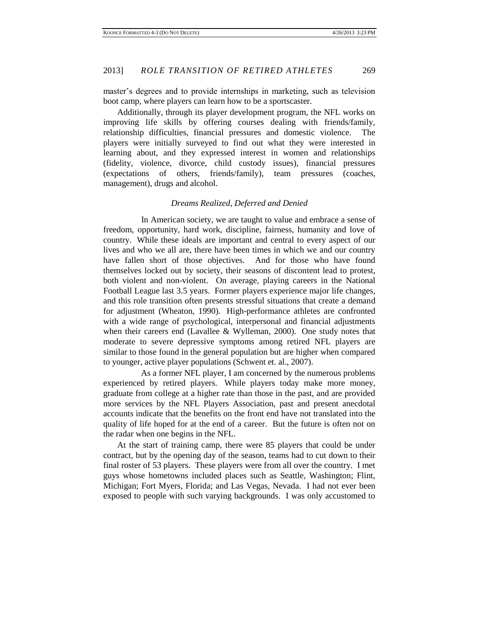master's degrees and to provide internships in marketing, such as television boot camp, where players can learn how to be a sportscaster.

Additionally, through its player development program, the NFL works on improving life skills by offering courses dealing with friends/family, relationship difficulties, financial pressures and domestic violence. The players were initially surveyed to find out what they were interested in learning about, and they expressed interest in women and relationships (fidelity, violence, divorce, child custody issues), financial pressures (expectations of others, friends/family), team pressures (coaches, management), drugs and alcohol.

#### *Dreams Realized, Deferred and Denied*

 In American society, we are taught to value and embrace a sense of freedom, opportunity, hard work, discipline, fairness, humanity and love of country. While these ideals are important and central to every aspect of our lives and who we all are, there have been times in which we and our country have fallen short of those objectives. And for those who have found themselves locked out by society, their seasons of discontent lead to protest, both violent and non-violent. On average, playing careers in the National Football League last 3.5 years. Former players experience major life changes, and this role transition often presents stressful situations that create a demand for adjustment (Wheaton, 1990). High-performance athletes are confronted with a wide range of psychological, interpersonal and financial adjustments when their careers end (Lavallee & Wylleman, 2000). One study notes that moderate to severe depressive symptoms among retired NFL players are similar to those found in the general population but are higher when compared to younger, active player populations (Schwent et. al., 2007).

 As a former NFL player, I am concerned by the numerous problems experienced by retired players. While players today make more money, graduate from college at a higher rate than those in the past, and are provided more services by the NFL Players Association, past and present anecdotal accounts indicate that the benefits on the front end have not translated into the quality of life hoped for at the end of a career. But the future is often not on the radar when one begins in the NFL.

At the start of training camp, there were 85 players that could be under contract, but by the opening day of the season, teams had to cut down to their final roster of 53 players. These players were from all over the country. I met guys whose hometowns included places such as Seattle, Washington; Flint, Michigan; Fort Myers, Florida; and Las Vegas, Nevada. I had not ever been exposed to people with such varying backgrounds. I was only accustomed to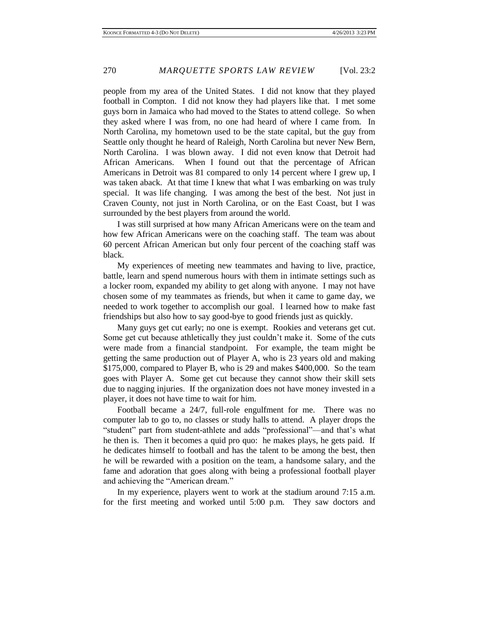people from my area of the United States. I did not know that they played football in Compton. I did not know they had players like that. I met some guys born in Jamaica who had moved to the States to attend college. So when they asked where I was from, no one had heard of where I came from. In North Carolina, my hometown used to be the state capital, but the guy from Seattle only thought he heard of Raleigh, North Carolina but never New Bern, North Carolina. I was blown away. I did not even know that Detroit had African Americans. When I found out that the percentage of African Americans in Detroit was 81 compared to only 14 percent where I grew up, I was taken aback. At that time I knew that what I was embarking on was truly special. It was life changing. I was among the best of the best. Not just in Craven County, not just in North Carolina, or on the East Coast, but I was surrounded by the best players from around the world.

I was still surprised at how many African Americans were on the team and how few African Americans were on the coaching staff. The team was about 60 percent African American but only four percent of the coaching staff was black.

My experiences of meeting new teammates and having to live, practice, battle, learn and spend numerous hours with them in intimate settings such as a locker room, expanded my ability to get along with anyone. I may not have chosen some of my teammates as friends, but when it came to game day, we needed to work together to accomplish our goal. I learned how to make fast friendships but also how to say good-bye to good friends just as quickly.

Many guys get cut early; no one is exempt. Rookies and veterans get cut. Some get cut because athletically they just couldn't make it. Some of the cuts were made from a financial standpoint. For example, the team might be getting the same production out of Player A, who is 23 years old and making \$175,000, compared to Player B, who is 29 and makes \$400,000. So the team goes with Player A. Some get cut because they cannot show their skill sets due to nagging injuries. If the organization does not have money invested in a player, it does not have time to wait for him.

Football became a 24/7, full-role engulfment for me. There was no computer lab to go to, no classes or study halls to attend. A player drops the "student" part from student-athlete and adds "professional"—and that's what he then is. Then it becomes a quid pro quo: he makes plays, he gets paid. If he dedicates himself to football and has the talent to be among the best, then he will be rewarded with a position on the team, a handsome salary, and the fame and adoration that goes along with being a professional football player and achieving the "American dream."

In my experience, players went to work at the stadium around 7:15 a.m. for the first meeting and worked until 5:00 p.m. They saw doctors and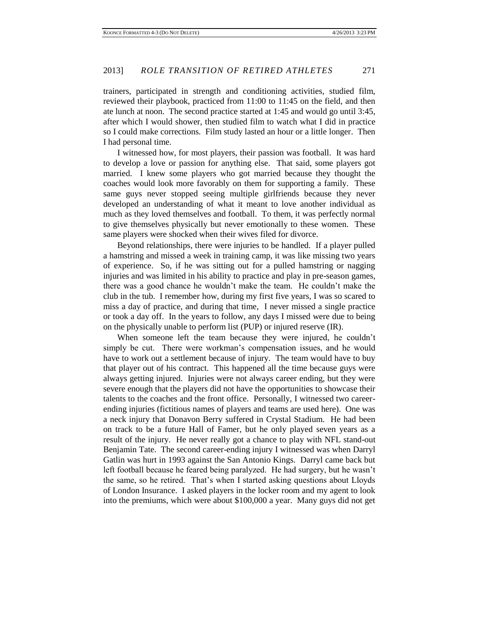trainers, participated in strength and conditioning activities, studied film, reviewed their playbook, practiced from 11:00 to 11:45 on the field, and then ate lunch at noon. The second practice started at 1:45 and would go until 3:45, after which I would shower, then studied film to watch what I did in practice so I could make corrections. Film study lasted an hour or a little longer. Then I had personal time.

I witnessed how, for most players, their passion was football. It was hard to develop a love or passion for anything else. That said, some players got married. I knew some players who got married because they thought the coaches would look more favorably on them for supporting a family. These same guys never stopped seeing multiple girlfriends because they never developed an understanding of what it meant to love another individual as much as they loved themselves and football. To them, it was perfectly normal to give themselves physically but never emotionally to these women. These same players were shocked when their wives filed for divorce.

Beyond relationships, there were injuries to be handled. If a player pulled a hamstring and missed a week in training camp, it was like missing two years of experience. So, if he was sitting out for a pulled hamstring or nagging injuries and was limited in his ability to practice and play in pre-season games, there was a good chance he wouldn't make the team. He couldn't make the club in the tub. I remember how, during my first five years, I was so scared to miss a day of practice, and during that time, I never missed a single practice or took a day off. In the years to follow, any days I missed were due to being on the physically unable to perform list (PUP) or injured reserve (IR).

When someone left the team because they were injured, he couldn't simply be cut. There were workman's compensation issues, and he would have to work out a settlement because of injury. The team would have to buy that player out of his contract. This happened all the time because guys were always getting injured. Injuries were not always career ending, but they were severe enough that the players did not have the opportunities to showcase their talents to the coaches and the front office. Personally, I witnessed two careerending injuries (fictitious names of players and teams are used here). One was a neck injury that Donavon Berry suffered in Crystal Stadium. He had been on track to be a future Hall of Famer, but he only played seven years as a result of the injury. He never really got a chance to play with NFL stand-out Benjamin Tate. The second career-ending injury I witnessed was when Darryl Gatlin was hurt in 1993 against the San Antonio Kings. Darryl came back but left football because he feared being paralyzed. He had surgery, but he wasn't the same, so he retired. That's when I started asking questions about Lloyds of London Insurance. I asked players in the locker room and my agent to look into the premiums, which were about \$100,000 a year. Many guys did not get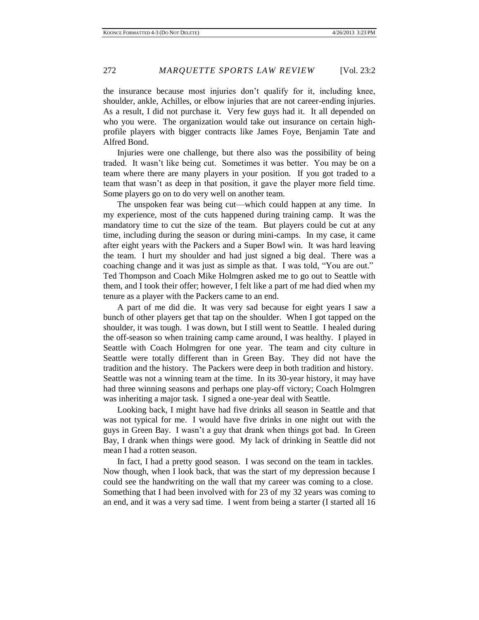the insurance because most injuries don't qualify for it, including knee, shoulder, ankle, Achilles, or elbow injuries that are not career-ending injuries. As a result, I did not purchase it. Very few guys had it. It all depended on who you were. The organization would take out insurance on certain highprofile players with bigger contracts like James Foye, Benjamin Tate and Alfred Bond.

Injuries were one challenge, but there also was the possibility of being traded. It wasn't like being cut. Sometimes it was better. You may be on a team where there are many players in your position. If you got traded to a team that wasn't as deep in that position, it gave the player more field time. Some players go on to do very well on another team.

The unspoken fear was being cut—which could happen at any time. In my experience, most of the cuts happened during training camp. It was the mandatory time to cut the size of the team. But players could be cut at any time, including during the season or during mini-camps. In my case, it came after eight years with the Packers and a Super Bowl win. It was hard leaving the team. I hurt my shoulder and had just signed a big deal. There was a coaching change and it was just as simple as that. I was told, "You are out." Ted Thompson and Coach Mike Holmgren asked me to go out to Seattle with them, and I took their offer; however, I felt like a part of me had died when my tenure as a player with the Packers came to an end.

A part of me did die. It was very sad because for eight years I saw a bunch of other players get that tap on the shoulder. When I got tapped on the shoulder, it was tough. I was down, but I still went to Seattle. I healed during the off-season so when training camp came around, I was healthy. I played in Seattle with Coach Holmgren for one year. The team and city culture in Seattle were totally different than in Green Bay. They did not have the tradition and the history. The Packers were deep in both tradition and history. Seattle was not a winning team at the time. In its 30-year history, it may have had three winning seasons and perhaps one play-off victory; Coach Holmgren was inheriting a major task. I signed a one-year deal with Seattle.

Looking back, I might have had five drinks all season in Seattle and that was not typical for me. I would have five drinks in one night out with the guys in Green Bay. I wasn't a guy that drank when things got bad. In Green Bay, I drank when things were good. My lack of drinking in Seattle did not mean I had a rotten season.

In fact, I had a pretty good season. I was second on the team in tackles. Now though, when I look back, that was the start of my depression because I could see the handwriting on the wall that my career was coming to a close. Something that I had been involved with for 23 of my 32 years was coming to an end, and it was a very sad time. I went from being a starter (I started all 16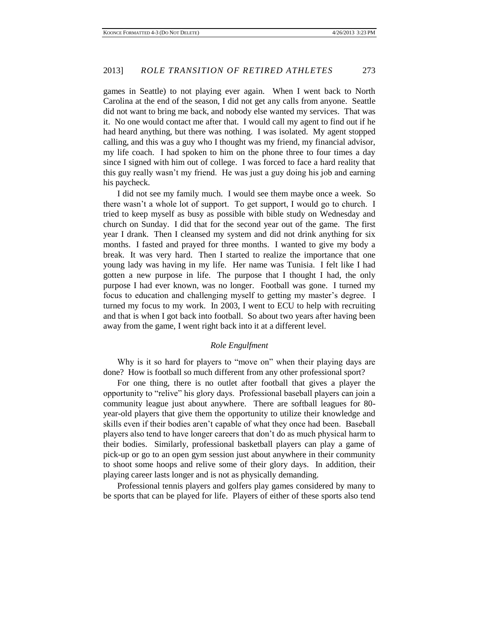games in Seattle) to not playing ever again. When I went back to North Carolina at the end of the season, I did not get any calls from anyone. Seattle did not want to bring me back, and nobody else wanted my services. That was it. No one would contact me after that. I would call my agent to find out if he had heard anything, but there was nothing. I was isolated. My agent stopped calling, and this was a guy who I thought was my friend, my financial advisor, my life coach. I had spoken to him on the phone three to four times a day since I signed with him out of college. I was forced to face a hard reality that this guy really wasn't my friend. He was just a guy doing his job and earning his paycheck.

I did not see my family much. I would see them maybe once a week. So there wasn't a whole lot of support. To get support, I would go to church. I tried to keep myself as busy as possible with bible study on Wednesday and church on Sunday. I did that for the second year out of the game. The first year I drank. Then I cleansed my system and did not drink anything for six months. I fasted and prayed for three months. I wanted to give my body a break. It was very hard. Then I started to realize the importance that one young lady was having in my life. Her name was Tunisia. I felt like I had gotten a new purpose in life. The purpose that I thought I had, the only purpose I had ever known, was no longer. Football was gone. I turned my focus to education and challenging myself to getting my master's degree. I turned my focus to my work. In 2003, I went to ECU to help with recruiting and that is when I got back into football. So about two years after having been away from the game, I went right back into it at a different level.

#### *Role Engulfment*

Why is it so hard for players to "move on" when their playing days are done? How is football so much different from any other professional sport?

For one thing, there is no outlet after football that gives a player the opportunity to "relive" his glory days. Professional baseball players can join a community league just about anywhere. There are softball leagues for 80 year-old players that give them the opportunity to utilize their knowledge and skills even if their bodies aren't capable of what they once had been. Baseball players also tend to have longer careers that don't do as much physical harm to their bodies. Similarly, professional basketball players can play a game of pick-up or go to an open gym session just about anywhere in their community to shoot some hoops and relive some of their glory days. In addition, their playing career lasts longer and is not as physically demanding.

Professional tennis players and golfers play games considered by many to be sports that can be played for life. Players of either of these sports also tend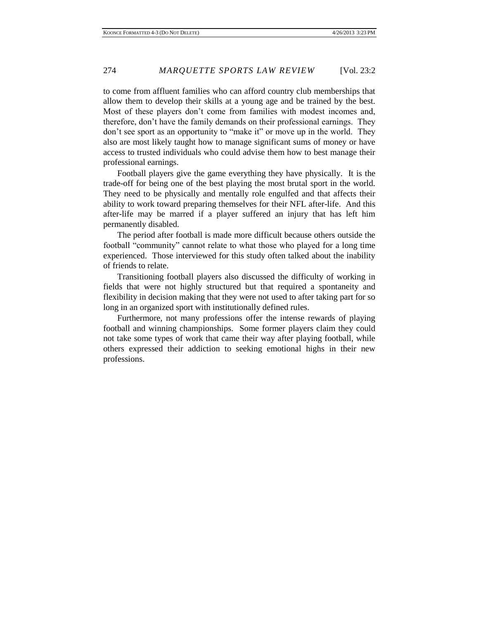to come from affluent families who can afford country club memberships that allow them to develop their skills at a young age and be trained by the best. Most of these players don't come from families with modest incomes and, therefore, don't have the family demands on their professional earnings. They don't see sport as an opportunity to "make it" or move up in the world. They also are most likely taught how to manage significant sums of money or have access to trusted individuals who could advise them how to best manage their professional earnings.

Football players give the game everything they have physically. It is the trade-off for being one of the best playing the most brutal sport in the world. They need to be physically and mentally role engulfed and that affects their ability to work toward preparing themselves for their NFL after-life. And this after-life may be marred if a player suffered an injury that has left him permanently disabled.

The period after football is made more difficult because others outside the football "community" cannot relate to what those who played for a long time experienced. Those interviewed for this study often talked about the inability of friends to relate.

Transitioning football players also discussed the difficulty of working in fields that were not highly structured but that required a spontaneity and flexibility in decision making that they were not used to after taking part for so long in an organized sport with institutionally defined rules.

Furthermore, not many professions offer the intense rewards of playing football and winning championships. Some former players claim they could not take some types of work that came their way after playing football, while others expressed their addiction to seeking emotional highs in their new professions.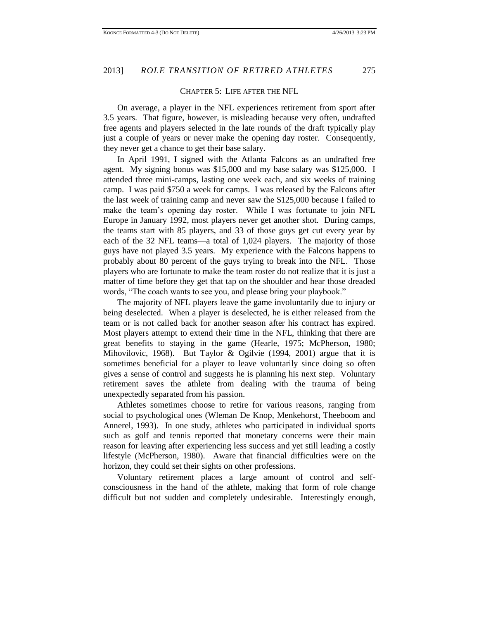#### CHAPTER 5: LIFE AFTER THE NFL

On average, a player in the NFL experiences retirement from sport after 3.5 years. That figure, however, is misleading because very often, undrafted free agents and players selected in the late rounds of the draft typically play just a couple of years or never make the opening day roster. Consequently, they never get a chance to get their base salary.

In April 1991, I signed with the Atlanta Falcons as an undrafted free agent. My signing bonus was \$15,000 and my base salary was \$125,000. I attended three mini-camps, lasting one week each, and six weeks of training camp. I was paid \$750 a week for camps. I was released by the Falcons after the last week of training camp and never saw the \$125,000 because I failed to make the team's opening day roster. While I was fortunate to join NFL Europe in January 1992, most players never get another shot. During camps, the teams start with 85 players, and 33 of those guys get cut every year by each of the 32 NFL teams—a total of 1,024 players. The majority of those guys have not played 3.5 years. My experience with the Falcons happens to probably about 80 percent of the guys trying to break into the NFL. Those players who are fortunate to make the team roster do not realize that it is just a matter of time before they get that tap on the shoulder and hear those dreaded words, "The coach wants to see you, and please bring your playbook."

The majority of NFL players leave the game involuntarily due to injury or being deselected. When a player is deselected, he is either released from the team or is not called back for another season after his contract has expired. Most players attempt to extend their time in the NFL, thinking that there are great benefits to staying in the game (Hearle, 1975; McPherson, 1980; Mihovilovic, 1968). But Taylor & Ogilvie (1994, 2001) argue that it is sometimes beneficial for a player to leave voluntarily since doing so often gives a sense of control and suggests he is planning his next step. Voluntary retirement saves the athlete from dealing with the trauma of being unexpectedly separated from his passion.

Athletes sometimes choose to retire for various reasons, ranging from social to psychological ones (Wleman De Knop, Menkehorst, Theeboom and Annerel, 1993). In one study, athletes who participated in individual sports such as golf and tennis reported that monetary concerns were their main reason for leaving after experiencing less success and yet still leading a costly lifestyle (McPherson, 1980). Aware that financial difficulties were on the horizon, they could set their sights on other professions.

Voluntary retirement places a large amount of control and selfconsciousness in the hand of the athlete, making that form of role change difficult but not sudden and completely undesirable. Interestingly enough,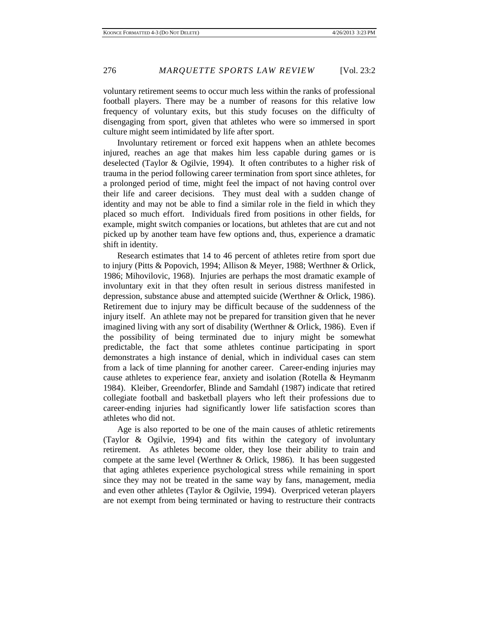voluntary retirement seems to occur much less within the ranks of professional football players. There may be a number of reasons for this relative low frequency of voluntary exits, but this study focuses on the difficulty of disengaging from sport, given that athletes who were so immersed in sport culture might seem intimidated by life after sport.

Involuntary retirement or forced exit happens when an athlete becomes injured, reaches an age that makes him less capable during games or is deselected (Taylor & Ogilvie, 1994). It often contributes to a higher risk of trauma in the period following career termination from sport since athletes, for a prolonged period of time, might feel the impact of not having control over their life and career decisions. They must deal with a sudden change of identity and may not be able to find a similar role in the field in which they placed so much effort. Individuals fired from positions in other fields, for example, might switch companies or locations, but athletes that are cut and not picked up by another team have few options and, thus, experience a dramatic shift in identity.

Research estimates that 14 to 46 percent of athletes retire from sport due to injury (Pitts & Popovich, 1994; Allison & Meyer, 1988; Werthner & Orlick, 1986; Mihovilovic, 1968). Injuries are perhaps the most dramatic example of involuntary exit in that they often result in serious distress manifested in depression, substance abuse and attempted suicide (Werthner & Orlick, 1986). Retirement due to injury may be difficult because of the suddenness of the injury itself. An athlete may not be prepared for transition given that he never imagined living with any sort of disability (Werthner & Orlick, 1986). Even if the possibility of being terminated due to injury might be somewhat predictable, the fact that some athletes continue participating in sport demonstrates a high instance of denial, which in individual cases can stem from a lack of time planning for another career. Career-ending injuries may cause athletes to experience fear, anxiety and isolation (Rotella & Heymanm 1984). Kleiber, Greendorfer, Blinde and Samdahl (1987) indicate that retired collegiate football and basketball players who left their professions due to career-ending injuries had significantly lower life satisfaction scores than athletes who did not.

Age is also reported to be one of the main causes of athletic retirements (Taylor & Ogilvie, 1994) and fits within the category of involuntary retirement. As athletes become older, they lose their ability to train and compete at the same level (Werthner & Orlick, 1986). It has been suggested that aging athletes experience psychological stress while remaining in sport since they may not be treated in the same way by fans, management, media and even other athletes (Taylor & Ogilvie, 1994). Overpriced veteran players are not exempt from being terminated or having to restructure their contracts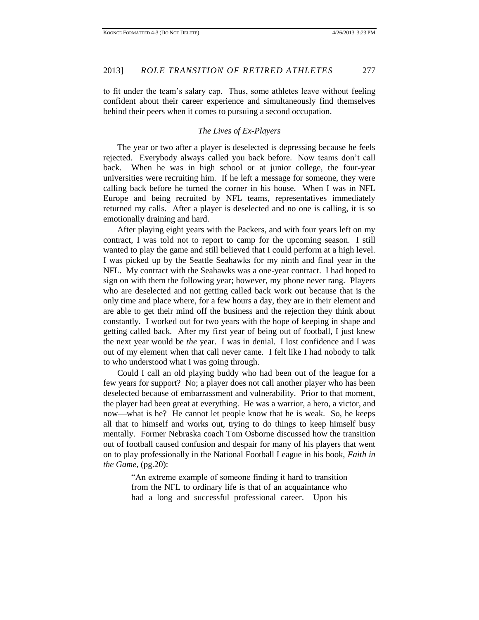to fit under the team's salary cap. Thus, some athletes leave without feeling confident about their career experience and simultaneously find themselves behind their peers when it comes to pursuing a second occupation.

#### *The Lives of Ex-Players*

The year or two after a player is deselected is depressing because he feels rejected. Everybody always called you back before. Now teams don't call back. When he was in high school or at junior college, the four-year universities were recruiting him. If he left a message for someone, they were calling back before he turned the corner in his house. When I was in NFL Europe and being recruited by NFL teams, representatives immediately returned my calls. After a player is deselected and no one is calling, it is so emotionally draining and hard.

After playing eight years with the Packers, and with four years left on my contract, I was told not to report to camp for the upcoming season. I still wanted to play the game and still believed that I could perform at a high level. I was picked up by the Seattle Seahawks for my ninth and final year in the NFL. My contract with the Seahawks was a one-year contract. I had hoped to sign on with them the following year; however, my phone never rang. Players who are deselected and not getting called back work out because that is the only time and place where, for a few hours a day, they are in their element and are able to get their mind off the business and the rejection they think about constantly. I worked out for two years with the hope of keeping in shape and getting called back. After my first year of being out of football, I just knew the next year would be *the* year. I was in denial. I lost confidence and I was out of my element when that call never came. I felt like I had nobody to talk to who understood what I was going through.

Could I call an old playing buddy who had been out of the league for a few years for support? No; a player does not call another player who has been deselected because of embarrassment and vulnerability. Prior to that moment, the player had been great at everything. He was a warrior, a hero, a victor, and now—what is he? He cannot let people know that he is weak. So, he keeps all that to himself and works out, trying to do things to keep himself busy mentally. Former Nebraska coach Tom Osborne discussed how the transition out of football caused confusion and despair for many of his players that went on to play professionally in the National Football League in his book, *Faith in the Game*, (pg.20):

> "An extreme example of someone finding it hard to transition from the NFL to ordinary life is that of an acquaintance who had a long and successful professional career. Upon his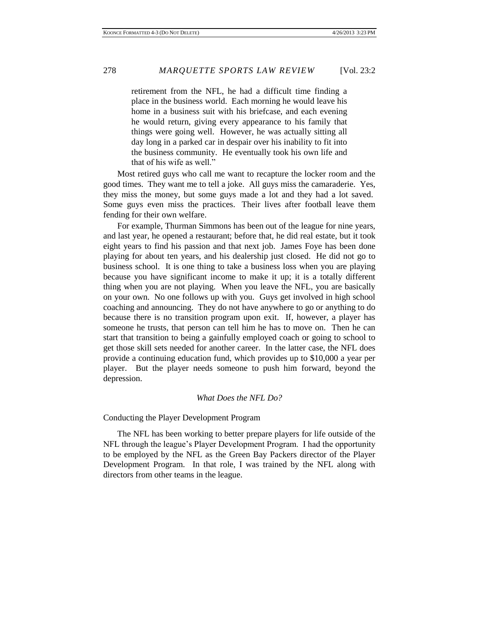retirement from the NFL, he had a difficult time finding a place in the business world. Each morning he would leave his home in a business suit with his briefcase, and each evening he would return, giving every appearance to his family that things were going well. However, he was actually sitting all day long in a parked car in despair over his inability to fit into the business community. He eventually took his own life and that of his wife as well."

Most retired guys who call me want to recapture the locker room and the good times. They want me to tell a joke. All guys miss the camaraderie. Yes, they miss the money, but some guys made a lot and they had a lot saved. Some guys even miss the practices. Their lives after football leave them fending for their own welfare.

For example, Thurman Simmons has been out of the league for nine years, and last year, he opened a restaurant; before that, he did real estate, but it took eight years to find his passion and that next job. James Foye has been done playing for about ten years, and his dealership just closed. He did not go to business school. It is one thing to take a business loss when you are playing because you have significant income to make it up; it is a totally different thing when you are not playing. When you leave the NFL, you are basically on your own. No one follows up with you. Guys get involved in high school coaching and announcing. They do not have anywhere to go or anything to do because there is no transition program upon exit. If, however, a player has someone he trusts, that person can tell him he has to move on. Then he can start that transition to being a gainfully employed coach or going to school to get those skill sets needed for another career. In the latter case, the NFL does provide a continuing education fund, which provides up to \$10,000 a year per player. But the player needs someone to push him forward, beyond the depression.

#### *What Does the NFL Do?*

Conducting the Player Development Program

The NFL has been working to better prepare players for life outside of the NFL through the league's Player Development Program. I had the opportunity to be employed by the NFL as the Green Bay Packers director of the Player Development Program. In that role, I was trained by the NFL along with directors from other teams in the league.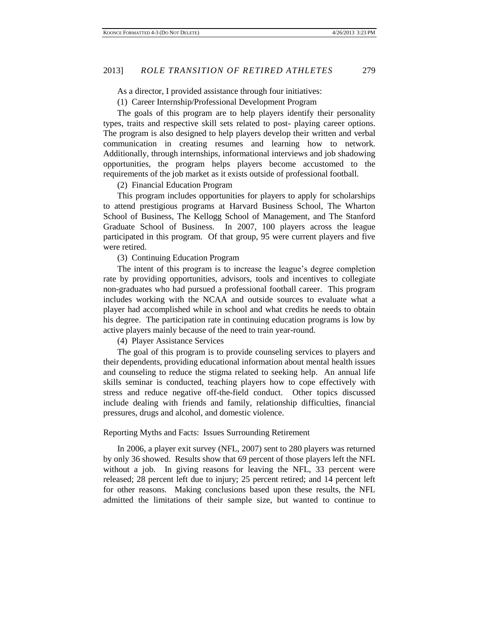As a director, I provided assistance through four initiatives:

(1) Career Internship/Professional Development Program

The goals of this program are to help players identify their personality types, traits and respective skill sets related to post- playing career options. The program is also designed to help players develop their written and verbal communication in creating resumes and learning how to network. Additionally, through internships, informational interviews and job shadowing opportunities, the program helps players become accustomed to the requirements of the job market as it exists outside of professional football.

#### (2) Financial Education Program

This program includes opportunities for players to apply for scholarships to attend prestigious programs at Harvard Business School, The Wharton School of Business, The Kellogg School of Management, and The Stanford Graduate School of Business. In 2007, 100 players across the league participated in this program. Of that group, 95 were current players and five were retired.

#### (3) Continuing Education Program

The intent of this program is to increase the league's degree completion rate by providing opportunities, advisors, tools and incentives to collegiate non-graduates who had pursued a professional football career. This program includes working with the NCAA and outside sources to evaluate what a player had accomplished while in school and what credits he needs to obtain his degree. The participation rate in continuing education programs is low by active players mainly because of the need to train year-round.

(4) Player Assistance Services

The goal of this program is to provide counseling services to players and their dependents, providing educational information about mental health issues and counseling to reduce the stigma related to seeking help. An annual life skills seminar is conducted, teaching players how to cope effectively with stress and reduce negative off-the-field conduct. Other topics discussed include dealing with friends and family, relationship difficulties, financial pressures, drugs and alcohol, and domestic violence.

#### Reporting Myths and Facts: Issues Surrounding Retirement

In 2006, a player exit survey (NFL, 2007) sent to 280 players was returned by only 36 showed. Results show that 69 percent of those players left the NFL without a job. In giving reasons for leaving the NFL, 33 percent were released; 28 percent left due to injury; 25 percent retired; and 14 percent left for other reasons. Making conclusions based upon these results, the NFL admitted the limitations of their sample size, but wanted to continue to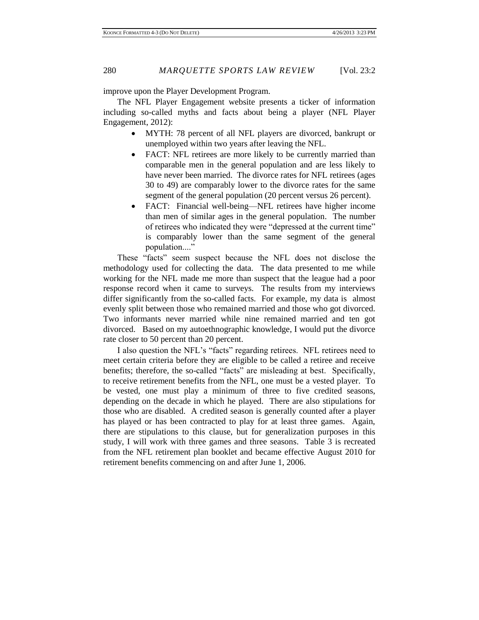improve upon the Player Development Program.

The NFL Player Engagement website presents a ticker of information including so-called myths and facts about being a player (NFL Player Engagement, 2012):

- MYTH: 78 percent of all NFL players are divorced, bankrupt or unemployed within two years after leaving the NFL.
- FACT: NFL retirees are more likely to be currently married than comparable men in the general population and are less likely to have never been married. The divorce rates for NFL retirees (ages 30 to 49) are comparably lower to the divorce rates for the same segment of the general population (20 percent versus 26 percent).
- FACT: Financial well-being—NFL retirees have higher income than men of similar ages in the general population. The number of retirees who indicated they were "depressed at the current time" is comparably lower than the same segment of the general population...."

These "facts" seem suspect because the NFL does not disclose the methodology used for collecting the data. The data presented to me while working for the NFL made me more than suspect that the league had a poor response record when it came to surveys. The results from my interviews differ significantly from the so-called facts. For example, my data is almost evenly split between those who remained married and those who got divorced. Two informants never married while nine remained married and ten got divorced. Based on my autoethnographic knowledge, I would put the divorce rate closer to 50 percent than 20 percent.

I also question the NFL's "facts" regarding retirees. NFL retirees need to meet certain criteria before they are eligible to be called a retiree and receive benefits; therefore, the so-called "facts" are misleading at best. Specifically, to receive retirement benefits from the NFL, one must be a vested player. To be vested, one must play a minimum of three to five credited seasons, depending on the decade in which he played. There are also stipulations for those who are disabled. A credited season is generally counted after a player has played or has been contracted to play for at least three games. Again, there are stipulations to this clause, but for generalization purposes in this study, I will work with three games and three seasons. Table 3 is recreated from the NFL retirement plan booklet and became effective August 2010 for retirement benefits commencing on and after June 1, 2006.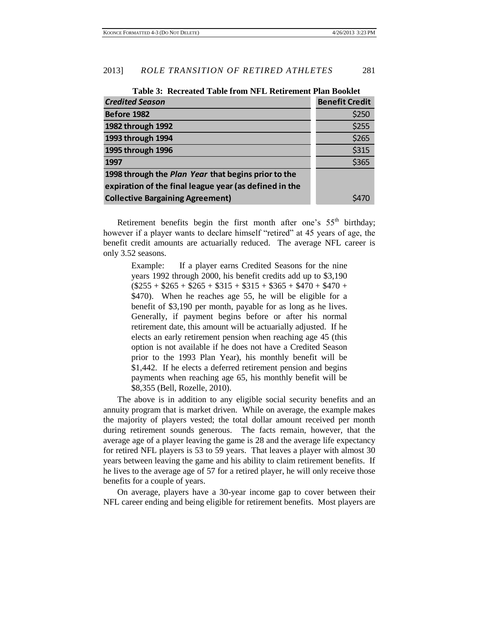| <b>Credited Season</b>                                 | <b>Benefit Credit</b> |
|--------------------------------------------------------|-----------------------|
| Before 1982                                            | \$250                 |
| 1982 through 1992                                      | \$255                 |
| 1993 through 1994                                      | \$265                 |
| 1995 through 1996                                      | \$315                 |
| 1997                                                   | \$365                 |
| 1998 through the Plan Year that begins prior to the    |                       |
| expiration of the final league year (as defined in the |                       |
| <b>Collective Bargaining Agreement)</b>                |                       |

**Table 3: Recreated Table from NFL Retirement Plan Booklet**

Retirement benefits begin the first month after one's  $55<sup>th</sup>$  birthday; however if a player wants to declare himself "retired" at 45 years of age, the benefit credit amounts are actuarially reduced. The average NFL career is only 3.52 seasons.

> Example: If a player earns Credited Seasons for the nine years 1992 through 2000, his benefit credits add up to \$3,190  $($255 + $265 + $265 + $315 + $315 + $365 + $470 + $470 +$ \$470). When he reaches age 55, he will be eligible for a benefit of \$3,190 per month, payable for as long as he lives. Generally, if payment begins before or after his normal retirement date, this amount will be actuarially adjusted. If he elects an early retirement pension when reaching age 45 (this option is not available if he does not have a Credited Season prior to the 1993 Plan Year), his monthly benefit will be \$1,442. If he elects a deferred retirement pension and begins payments when reaching age 65, his monthly benefit will be \$8,355 (Bell, Rozelle, 2010).

The above is in addition to any eligible social security benefits and an annuity program that is market driven. While on average, the example makes the majority of players vested; the total dollar amount received per month during retirement sounds generous. The facts remain, however, that the average age of a player leaving the game is 28 and the average life expectancy for retired NFL players is 53 to 59 years. That leaves a player with almost 30 years between leaving the game and his ability to claim retirement benefits. If he lives to the average age of 57 for a retired player, he will only receive those benefits for a couple of years.

On average, players have a 30-year income gap to cover between their NFL career ending and being eligible for retirement benefits. Most players are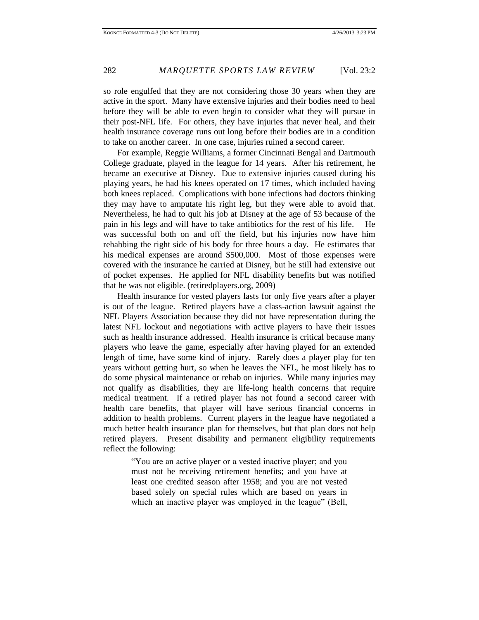so role engulfed that they are not considering those 30 years when they are active in the sport. Many have extensive injuries and their bodies need to heal before they will be able to even begin to consider what they will pursue in their post-NFL life. For others, they have injuries that never heal, and their health insurance coverage runs out long before their bodies are in a condition to take on another career. In one case, injuries ruined a second career.

For example, Reggie Williams, a former Cincinnati Bengal and Dartmouth College graduate, played in the league for 14 years. After his retirement, he became an executive at Disney. Due to extensive injuries caused during his playing years, he had his knees operated on 17 times, which included having both knees replaced. Complications with bone infections had doctors thinking they may have to amputate his right leg, but they were able to avoid that. Nevertheless, he had to quit his job at Disney at the age of 53 because of the pain in his legs and will have to take antibiotics for the rest of his life. He was successful both on and off the field, but his injuries now have him rehabbing the right side of his body for three hours a day. He estimates that his medical expenses are around \$500,000. Most of those expenses were covered with the insurance he carried at Disney, but he still had extensive out of pocket expenses. He applied for NFL disability benefits but was notified that he was not eligible. (retiredplayers.org, 2009)

Health insurance for vested players lasts for only five years after a player is out of the league. Retired players have a class-action lawsuit against the NFL Players Association because they did not have representation during the latest NFL lockout and negotiations with active players to have their issues such as health insurance addressed. Health insurance is critical because many players who leave the game, especially after having played for an extended length of time, have some kind of injury. Rarely does a player play for ten years without getting hurt, so when he leaves the NFL, he most likely has to do some physical maintenance or rehab on injuries. While many injuries may not qualify as disabilities, they are life-long health concerns that require medical treatment. If a retired player has not found a second career with health care benefits, that player will have serious financial concerns in addition to health problems. Current players in the league have negotiated a much better health insurance plan for themselves, but that plan does not help retired players. Present disability and permanent eligibility requirements reflect the following:

> "You are an active player or a vested inactive player; and you must not be receiving retirement benefits; and you have at least one credited season after 1958; and you are not vested based solely on special rules which are based on years in which an inactive player was employed in the league" (Bell,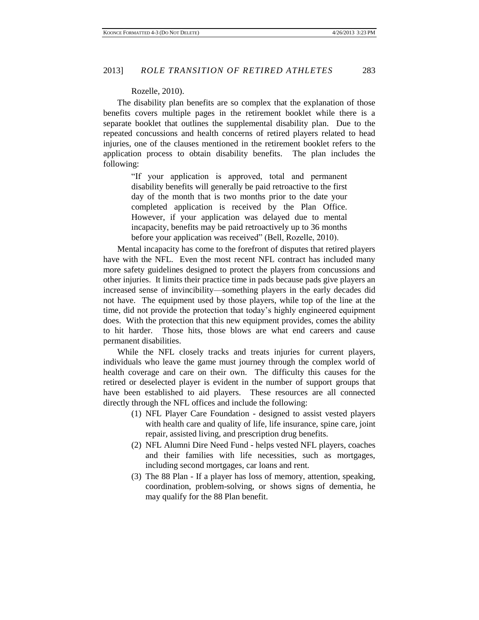#### Rozelle, 2010).

The disability plan benefits are so complex that the explanation of those benefits covers multiple pages in the retirement booklet while there is a separate booklet that outlines the supplemental disability plan. Due to the repeated concussions and health concerns of retired players related to head injuries, one of the clauses mentioned in the retirement booklet refers to the application process to obtain disability benefits. The plan includes the following:

> "If your application is approved, total and permanent disability benefits will generally be paid retroactive to the first day of the month that is two months prior to the date your completed application is received by the Plan Office. However, if your application was delayed due to mental incapacity, benefits may be paid retroactively up to 36 months before your application was received" (Bell, Rozelle, 2010).

Mental incapacity has come to the forefront of disputes that retired players have with the NFL. Even the most recent NFL contract has included many more safety guidelines designed to protect the players from concussions and other injuries. It limits their practice time in pads because pads give players an increased sense of invincibility—something players in the early decades did not have. The equipment used by those players, while top of the line at the time, did not provide the protection that today's highly engineered equipment does. With the protection that this new equipment provides, comes the ability to hit harder. Those hits, those blows are what end careers and cause permanent disabilities.

While the NFL closely tracks and treats injuries for current players, individuals who leave the game must journey through the complex world of health coverage and care on their own. The difficulty this causes for the retired or deselected player is evident in the number of support groups that have been established to aid players. These resources are all connected directly through the NFL offices and include the following:

- (1) NFL Player Care Foundation designed to assist vested players with health care and quality of life, life insurance, spine care, joint repair, assisted living, and prescription drug benefits.
- (2) NFL Alumni Dire Need Fund helps vested NFL players, coaches and their families with life necessities, such as mortgages, including second mortgages, car loans and rent.
- (3) The 88 Plan If a player has loss of memory, attention, speaking, coordination, problem-solving, or shows signs of dementia, he may qualify for the 88 Plan benefit.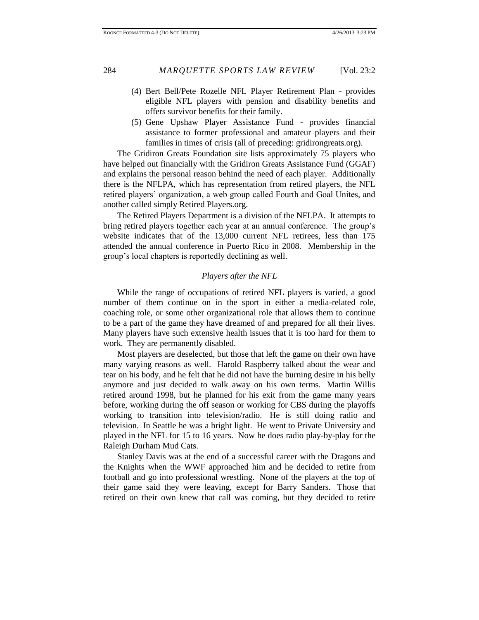- (4) Bert Bell/Pete Rozelle NFL Player Retirement Plan provides eligible NFL players with pension and disability benefits and offers survivor benefits for their family.
- (5) Gene Upshaw Player Assistance Fund provides financial assistance to former professional and amateur players and their families in times of crisis (all of preceding: gridirongreats.org).

The Gridiron Greats Foundation site lists approximately 75 players who have helped out financially with the Gridiron Greats Assistance Fund (GGAF) and explains the personal reason behind the need of each player. Additionally there is the NFLPA, which has representation from retired players, the NFL retired players' organization, a web group called Fourth and Goal Unites, and another called simply Retired Players.org.

The Retired Players Department is a division of the NFLPA. It attempts to bring retired players together each year at an annual conference. The group's website indicates that of the 13,000 current NFL retirees, less than 175 attended the annual conference in Puerto Rico in 2008. Membership in the group's local chapters is reportedly declining as well.

## *Players after the NFL*

While the range of occupations of retired NFL players is varied, a good number of them continue on in the sport in either a media-related role, coaching role, or some other organizational role that allows them to continue to be a part of the game they have dreamed of and prepared for all their lives. Many players have such extensive health issues that it is too hard for them to work. They are permanently disabled.

Most players are deselected, but those that left the game on their own have many varying reasons as well. Harold Raspberry talked about the wear and tear on his body, and he felt that he did not have the burning desire in his belly anymore and just decided to walk away on his own terms. Martin Willis retired around 1998, but he planned for his exit from the game many years before, working during the off season or working for CBS during the playoffs working to transition into television/radio. He is still doing radio and television. In Seattle he was a bright light. He went to Private University and played in the NFL for 15 to 16 years. Now he does radio play-by-play for the Raleigh Durham Mud Cats.

Stanley Davis was at the end of a successful career with the Dragons and the Knights when the WWF approached him and he decided to retire from football and go into professional wrestling. None of the players at the top of their game said they were leaving, except for Barry Sanders. Those that retired on their own knew that call was coming, but they decided to retire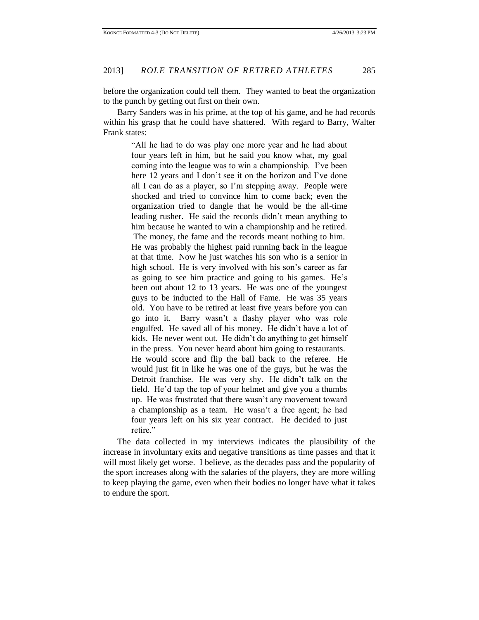before the organization could tell them. They wanted to beat the organization to the punch by getting out first on their own.

Barry Sanders was in his prime, at the top of his game, and he had records within his grasp that he could have shattered. With regard to Barry, Walter Frank states:

"All he had to do was play one more year and he had about four years left in him, but he said you know what, my goal coming into the league was to win a championship. I've been here 12 years and I don't see it on the horizon and I've done all I can do as a player, so I'm stepping away. People were shocked and tried to convince him to come back; even the organization tried to dangle that he would be the all-time leading rusher. He said the records didn't mean anything to him because he wanted to win a championship and he retired. The money, the fame and the records meant nothing to him. He was probably the highest paid running back in the league at that time. Now he just watches his son who is a senior in high school. He is very involved with his son's career as far as going to see him practice and going to his games. He's been out about 12 to 13 years. He was one of the youngest guys to be inducted to the Hall of Fame. He was 35 years old. You have to be retired at least five years before you can go into it. Barry wasn't a flashy player who was role engulfed. He saved all of his money. He didn't have a lot of kids. He never went out. He didn't do anything to get himself in the press. You never heard about him going to restaurants. He would score and flip the ball back to the referee. He would just fit in like he was one of the guys, but he was the Detroit franchise. He was very shy. He didn't talk on the field. He'd tap the top of your helmet and give you a thumbs up. He was frustrated that there wasn't any movement toward a championship as a team. He wasn't a free agent; he had four years left on his six year contract. He decided to just retire."

The data collected in my interviews indicates the plausibility of the increase in involuntary exits and negative transitions as time passes and that it will most likely get worse. I believe, as the decades pass and the popularity of the sport increases along with the salaries of the players, they are more willing to keep playing the game, even when their bodies no longer have what it takes to endure the sport.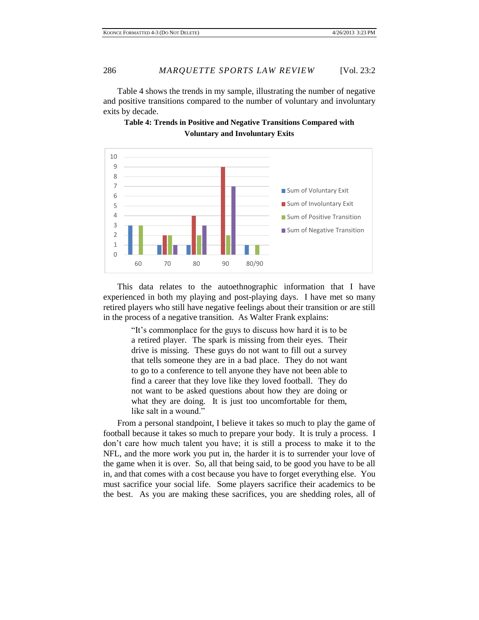Table 4 shows the trends in my sample, illustrating the number of negative and positive transitions compared to the number of voluntary and involuntary exits by decade.



**Table 4: Trends in Positive and Negative Transitions Compared with Voluntary and Involuntary Exits**

This data relates to the autoethnographic information that I have experienced in both my playing and post-playing days. I have met so many retired players who still have negative feelings about their transition or are still in the process of a negative transition. As Walter Frank explains:

> "It's commonplace for the guys to discuss how hard it is to be a retired player. The spark is missing from their eyes. Their drive is missing. These guys do not want to fill out a survey that tells someone they are in a bad place. They do not want to go to a conference to tell anyone they have not been able to find a career that they love like they loved football. They do not want to be asked questions about how they are doing or what they are doing. It is just too uncomfortable for them, like salt in a wound."

From a personal standpoint, I believe it takes so much to play the game of football because it takes so much to prepare your body. It is truly a process. I don't care how much talent you have; it is still a process to make it to the NFL, and the more work you put in, the harder it is to surrender your love of the game when it is over. So, all that being said, to be good you have to be all in, and that comes with a cost because you have to forget everything else. You must sacrifice your social life. Some players sacrifice their academics to be the best. As you are making these sacrifices, you are shedding roles, all of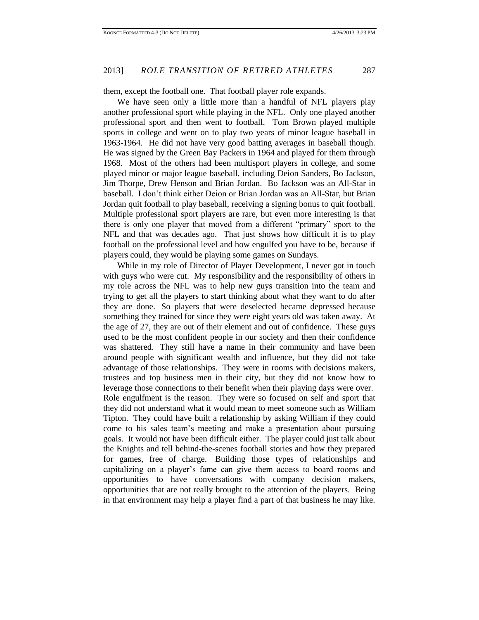them, except the football one. That football player role expands.

We have seen only a little more than a handful of NFL players play another professional sport while playing in the NFL. Only one played another professional sport and then went to football. Tom Brown played multiple sports in college and went on to play two years of minor league baseball in 1963-1964. He did not have very good batting averages in baseball though. He was signed by the Green Bay Packers in 1964 and played for them through 1968. Most of the others had been multisport players in college, and some played minor or major league baseball, including Deion Sanders, Bo Jackson, Jim Thorpe, Drew Henson and Brian Jordan. Bo Jackson was an All-Star in baseball. I don't think either Deion or Brian Jordan was an All-Star, but Brian Jordan quit football to play baseball, receiving a signing bonus to quit football. Multiple professional sport players are rare, but even more interesting is that there is only one player that moved from a different "primary" sport to the NFL and that was decades ago. That just shows how difficult it is to play football on the professional level and how engulfed you have to be, because if players could, they would be playing some games on Sundays.

While in my role of Director of Player Development, I never got in touch with guys who were cut. My responsibility and the responsibility of others in my role across the NFL was to help new guys transition into the team and trying to get all the players to start thinking about what they want to do after they are done. So players that were deselected became depressed because something they trained for since they were eight years old was taken away. At the age of 27, they are out of their element and out of confidence. These guys used to be the most confident people in our society and then their confidence was shattered. They still have a name in their community and have been around people with significant wealth and influence, but they did not take advantage of those relationships. They were in rooms with decisions makers, trustees and top business men in their city, but they did not know how to leverage those connections to their benefit when their playing days were over. Role engulfment is the reason. They were so focused on self and sport that they did not understand what it would mean to meet someone such as William Tipton. They could have built a relationship by asking William if they could come to his sales team's meeting and make a presentation about pursuing goals. It would not have been difficult either. The player could just talk about the Knights and tell behind-the-scenes football stories and how they prepared for games, free of charge. Building those types of relationships and capitalizing on a player's fame can give them access to board rooms and opportunities to have conversations with company decision makers, opportunities that are not really brought to the attention of the players. Being in that environment may help a player find a part of that business he may like.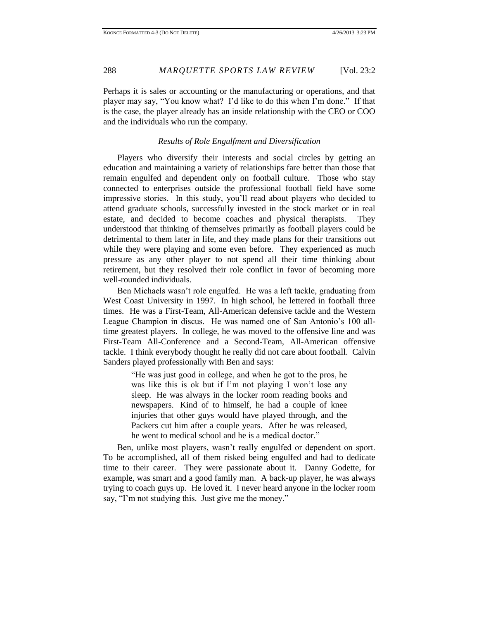Perhaps it is sales or accounting or the manufacturing or operations, and that player may say, "You know what? I'd like to do this when I'm done." If that is the case, the player already has an inside relationship with the CEO or COO and the individuals who run the company.

### *Results of Role Engulfment and Diversification*

Players who diversify their interests and social circles by getting an education and maintaining a variety of relationships fare better than those that remain engulfed and dependent only on football culture. Those who stay connected to enterprises outside the professional football field have some impressive stories. In this study, you'll read about players who decided to attend graduate schools, successfully invested in the stock market or in real estate, and decided to become coaches and physical therapists. They understood that thinking of themselves primarily as football players could be detrimental to them later in life, and they made plans for their transitions out while they were playing and some even before. They experienced as much pressure as any other player to not spend all their time thinking about retirement, but they resolved their role conflict in favor of becoming more well-rounded individuals.

Ben Michaels wasn't role engulfed. He was a left tackle, graduating from West Coast University in 1997. In high school, he lettered in football three times. He was a First-Team, All-American defensive tackle and the Western League Champion in discus. He was named one of San Antonio's 100 alltime greatest players. In college, he was moved to the offensive line and was First-Team All-Conference and a Second-Team, All-American offensive tackle. I think everybody thought he really did not care about football. Calvin Sanders played professionally with Ben and says:

> "He was just good in college, and when he got to the pros, he was like this is ok but if I'm not playing I won't lose any sleep. He was always in the locker room reading books and newspapers. Kind of to himself, he had a couple of knee injuries that other guys would have played through, and the Packers cut him after a couple years. After he was released, he went to medical school and he is a medical doctor."

Ben, unlike most players, wasn't really engulfed or dependent on sport. To be accomplished, all of them risked being engulfed and had to dedicate time to their career. They were passionate about it. Danny Godette, for example, was smart and a good family man. A back-up player, he was always trying to coach guys up. He loved it. I never heard anyone in the locker room say, "I'm not studying this. Just give me the money."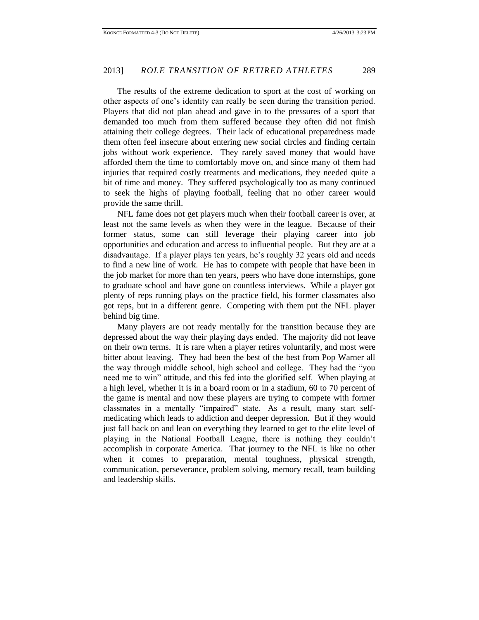The results of the extreme dedication to sport at the cost of working on other aspects of one's identity can really be seen during the transition period. Players that did not plan ahead and gave in to the pressures of a sport that demanded too much from them suffered because they often did not finish attaining their college degrees. Their lack of educational preparedness made them often feel insecure about entering new social circles and finding certain jobs without work experience. They rarely saved money that would have afforded them the time to comfortably move on, and since many of them had injuries that required costly treatments and medications, they needed quite a bit of time and money. They suffered psychologically too as many continued to seek the highs of playing football, feeling that no other career would provide the same thrill.

NFL fame does not get players much when their football career is over, at least not the same levels as when they were in the league. Because of their former status, some can still leverage their playing career into job opportunities and education and access to influential people. But they are at a disadvantage. If a player plays ten years, he's roughly 32 years old and needs to find a new line of work. He has to compete with people that have been in the job market for more than ten years, peers who have done internships, gone to graduate school and have gone on countless interviews. While a player got plenty of reps running plays on the practice field, his former classmates also got reps, but in a different genre. Competing with them put the NFL player behind big time.

Many players are not ready mentally for the transition because they are depressed about the way their playing days ended. The majority did not leave on their own terms. It is rare when a player retires voluntarily, and most were bitter about leaving. They had been the best of the best from Pop Warner all the way through middle school, high school and college. They had the "you need me to win" attitude, and this fed into the glorified self. When playing at a high level, whether it is in a board room or in a stadium, 60 to 70 percent of the game is mental and now these players are trying to compete with former classmates in a mentally "impaired" state. As a result, many start selfmedicating which leads to addiction and deeper depression. But if they would just fall back on and lean on everything they learned to get to the elite level of playing in the National Football League, there is nothing they couldn't accomplish in corporate America. That journey to the NFL is like no other when it comes to preparation, mental toughness, physical strength, communication, perseverance, problem solving, memory recall, team building and leadership skills.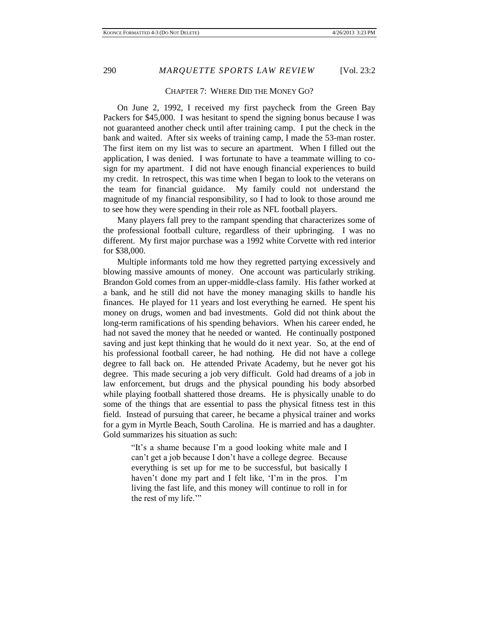#### CHAPTER 7: WHERE DID THE MONEY GO?

On June 2, 1992, I received my first paycheck from the Green Bay Packers for \$45,000. I was hesitant to spend the signing bonus because I was not guaranteed another check until after training camp. I put the check in the bank and waited. After six weeks of training camp, I made the 53-man roster. The first item on my list was to secure an apartment. When I filled out the application, I was denied. I was fortunate to have a teammate willing to cosign for my apartment. I did not have enough financial experiences to build my credit. In retrospect, this was time when I began to look to the veterans on the team for financial guidance. My family could not understand the magnitude of my financial responsibility, so I had to look to those around me to see how they were spending in their role as NFL football players.

Many players fall prey to the rampant spending that characterizes some of the professional football culture, regardless of their upbringing. I was no different. My first major purchase was a 1992 white Corvette with red interior for \$38,000.

Multiple informants told me how they regretted partying excessively and blowing massive amounts of money. One account was particularly striking. Brandon Gold comes from an upper-middle-class family. His father worked at a bank, and he still did not have the money managing skills to handle his finances. He played for 11 years and lost everything he earned. He spent his money on drugs, women and bad investments. Gold did not think about the long-term ramifications of his spending behaviors. When his career ended, he had not saved the money that he needed or wanted. He continually postponed saving and just kept thinking that he would do it next year. So, at the end of his professional football career, he had nothing. He did not have a college degree to fall back on. He attended Private Academy, but he never got his degree. This made securing a job very difficult. Gold had dreams of a job in law enforcement, but drugs and the physical pounding his body absorbed while playing football shattered those dreams. He is physically unable to do some of the things that are essential to pass the physical fitness test in this field. Instead of pursuing that career, he became a physical trainer and works for a gym in Myrtle Beach, South Carolina. He is married and has a daughter. Gold summarizes his situation as such:

> "It's a shame because I'm a good looking white male and I can't get a job because I don't have a college degree. Because everything is set up for me to be successful, but basically I haven't done my part and I felt like, 'I'm in the pros. I'm living the fast life, and this money will continue to roll in for the rest of my life.'"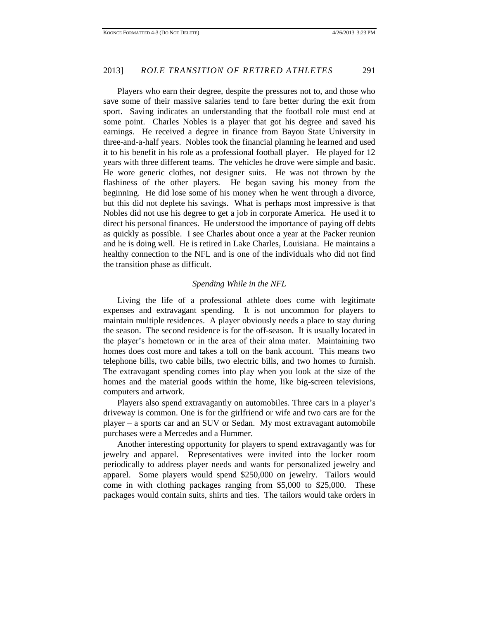Players who earn their degree, despite the pressures not to, and those who save some of their massive salaries tend to fare better during the exit from sport. Saving indicates an understanding that the football role must end at some point. Charles Nobles is a player that got his degree and saved his earnings. He received a degree in finance from Bayou State University in three-and-a-half years. Nobles took the financial planning he learned and used it to his benefit in his role as a professional football player. He played for 12 years with three different teams. The vehicles he drove were simple and basic. He wore generic clothes, not designer suits. He was not thrown by the flashiness of the other players. He began saving his money from the beginning. He did lose some of his money when he went through a divorce, but this did not deplete his savings. What is perhaps most impressive is that Nobles did not use his degree to get a job in corporate America. He used it to direct his personal finances. He understood the importance of paying off debts as quickly as possible. I see Charles about once a year at the Packer reunion and he is doing well. He is retired in Lake Charles, Louisiana. He maintains a healthy connection to the NFL and is one of the individuals who did not find the transition phase as difficult.

## *Spending While in the NFL*

Living the life of a professional athlete does come with legitimate expenses and extravagant spending. It is not uncommon for players to maintain multiple residences. A player obviously needs a place to stay during the season. The second residence is for the off-season. It is usually located in the player's hometown or in the area of their alma mater. Maintaining two homes does cost more and takes a toll on the bank account. This means two telephone bills, two cable bills, two electric bills, and two homes to furnish. The extravagant spending comes into play when you look at the size of the homes and the material goods within the home, like big-screen televisions, computers and artwork.

Players also spend extravagantly on automobiles. Three cars in a player's driveway is common. One is for the girlfriend or wife and two cars are for the player – a sports car and an SUV or Sedan. My most extravagant automobile purchases were a Mercedes and a Hummer.

Another interesting opportunity for players to spend extravagantly was for jewelry and apparel. Representatives were invited into the locker room periodically to address player needs and wants for personalized jewelry and apparel. Some players would spend \$250,000 on jewelry. Tailors would come in with clothing packages ranging from \$5,000 to \$25,000. These packages would contain suits, shirts and ties. The tailors would take orders in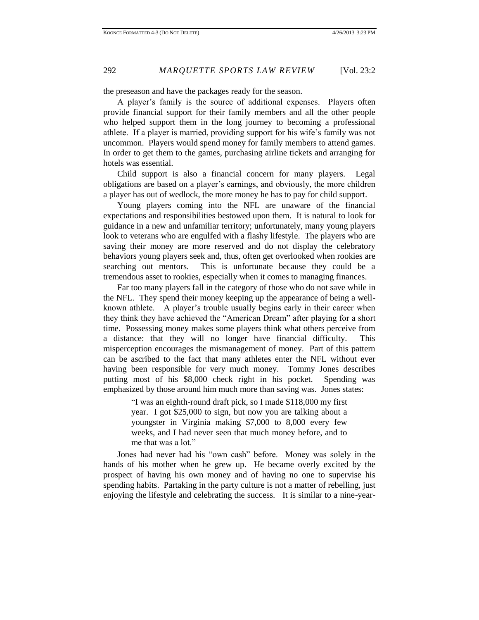the preseason and have the packages ready for the season.

A player's family is the source of additional expenses. Players often provide financial support for their family members and all the other people who helped support them in the long journey to becoming a professional athlete. If a player is married, providing support for his wife's family was not uncommon. Players would spend money for family members to attend games. In order to get them to the games, purchasing airline tickets and arranging for hotels was essential.

Child support is also a financial concern for many players. Legal obligations are based on a player's earnings, and obviously, the more children a player has out of wedlock, the more money he has to pay for child support.

Young players coming into the NFL are unaware of the financial expectations and responsibilities bestowed upon them. It is natural to look for guidance in a new and unfamiliar territory; unfortunately, many young players look to veterans who are engulfed with a flashy lifestyle. The players who are saving their money are more reserved and do not display the celebratory behaviors young players seek and, thus, often get overlooked when rookies are searching out mentors. This is unfortunate because they could be a tremendous asset to rookies, especially when it comes to managing finances.

Far too many players fall in the category of those who do not save while in the NFL. They spend their money keeping up the appearance of being a wellknown athlete. A player's trouble usually begins early in their career when they think they have achieved the "American Dream" after playing for a short time. Possessing money makes some players think what others perceive from a distance: that they will no longer have financial difficulty. This misperception encourages the mismanagement of money. Part of this pattern can be ascribed to the fact that many athletes enter the NFL without ever having been responsible for very much money. Tommy Jones describes putting most of his \$8,000 check right in his pocket. Spending was emphasized by those around him much more than saving was. Jones states:

> "I was an eighth-round draft pick, so I made \$118,000 my first year. I got \$25,000 to sign, but now you are talking about a youngster in Virginia making \$7,000 to 8,000 every few weeks, and I had never seen that much money before, and to me that was a lot."

Jones had never had his "own cash" before. Money was solely in the hands of his mother when he grew up. He became overly excited by the prospect of having his own money and of having no one to supervise his spending habits. Partaking in the party culture is not a matter of rebelling, just enjoying the lifestyle and celebrating the success. It is similar to a nine-year-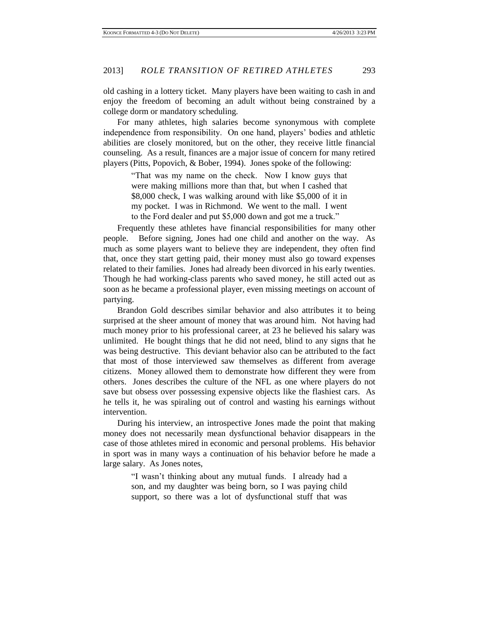old cashing in a lottery ticket. Many players have been waiting to cash in and enjoy the freedom of becoming an adult without being constrained by a college dorm or mandatory scheduling.

For many athletes, high salaries become synonymous with complete independence from responsibility. On one hand, players' bodies and athletic abilities are closely monitored, but on the other, they receive little financial counseling. As a result, finances are a major issue of concern for many retired players (Pitts, Popovich, & Bober, 1994). Jones spoke of the following:

> "That was my name on the check. Now I know guys that were making millions more than that, but when I cashed that \$8,000 check, I was walking around with like \$5,000 of it in my pocket. I was in Richmond. We went to the mall. I went to the Ford dealer and put \$5,000 down and got me a truck."

Frequently these athletes have financial responsibilities for many other people. Before signing, Jones had one child and another on the way. As much as some players want to believe they are independent, they often find that, once they start getting paid, their money must also go toward expenses related to their families. Jones had already been divorced in his early twenties. Though he had working-class parents who saved money, he still acted out as soon as he became a professional player, even missing meetings on account of partying.

Brandon Gold describes similar behavior and also attributes it to being surprised at the sheer amount of money that was around him. Not having had much money prior to his professional career, at 23 he believed his salary was unlimited. He bought things that he did not need, blind to any signs that he was being destructive. This deviant behavior also can be attributed to the fact that most of those interviewed saw themselves as different from average citizens. Money allowed them to demonstrate how different they were from others. Jones describes the culture of the NFL as one where players do not save but obsess over possessing expensive objects like the flashiest cars. As he tells it, he was spiraling out of control and wasting his earnings without intervention.

During his interview, an introspective Jones made the point that making money does not necessarily mean dysfunctional behavior disappears in the case of those athletes mired in economic and personal problems. His behavior in sport was in many ways a continuation of his behavior before he made a large salary. As Jones notes,

> "I wasn't thinking about any mutual funds. I already had a son, and my daughter was being born, so I was paying child support, so there was a lot of dysfunctional stuff that was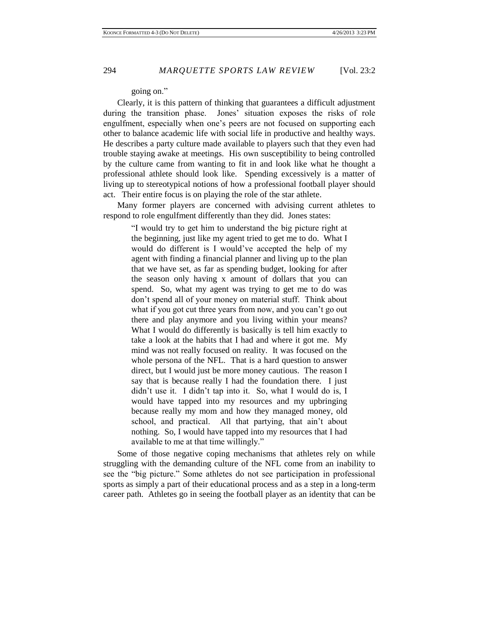## going on."

Clearly, it is this pattern of thinking that guarantees a difficult adjustment during the transition phase. Jones' situation exposes the risks of role engulfment, especially when one's peers are not focused on supporting each other to balance academic life with social life in productive and healthy ways. He describes a party culture made available to players such that they even had trouble staying awake at meetings. His own susceptibility to being controlled by the culture came from wanting to fit in and look like what he thought a professional athlete should look like. Spending excessively is a matter of living up to stereotypical notions of how a professional football player should act. Their entire focus is on playing the role of the star athlete.

Many former players are concerned with advising current athletes to respond to role engulfment differently than they did. Jones states:

"I would try to get him to understand the big picture right at the beginning, just like my agent tried to get me to do. What I would do different is I would've accepted the help of my agent with finding a financial planner and living up to the plan that we have set, as far as spending budget, looking for after the season only having x amount of dollars that you can spend. So, what my agent was trying to get me to do was don't spend all of your money on material stuff. Think about what if you got cut three years from now, and you can't go out there and play anymore and you living within your means? What I would do differently is basically is tell him exactly to take a look at the habits that I had and where it got me. My mind was not really focused on reality. It was focused on the whole persona of the NFL. That is a hard question to answer direct, but I would just be more money cautious. The reason I say that is because really I had the foundation there. I just didn't use it. I didn't tap into it. So, what I would do is, I would have tapped into my resources and my upbringing because really my mom and how they managed money, old school, and practical. All that partying, that ain't about nothing. So, I would have tapped into my resources that I had available to me at that time willingly."

Some of those negative coping mechanisms that athletes rely on while struggling with the demanding culture of the NFL come from an inability to see the "big picture." Some athletes do not see participation in professional sports as simply a part of their educational process and as a step in a long-term career path. Athletes go in seeing the football player as an identity that can be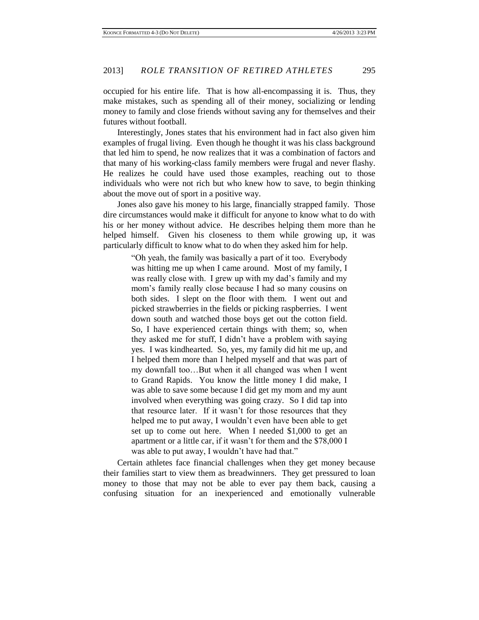occupied for his entire life. That is how all-encompassing it is. Thus, they make mistakes, such as spending all of their money, socializing or lending money to family and close friends without saving any for themselves and their futures without football.

Interestingly, Jones states that his environment had in fact also given him examples of frugal living. Even though he thought it was his class background that led him to spend, he now realizes that it was a combination of factors and that many of his working-class family members were frugal and never flashy. He realizes he could have used those examples, reaching out to those individuals who were not rich but who knew how to save, to begin thinking about the move out of sport in a positive way.

Jones also gave his money to his large, financially strapped family. Those dire circumstances would make it difficult for anyone to know what to do with his or her money without advice. He describes helping them more than he helped himself. Given his closeness to them while growing up, it was particularly difficult to know what to do when they asked him for help.

> "Oh yeah, the family was basically a part of it too. Everybody was hitting me up when I came around. Most of my family, I was really close with. I grew up with my dad's family and my mom's family really close because I had so many cousins on both sides. I slept on the floor with them. I went out and picked strawberries in the fields or picking raspberries. I went down south and watched those boys get out the cotton field. So, I have experienced certain things with them; so, when they asked me for stuff, I didn't have a problem with saying yes. I was kindhearted. So, yes, my family did hit me up, and I helped them more than I helped myself and that was part of my downfall too…But when it all changed was when I went to Grand Rapids. You know the little money I did make, I was able to save some because I did get my mom and my aunt involved when everything was going crazy. So I did tap into that resource later. If it wasn't for those resources that they helped me to put away, I wouldn't even have been able to get set up to come out here. When I needed \$1,000 to get an apartment or a little car, if it wasn't for them and the \$78,000 I was able to put away, I wouldn't have had that."

Certain athletes face financial challenges when they get money because their families start to view them as breadwinners. They get pressured to loan money to those that may not be able to ever pay them back, causing a confusing situation for an inexperienced and emotionally vulnerable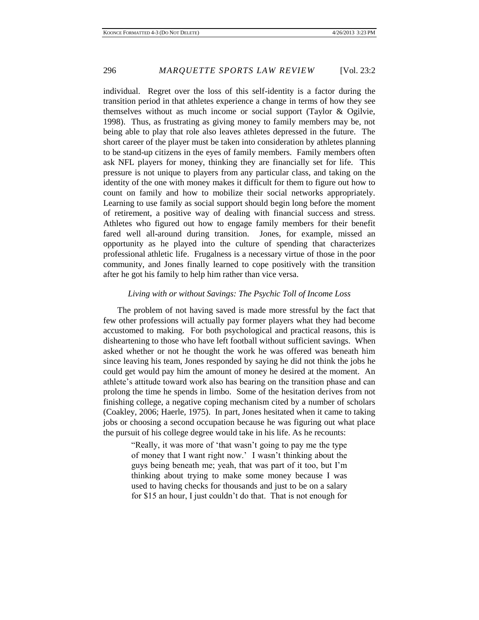individual. Regret over the loss of this self-identity is a factor during the transition period in that athletes experience a change in terms of how they see themselves without as much income or social support (Taylor & Ogilvie, 1998). Thus, as frustrating as giving money to family members may be, not being able to play that role also leaves athletes depressed in the future. The short career of the player must be taken into consideration by athletes planning to be stand-up citizens in the eyes of family members. Family members often ask NFL players for money, thinking they are financially set for life. This pressure is not unique to players from any particular class, and taking on the identity of the one with money makes it difficult for them to figure out how to count on family and how to mobilize their social networks appropriately. Learning to use family as social support should begin long before the moment of retirement, a positive way of dealing with financial success and stress. Athletes who figured out how to engage family members for their benefit fared well all-around during transition. Jones, for example, missed an opportunity as he played into the culture of spending that characterizes professional athletic life. Frugalness is a necessary virtue of those in the poor community, and Jones finally learned to cope positively with the transition after he got his family to help him rather than vice versa.

## *Living with or without Savings: The Psychic Toll of Income Loss*

The problem of not having saved is made more stressful by the fact that few other professions will actually pay former players what they had become accustomed to making. For both psychological and practical reasons, this is disheartening to those who have left football without sufficient savings. When asked whether or not he thought the work he was offered was beneath him since leaving his team, Jones responded by saying he did not think the jobs he could get would pay him the amount of money he desired at the moment. An athlete's attitude toward work also has bearing on the transition phase and can prolong the time he spends in limbo. Some of the hesitation derives from not finishing college, a negative coping mechanism cited by a number of scholars (Coakley, 2006; Haerle, 1975). In part, Jones hesitated when it came to taking jobs or choosing a second occupation because he was figuring out what place the pursuit of his college degree would take in his life. As he recounts:

> "Really, it was more of 'that wasn't going to pay me the type of money that I want right now.' I wasn't thinking about the guys being beneath me; yeah, that was part of it too, but I'm thinking about trying to make some money because I was used to having checks for thousands and just to be on a salary for \$15 an hour, I just couldn't do that. That is not enough for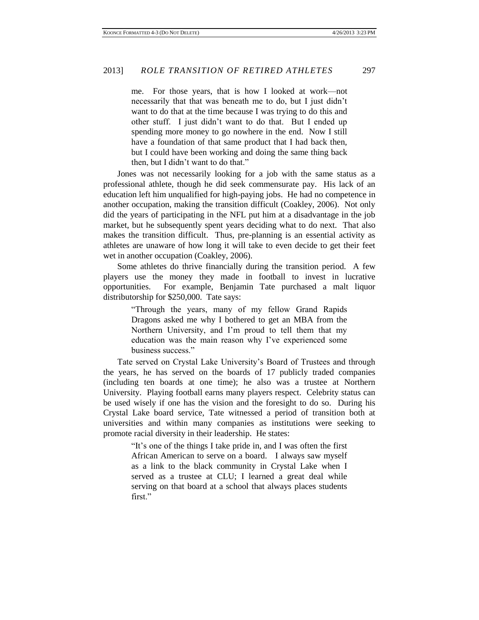me. For those years, that is how I looked at work—not necessarily that that was beneath me to do, but I just didn't want to do that at the time because I was trying to do this and other stuff. I just didn't want to do that. But I ended up spending more money to go nowhere in the end. Now I still have a foundation of that same product that I had back then, but I could have been working and doing the same thing back then, but I didn't want to do that."

Jones was not necessarily looking for a job with the same status as a professional athlete, though he did seek commensurate pay. His lack of an education left him unqualified for high-paying jobs. He had no competence in another occupation, making the transition difficult (Coakley, 2006). Not only did the years of participating in the NFL put him at a disadvantage in the job market, but he subsequently spent years deciding what to do next. That also makes the transition difficult. Thus, pre-planning is an essential activity as athletes are unaware of how long it will take to even decide to get their feet wet in another occupation (Coakley, 2006).

Some athletes do thrive financially during the transition period. A few players use the money they made in football to invest in lucrative opportunities. For example, Benjamin Tate purchased a malt liquor distributorship for \$250,000. Tate says:

> "Through the years, many of my fellow Grand Rapids Dragons asked me why I bothered to get an MBA from the Northern University, and I'm proud to tell them that my education was the main reason why I've experienced some business success."

Tate served on Crystal Lake University's Board of Trustees and through the years, he has served on the boards of 17 publicly traded companies (including ten boards at one time); he also was a trustee at Northern University. Playing football earns many players respect. Celebrity status can be used wisely if one has the vision and the foresight to do so. During his Crystal Lake board service, Tate witnessed a period of transition both at universities and within many companies as institutions were seeking to promote racial diversity in their leadership. He states:

> "It's one of the things I take pride in, and I was often the first African American to serve on a board. I always saw myself as a link to the black community in Crystal Lake when I served as a trustee at CLU; I learned a great deal while serving on that board at a school that always places students first."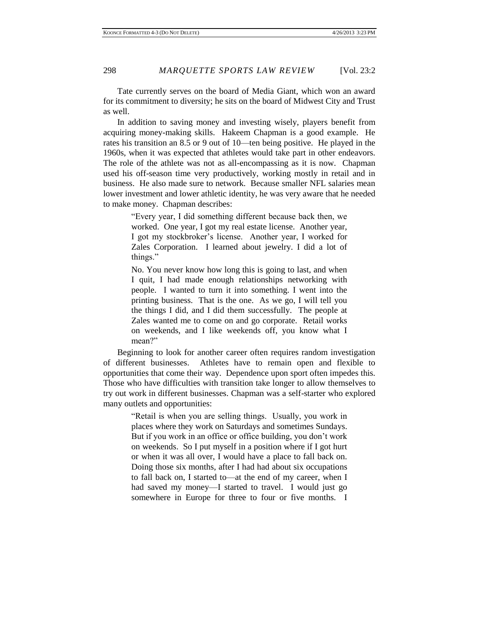Tate currently serves on the board of Media Giant, which won an award for its commitment to diversity; he sits on the board of Midwest City and Trust as well.

In addition to saving money and investing wisely, players benefit from acquiring money-making skills. Hakeem Chapman is a good example. He rates his transition an 8.5 or 9 out of 10—ten being positive. He played in the 1960s, when it was expected that athletes would take part in other endeavors. The role of the athlete was not as all-encompassing as it is now. Chapman used his off-season time very productively, working mostly in retail and in business. He also made sure to network. Because smaller NFL salaries mean lower investment and lower athletic identity, he was very aware that he needed to make money. Chapman describes:

> "Every year, I did something different because back then, we worked. One year, I got my real estate license. Another year, I got my stockbroker's license. Another year, I worked for Zales Corporation. I learned about jewelry. I did a lot of things."

> No. You never know how long this is going to last, and when I quit, I had made enough relationships networking with people. I wanted to turn it into something. I went into the printing business. That is the one. As we go, I will tell you the things I did, and I did them successfully. The people at Zales wanted me to come on and go corporate. Retail works on weekends, and I like weekends off, you know what I mean?"

Beginning to look for another career often requires random investigation of different businesses. Athletes have to remain open and flexible to opportunities that come their way. Dependence upon sport often impedes this. Those who have difficulties with transition take longer to allow themselves to try out work in different businesses. Chapman was a self-starter who explored many outlets and opportunities:

> "Retail is when you are selling things. Usually, you work in places where they work on Saturdays and sometimes Sundays. But if you work in an office or office building, you don't work on weekends. So I put myself in a position where if I got hurt or when it was all over, I would have a place to fall back on. Doing those six months, after I had had about six occupations to fall back on, I started to—at the end of my career, when I had saved my money—I started to travel. I would just go somewhere in Europe for three to four or five months. I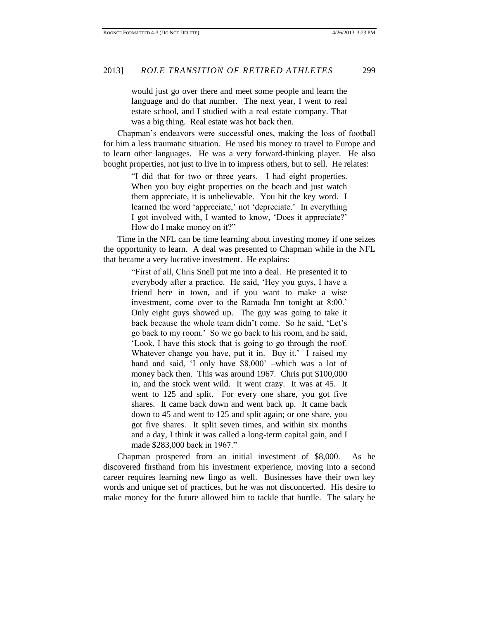would just go over there and meet some people and learn the language and do that number. The next year, I went to real estate school, and I studied with a real estate company. That was a big thing. Real estate was hot back then.

Chapman's endeavors were successful ones, making the loss of football for him a less traumatic situation. He used his money to travel to Europe and to learn other languages. He was a very forward-thinking player. He also bought properties, not just to live in to impress others, but to sell. He relates:

> "I did that for two or three years. I had eight properties. When you buy eight properties on the beach and just watch them appreciate, it is unbelievable. You hit the key word. I learned the word 'appreciate,' not 'depreciate.' In everything I got involved with, I wanted to know, 'Does it appreciate?' How do I make money on it?"

Time in the NFL can be time learning about investing money if one seizes the opportunity to learn. A deal was presented to Chapman while in the NFL that became a very lucrative investment. He explains:

"First of all, Chris Snell put me into a deal. He presented it to everybody after a practice. He said, 'Hey you guys, I have a friend here in town, and if you want to make a wise investment, come over to the Ramada Inn tonight at 8:00.' Only eight guys showed up. The guy was going to take it back because the whole team didn't come. So he said, 'Let's go back to my room.' So we go back to his room, and he said, 'Look, I have this stock that is going to go through the roof. Whatever change you have, put it in. Buy it.' I raised my hand and said, 'I only have \$8,000' –which was a lot of money back then. This was around 1967. Chris put \$100,000 in, and the stock went wild. It went crazy. It was at 45. It went to 125 and split. For every one share, you got five shares. It came back down and went back up. It came back down to 45 and went to 125 and split again; or one share, you got five shares. It split seven times, and within six months and a day, I think it was called a long-term capital gain, and I made \$283,000 back in 1967."

Chapman prospered from an initial investment of \$8,000. As he discovered firsthand from his investment experience, moving into a second career requires learning new lingo as well. Businesses have their own key words and unique set of practices, but he was not disconcerted. His desire to make money for the future allowed him to tackle that hurdle. The salary he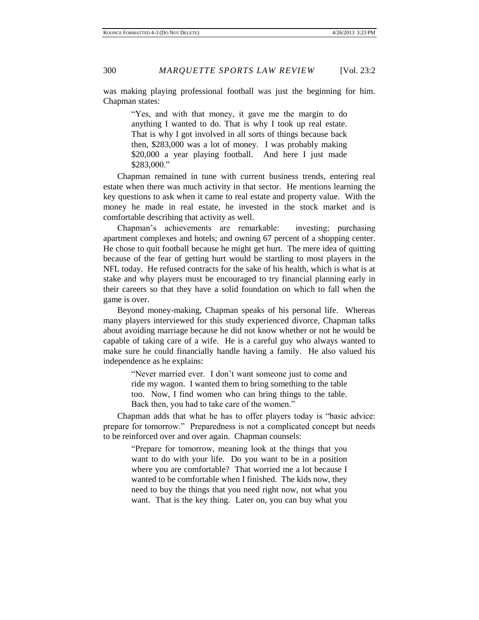was making playing professional football was just the beginning for him. Chapman states:

> "Yes, and with that money, it gave me the margin to do anything I wanted to do. That is why I took up real estate. That is why I got involved in all sorts of things because back then, \$283,000 was a lot of money. I was probably making \$20,000 a year playing football. And here I just made \$283,000."

Chapman remained in tune with current business trends, entering real estate when there was much activity in that sector. He mentions learning the key questions to ask when it came to real estate and property value. With the money he made in real estate, he invested in the stock market and is comfortable describing that activity as well.

Chapman's achievements are remarkable: investing; purchasing apartment complexes and hotels; and owning 67 percent of a shopping center. He chose to quit football because he might get hurt. The mere idea of quitting because of the fear of getting hurt would be startling to most players in the NFL today. He refused contracts for the sake of his health, which is what is at stake and why players must be encouraged to try financial planning early in their careers so that they have a solid foundation on which to fall when the game is over.

Beyond money-making, Chapman speaks of his personal life. Whereas many players interviewed for this study experienced divorce, Chapman talks about avoiding marriage because he did not know whether or not he would be capable of taking care of a wife. He is a careful guy who always wanted to make sure he could financially handle having a family. He also valued his independence as he explains:

> "Never married ever. I don't want someone just to come and ride my wagon. I wanted them to bring something to the table too. Now, I find women who can bring things to the table. Back then, you had to take care of the women."

Chapman adds that what he has to offer players today is "basic advice: prepare for tomorrow." Preparedness is not a complicated concept but needs to be reinforced over and over again. Chapman counsels:

> "Prepare for tomorrow, meaning look at the things that you want to do with your life. Do you want to be in a position where you are comfortable? That worried me a lot because I wanted to be comfortable when I finished. The kids now, they need to buy the things that you need right now, not what you want. That is the key thing. Later on, you can buy what you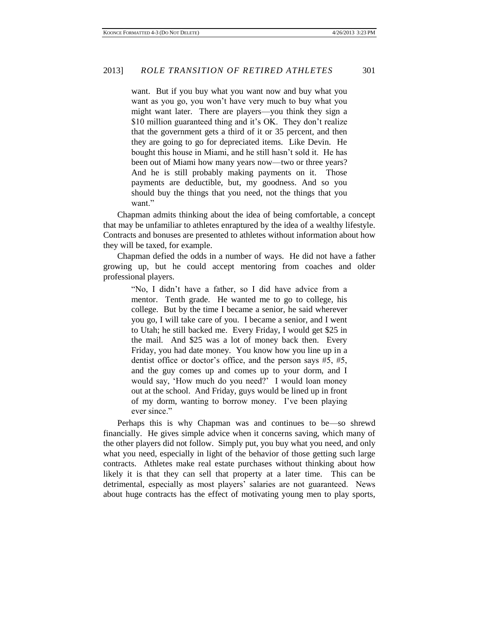want. But if you buy what you want now and buy what you want as you go, you won't have very much to buy what you might want later. There are players—you think they sign a \$10 million guaranteed thing and it's OK. They don't realize that the government gets a third of it or 35 percent, and then they are going to go for depreciated items. Like Devin. He bought this house in Miami, and he still hasn't sold it. He has been out of Miami how many years now—two or three years? And he is still probably making payments on it. Those payments are deductible, but, my goodness. And so you should buy the things that you need, not the things that you want."

Chapman admits thinking about the idea of being comfortable, a concept that may be unfamiliar to athletes enraptured by the idea of a wealthy lifestyle. Contracts and bonuses are presented to athletes without information about how they will be taxed, for example.

Chapman defied the odds in a number of ways. He did not have a father growing up, but he could accept mentoring from coaches and older professional players.

> "No, I didn't have a father, so I did have advice from a mentor. Tenth grade. He wanted me to go to college, his college. But by the time I became a senior, he said wherever you go, I will take care of you. I became a senior, and I went to Utah; he still backed me. Every Friday, I would get \$25 in the mail. And \$25 was a lot of money back then. Every Friday, you had date money. You know how you line up in a dentist office or doctor's office, and the person says #5, #5, and the guy comes up and comes up to your dorm, and I would say, 'How much do you need?' I would loan money out at the school. And Friday, guys would be lined up in front of my dorm, wanting to borrow money. I've been playing ever since."

Perhaps this is why Chapman was and continues to be—so shrewd financially. He gives simple advice when it concerns saving, which many of the other players did not follow. Simply put, you buy what you need, and only what you need, especially in light of the behavior of those getting such large contracts. Athletes make real estate purchases without thinking about how likely it is that they can sell that property at a later time. This can be detrimental, especially as most players' salaries are not guaranteed. News about huge contracts has the effect of motivating young men to play sports,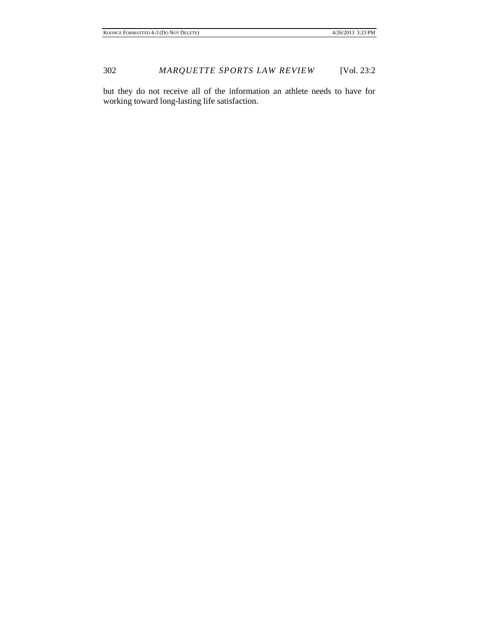but they do not receive all of the information an athlete needs to have for working toward long-lasting life satisfaction.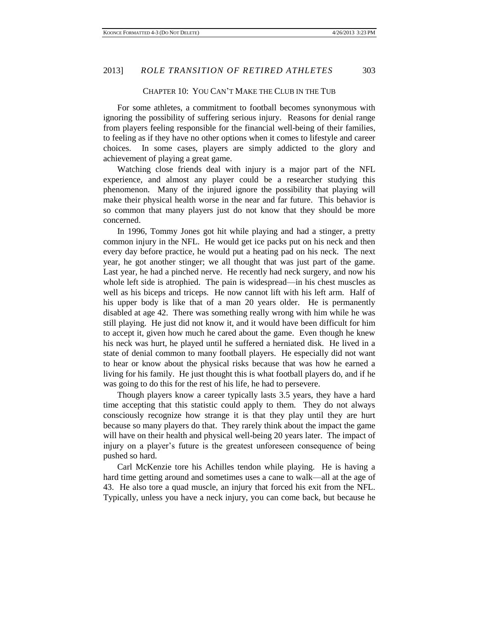### CHAPTER 10: YOU CAN'T MAKE THE CLUB IN THE TUB

For some athletes, a commitment to football becomes synonymous with ignoring the possibility of suffering serious injury. Reasons for denial range from players feeling responsible for the financial well-being of their families, to feeling as if they have no other options when it comes to lifestyle and career choices. In some cases, players are simply addicted to the glory and achievement of playing a great game.

Watching close friends deal with injury is a major part of the NFL experience, and almost any player could be a researcher studying this phenomenon. Many of the injured ignore the possibility that playing will make their physical health worse in the near and far future. This behavior is so common that many players just do not know that they should be more concerned.

In 1996, Tommy Jones got hit while playing and had a stinger, a pretty common injury in the NFL. He would get ice packs put on his neck and then every day before practice, he would put a heating pad on his neck. The next year, he got another stinger; we all thought that was just part of the game. Last year, he had a pinched nerve. He recently had neck surgery, and now his whole left side is atrophied. The pain is widespread—in his chest muscles as well as his biceps and triceps. He now cannot lift with his left arm. Half of his upper body is like that of a man 20 years older. He is permanently disabled at age 42. There was something really wrong with him while he was still playing. He just did not know it, and it would have been difficult for him to accept it, given how much he cared about the game. Even though he knew his neck was hurt, he played until he suffered a herniated disk. He lived in a state of denial common to many football players. He especially did not want to hear or know about the physical risks because that was how he earned a living for his family. He just thought this is what football players do, and if he was going to do this for the rest of his life, he had to persevere.

Though players know a career typically lasts 3.5 years, they have a hard time accepting that this statistic could apply to them. They do not always consciously recognize how strange it is that they play until they are hurt because so many players do that. They rarely think about the impact the game will have on their health and physical well-being 20 years later. The impact of injury on a player's future is the greatest unforeseen consequence of being pushed so hard.

Carl McKenzie tore his Achilles tendon while playing. He is having a hard time getting around and sometimes uses a cane to walk—all at the age of 43. He also tore a quad muscle, an injury that forced his exit from the NFL. Typically, unless you have a neck injury, you can come back, but because he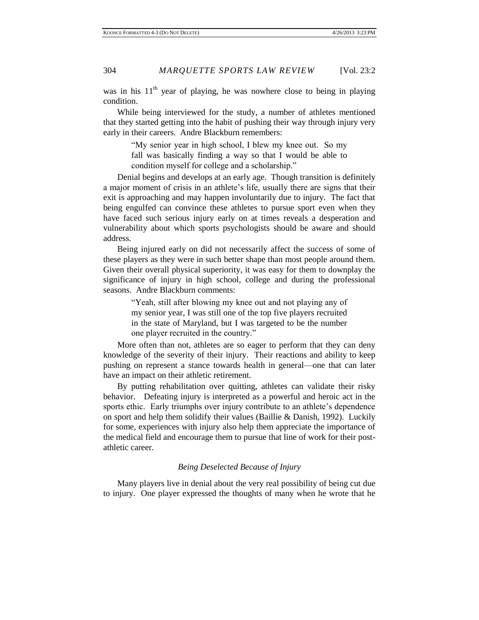was in his  $11<sup>th</sup>$  year of playing, he was nowhere close to being in playing condition.

While being interviewed for the study, a number of athletes mentioned that they started getting into the habit of pushing their way through injury very early in their careers. Andre Blackburn remembers:

> "My senior year in high school, I blew my knee out. So my fall was basically finding a way so that I would be able to condition myself for college and a scholarship."

Denial begins and develops at an early age. Though transition is definitely a major moment of crisis in an athlete's life, usually there are signs that their exit is approaching and may happen involuntarily due to injury. The fact that being engulfed can convince these athletes to pursue sport even when they have faced such serious injury early on at times reveals a desperation and vulnerability about which sports psychologists should be aware and should address.

Being injured early on did not necessarily affect the success of some of these players as they were in such better shape than most people around them. Given their overall physical superiority, it was easy for them to downplay the significance of injury in high school, college and during the professional seasons. Andre Blackburn comments:

> "Yeah, still after blowing my knee out and not playing any of my senior year, I was still one of the top five players recruited in the state of Maryland, but I was targeted to be the number one player recruited in the country."

More often than not, athletes are so eager to perform that they can deny knowledge of the severity of their injury. Their reactions and ability to keep pushing on represent a stance towards health in general—one that can later have an impact on their athletic retirement.

By putting rehabilitation over quitting, athletes can validate their risky behavior. Defeating injury is interpreted as a powerful and heroic act in the sports ethic. Early triumphs over injury contribute to an athlete's dependence on sport and help them solidify their values (Baillie & Danish, 1992). Luckily for some, experiences with injury also help them appreciate the importance of the medical field and encourage them to pursue that line of work for their postathletic career.

# *Being Deselected Because of Injury*

Many players live in denial about the very real possibility of being cut due to injury. One player expressed the thoughts of many when he wrote that he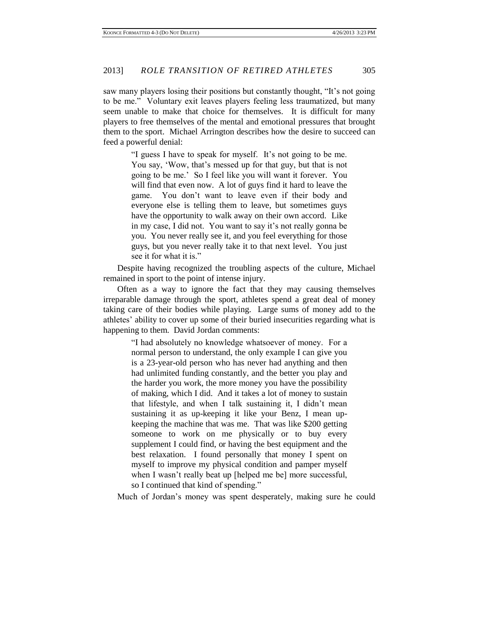saw many players losing their positions but constantly thought, "It's not going to be me." Voluntary exit leaves players feeling less traumatized, but many seem unable to make that choice for themselves. It is difficult for many players to free themselves of the mental and emotional pressures that brought them to the sport. Michael Arrington describes how the desire to succeed can feed a powerful denial:

"I guess I have to speak for myself. It's not going to be me. You say, 'Wow, that's messed up for that guy, but that is not going to be me.' So I feel like you will want it forever. You will find that even now. A lot of guys find it hard to leave the game. You don't want to leave even if their body and everyone else is telling them to leave, but sometimes guys have the opportunity to walk away on their own accord. Like in my case, I did not. You want to say it's not really gonna be you. You never really see it, and you feel everything for those guys, but you never really take it to that next level. You just see it for what it is."

Despite having recognized the troubling aspects of the culture, Michael remained in sport to the point of intense injury.

Often as a way to ignore the fact that they may causing themselves irreparable damage through the sport, athletes spend a great deal of money taking care of their bodies while playing. Large sums of money add to the athletes' ability to cover up some of their buried insecurities regarding what is happening to them. David Jordan comments:

> "I had absolutely no knowledge whatsoever of money. For a normal person to understand, the only example I can give you is a 23-year-old person who has never had anything and then had unlimited funding constantly, and the better you play and the harder you work, the more money you have the possibility of making, which I did. And it takes a lot of money to sustain that lifestyle, and when I talk sustaining it, I didn't mean sustaining it as up-keeping it like your Benz, I mean upkeeping the machine that was me. That was like \$200 getting someone to work on me physically or to buy every supplement I could find, or having the best equipment and the best relaxation. I found personally that money I spent on myself to improve my physical condition and pamper myself when I wasn't really beat up [helped me be] more successful, so I continued that kind of spending."

Much of Jordan's money was spent desperately, making sure he could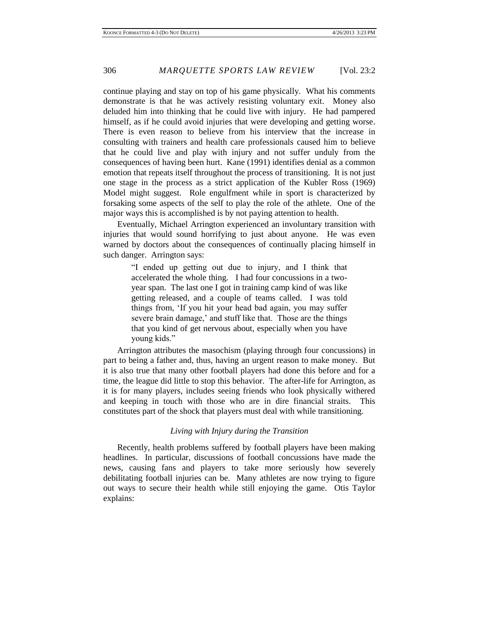continue playing and stay on top of his game physically. What his comments demonstrate is that he was actively resisting voluntary exit. Money also deluded him into thinking that he could live with injury. He had pampered himself, as if he could avoid injuries that were developing and getting worse. There is even reason to believe from his interview that the increase in consulting with trainers and health care professionals caused him to believe that he could live and play with injury and not suffer unduly from the consequences of having been hurt. Kane (1991) identifies denial as a common emotion that repeats itself throughout the process of transitioning. It is not just one stage in the process as a strict application of the Kubler Ross (1969) Model might suggest. Role engulfment while in sport is characterized by forsaking some aspects of the self to play the role of the athlete. One of the major ways this is accomplished is by not paying attention to health.

Eventually, Michael Arrington experienced an involuntary transition with injuries that would sound horrifying to just about anyone. He was even warned by doctors about the consequences of continually placing himself in such danger. Arrington says:

> "I ended up getting out due to injury, and I think that accelerated the whole thing. I had four concussions in a twoyear span. The last one I got in training camp kind of was like getting released, and a couple of teams called. I was told things from, 'If you hit your head bad again, you may suffer severe brain damage,' and stuff like that. Those are the things that you kind of get nervous about, especially when you have young kids."

Arrington attributes the masochism (playing through four concussions) in part to being a father and, thus, having an urgent reason to make money. But it is also true that many other football players had done this before and for a time, the league did little to stop this behavior. The after-life for Arrington, as it is for many players, includes seeing friends who look physically withered and keeping in touch with those who are in dire financial straits. This constitutes part of the shock that players must deal with while transitioning.

## *Living with Injury during the Transition*

Recently, health problems suffered by football players have been making headlines. In particular, discussions of football concussions have made the news, causing fans and players to take more seriously how severely debilitating football injuries can be. Many athletes are now trying to figure out ways to secure their health while still enjoying the game. Otis Taylor explains: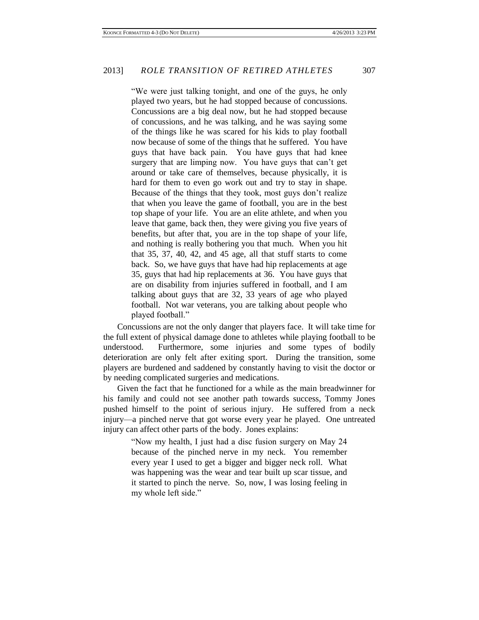"We were just talking tonight, and one of the guys, he only played two years, but he had stopped because of concussions. Concussions are a big deal now, but he had stopped because of concussions, and he was talking, and he was saying some of the things like he was scared for his kids to play football now because of some of the things that he suffered. You have guys that have back pain. You have guys that had knee surgery that are limping now. You have guys that can't get around or take care of themselves, because physically, it is hard for them to even go work out and try to stay in shape. Because of the things that they took, most guys don't realize that when you leave the game of football, you are in the best top shape of your life. You are an elite athlete, and when you leave that game, back then, they were giving you five years of benefits, but after that, you are in the top shape of your life, and nothing is really bothering you that much. When you hit that 35, 37, 40, 42, and 45 age, all that stuff starts to come back. So, we have guys that have had hip replacements at age 35, guys that had hip replacements at 36. You have guys that are on disability from injuries suffered in football, and I am talking about guys that are 32, 33 years of age who played football. Not war veterans, you are talking about people who played football."

Concussions are not the only danger that players face. It will take time for the full extent of physical damage done to athletes while playing football to be understood. Furthermore, some injuries and some types of bodily deterioration are only felt after exiting sport. During the transition, some players are burdened and saddened by constantly having to visit the doctor or by needing complicated surgeries and medications.

Given the fact that he functioned for a while as the main breadwinner for his family and could not see another path towards success, Tommy Jones pushed himself to the point of serious injury. He suffered from a neck injury—a pinched nerve that got worse every year he played. One untreated injury can affect other parts of the body. Jones explains:

> "Now my health, I just had a disc fusion surgery on May 24 because of the pinched nerve in my neck. You remember every year I used to get a bigger and bigger neck roll. What was happening was the wear and tear built up scar tissue, and it started to pinch the nerve. So, now, I was losing feeling in my whole left side."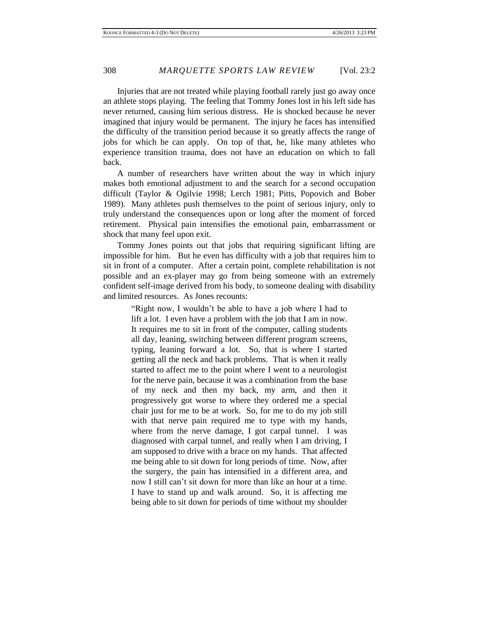Injuries that are not treated while playing football rarely just go away once an athlete stops playing. The feeling that Tommy Jones lost in his left side has never returned, causing him serious distress. He is shocked because he never imagined that injury would be permanent. The injury he faces has intensified the difficulty of the transition period because it so greatly affects the range of jobs for which he can apply. On top of that, he, like many athletes who experience transition trauma, does not have an education on which to fall back.

A number of researchers have written about the way in which injury makes both emotional adjustment to and the search for a second occupation difficult (Taylor & Ogilvie 1998; Lerch 1981; Pitts, Popovich and Bober 1989). Many athletes push themselves to the point of serious injury, only to truly understand the consequences upon or long after the moment of forced retirement. Physical pain intensifies the emotional pain, embarrassment or shock that many feel upon exit.

Tommy Jones points out that jobs that requiring significant lifting are impossible for him. But he even has difficulty with a job that requires him to sit in front of a computer. After a certain point, complete rehabilitation is not possible and an ex-player may go from being someone with an extremely confident self-image derived from his body, to someone dealing with disability and limited resources. As Jones recounts:

> "Right now, I wouldn't be able to have a job where I had to lift a lot. I even have a problem with the job that I am in now. It requires me to sit in front of the computer, calling students all day, leaning, switching between different program screens, typing, leaning forward a lot. So, that is where I started getting all the neck and back problems. That is when it really started to affect me to the point where I went to a neurologist for the nerve pain, because it was a combination from the base of my neck and then my back, my arm, and then it progressively got worse to where they ordered me a special chair just for me to be at work. So, for me to do my job still with that nerve pain required me to type with my hands, where from the nerve damage, I got carpal tunnel. I was diagnosed with carpal tunnel, and really when I am driving, I am supposed to drive with a brace on my hands. That affected me being able to sit down for long periods of time. Now, after the surgery, the pain has intensified in a different area, and now I still can't sit down for more than like an hour at a time. I have to stand up and walk around. So, it is affecting me being able to sit down for periods of time without my shoulder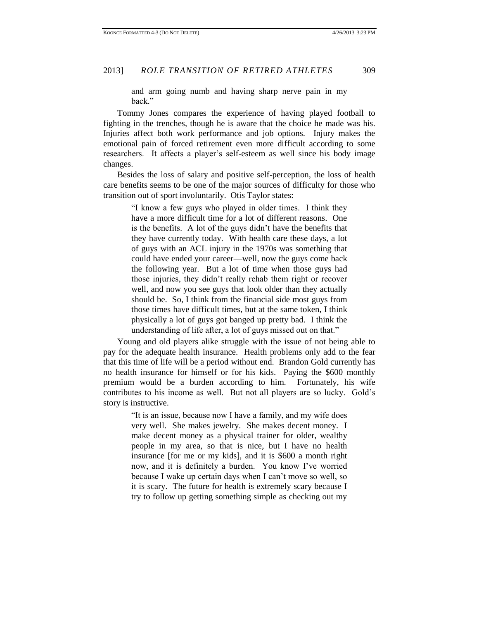and arm going numb and having sharp nerve pain in my back."

Tommy Jones compares the experience of having played football to fighting in the trenches, though he is aware that the choice he made was his. Injuries affect both work performance and job options. Injury makes the emotional pain of forced retirement even more difficult according to some researchers. It affects a player's self-esteem as well since his body image changes.

Besides the loss of salary and positive self-perception, the loss of health care benefits seems to be one of the major sources of difficulty for those who transition out of sport involuntarily. Otis Taylor states:

> "I know a few guys who played in older times. I think they have a more difficult time for a lot of different reasons. One is the benefits. A lot of the guys didn't have the benefits that they have currently today. With health care these days, a lot of guys with an ACL injury in the 1970s was something that could have ended your career—well, now the guys come back the following year. But a lot of time when those guys had those injuries, they didn't really rehab them right or recover well, and now you see guys that look older than they actually should be. So, I think from the financial side most guys from those times have difficult times, but at the same token, I think physically a lot of guys got banged up pretty bad. I think the understanding of life after, a lot of guys missed out on that."

Young and old players alike struggle with the issue of not being able to pay for the adequate health insurance. Health problems only add to the fear that this time of life will be a period without end. Brandon Gold currently has no health insurance for himself or for his kids. Paying the \$600 monthly premium would be a burden according to him. Fortunately, his wife contributes to his income as well. But not all players are so lucky. Gold's story is instructive.

> "It is an issue, because now I have a family, and my wife does very well. She makes jewelry. She makes decent money. I make decent money as a physical trainer for older, wealthy people in my area, so that is nice, but I have no health insurance [for me or my kids], and it is \$600 a month right now, and it is definitely a burden. You know I've worried because I wake up certain days when I can't move so well, so it is scary. The future for health is extremely scary because I try to follow up getting something simple as checking out my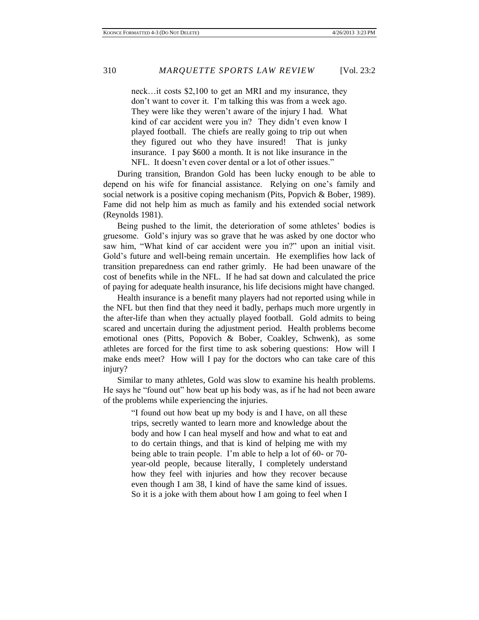neck…it costs \$2,100 to get an MRI and my insurance, they don't want to cover it. I'm talking this was from a week ago. They were like they weren't aware of the injury I had. What kind of car accident were you in? They didn't even know I played football. The chiefs are really going to trip out when they figured out who they have insured! That is junky insurance. I pay \$600 a month. It is not like insurance in the NFL. It doesn't even cover dental or a lot of other issues."

During transition, Brandon Gold has been lucky enough to be able to depend on his wife for financial assistance. Relying on one's family and social network is a positive coping mechanism (Pits, Popvich & Bober, 1989). Fame did not help him as much as family and his extended social network (Reynolds 1981).

Being pushed to the limit, the deterioration of some athletes' bodies is gruesome. Gold's injury was so grave that he was asked by one doctor who saw him, "What kind of car accident were you in?" upon an initial visit. Gold's future and well-being remain uncertain. He exemplifies how lack of transition preparedness can end rather grimly. He had been unaware of the cost of benefits while in the NFL. If he had sat down and calculated the price of paying for adequate health insurance, his life decisions might have changed.

Health insurance is a benefit many players had not reported using while in the NFL but then find that they need it badly, perhaps much more urgently in the after-life than when they actually played football. Gold admits to being scared and uncertain during the adjustment period. Health problems become emotional ones (Pitts, Popovich & Bober, Coakley, Schwenk), as some athletes are forced for the first time to ask sobering questions: How will I make ends meet? How will I pay for the doctors who can take care of this injury?

Similar to many athletes, Gold was slow to examine his health problems. He says he "found out" how beat up his body was, as if he had not been aware of the problems while experiencing the injuries.

> "I found out how beat up my body is and I have, on all these trips, secretly wanted to learn more and knowledge about the body and how I can heal myself and how and what to eat and to do certain things, and that is kind of helping me with my being able to train people. I'm able to help a lot of 60- or 70 year-old people, because literally, I completely understand how they feel with injuries and how they recover because even though I am 38, I kind of have the same kind of issues. So it is a joke with them about how I am going to feel when I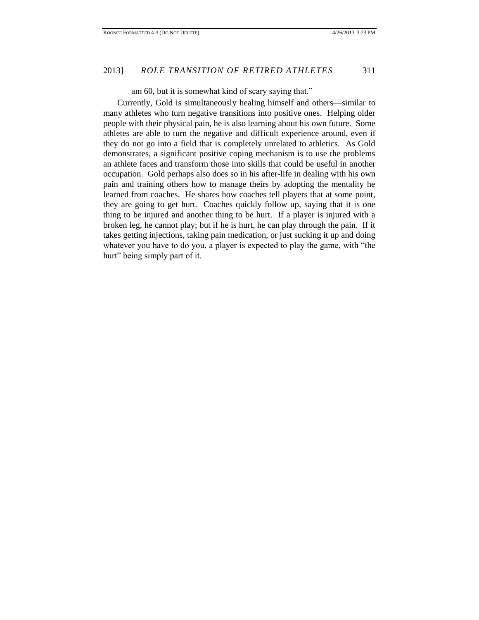## am 60, but it is somewhat kind of scary saying that."

Currently, Gold is simultaneously healing himself and others—similar to many athletes who turn negative transitions into positive ones. Helping older people with their physical pain, he is also learning about his own future. Some athletes are able to turn the negative and difficult experience around, even if they do not go into a field that is completely unrelated to athletics. As Gold demonstrates, a significant positive coping mechanism is to use the problems an athlete faces and transform those into skills that could be useful in another occupation. Gold perhaps also does so in his after-life in dealing with his own pain and training others how to manage theirs by adopting the mentality he learned from coaches. He shares how coaches tell players that at some point, they are going to get hurt. Coaches quickly follow up, saying that it is one thing to be injured and another thing to be hurt. If a player is injured with a broken leg, he cannot play; but if he is hurt, he can play through the pain. If it takes getting injections, taking pain medication, or just sucking it up and doing whatever you have to do you, a player is expected to play the game, with "the hurt" being simply part of it.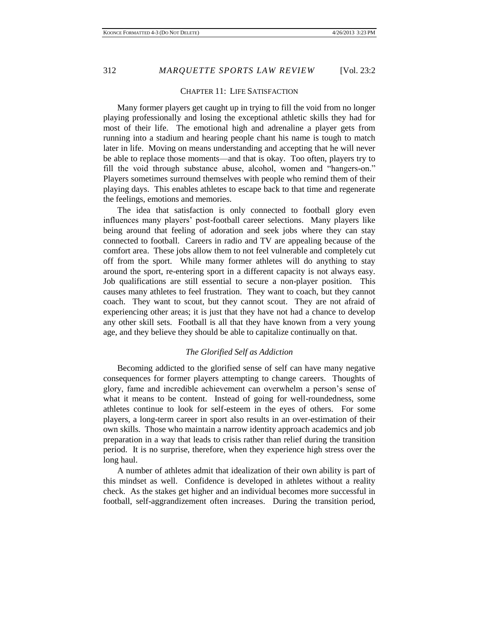# CHAPTER 11: LIFE SATISFACTION

Many former players get caught up in trying to fill the void from no longer playing professionally and losing the exceptional athletic skills they had for most of their life. The emotional high and adrenaline a player gets from running into a stadium and hearing people chant his name is tough to match later in life. Moving on means understanding and accepting that he will never be able to replace those moments—and that is okay. Too often, players try to fill the void through substance abuse, alcohol, women and "hangers-on." Players sometimes surround themselves with people who remind them of their playing days. This enables athletes to escape back to that time and regenerate the feelings, emotions and memories.

The idea that satisfaction is only connected to football glory even influences many players' post-football career selections. Many players like being around that feeling of adoration and seek jobs where they can stay connected to football. Careers in radio and TV are appealing because of the comfort area. These jobs allow them to not feel vulnerable and completely cut off from the sport. While many former athletes will do anything to stay around the sport, re-entering sport in a different capacity is not always easy. Job qualifications are still essential to secure a non-player position. This causes many athletes to feel frustration. They want to coach, but they cannot coach. They want to scout, but they cannot scout. They are not afraid of experiencing other areas; it is just that they have not had a chance to develop any other skill sets. Football is all that they have known from a very young age, and they believe they should be able to capitalize continually on that.

## *The Glorified Self as Addiction*

Becoming addicted to the glorified sense of self can have many negative consequences for former players attempting to change careers. Thoughts of glory, fame and incredible achievement can overwhelm a person's sense of what it means to be content. Instead of going for well-roundedness, some athletes continue to look for self-esteem in the eyes of others. For some players, a long-term career in sport also results in an over-estimation of their own skills. Those who maintain a narrow identity approach academics and job preparation in a way that leads to crisis rather than relief during the transition period. It is no surprise, therefore, when they experience high stress over the long haul.

A number of athletes admit that idealization of their own ability is part of this mindset as well. Confidence is developed in athletes without a reality check. As the stakes get higher and an individual becomes more successful in football, self-aggrandizement often increases. During the transition period,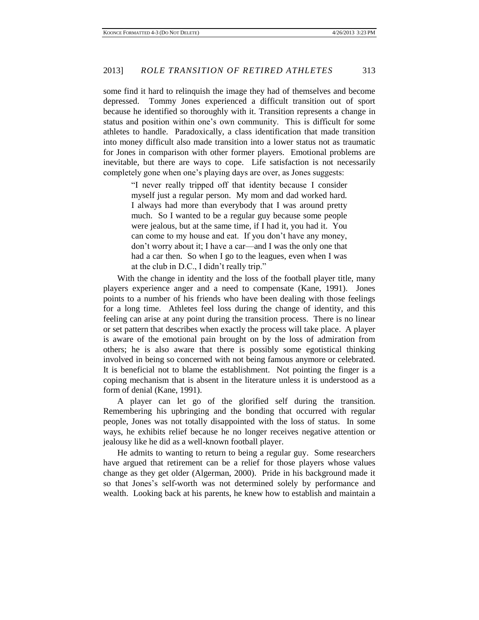some find it hard to relinquish the image they had of themselves and become depressed. Tommy Jones experienced a difficult transition out of sport because he identified so thoroughly with it. Transition represents a change in status and position within one's own community. This is difficult for some athletes to handle. Paradoxically, a class identification that made transition into money difficult also made transition into a lower status not as traumatic for Jones in comparison with other former players. Emotional problems are inevitable, but there are ways to cope. Life satisfaction is not necessarily completely gone when one's playing days are over, as Jones suggests:

> "I never really tripped off that identity because I consider myself just a regular person. My mom and dad worked hard. I always had more than everybody that I was around pretty much. So I wanted to be a regular guy because some people were jealous, but at the same time, if I had it, you had it. You can come to my house and eat. If you don't have any money, don't worry about it; I have a car—and I was the only one that had a car then. So when I go to the leagues, even when I was at the club in D.C., I didn't really trip."

With the change in identity and the loss of the football player title, many players experience anger and a need to compensate (Kane, 1991). Jones points to a number of his friends who have been dealing with those feelings for a long time. Athletes feel loss during the change of identity, and this feeling can arise at any point during the transition process. There is no linear or set pattern that describes when exactly the process will take place. A player is aware of the emotional pain brought on by the loss of admiration from others; he is also aware that there is possibly some egotistical thinking involved in being so concerned with not being famous anymore or celebrated. It is beneficial not to blame the establishment. Not pointing the finger is a coping mechanism that is absent in the literature unless it is understood as a form of denial (Kane, 1991).

A player can let go of the glorified self during the transition. Remembering his upbringing and the bonding that occurred with regular people, Jones was not totally disappointed with the loss of status. In some ways, he exhibits relief because he no longer receives negative attention or jealousy like he did as a well-known football player.

He admits to wanting to return to being a regular guy. Some researchers have argued that retirement can be a relief for those players whose values change as they get older (Algerman, 2000). Pride in his background made it so that Jones's self-worth was not determined solely by performance and wealth. Looking back at his parents, he knew how to establish and maintain a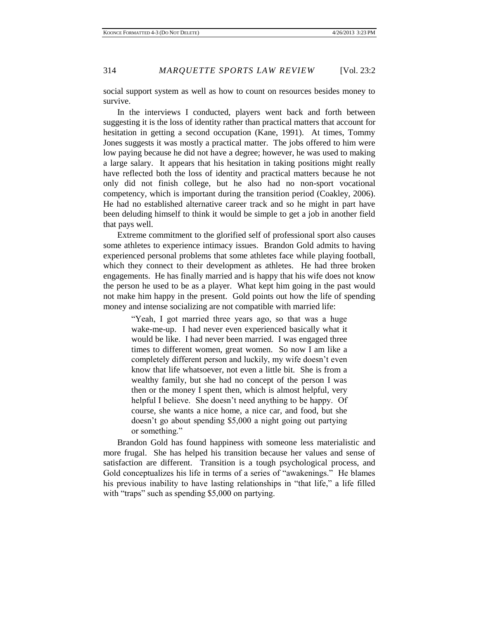social support system as well as how to count on resources besides money to survive.

In the interviews I conducted, players went back and forth between suggesting it is the loss of identity rather than practical matters that account for hesitation in getting a second occupation (Kane, 1991). At times, Tommy Jones suggests it was mostly a practical matter. The jobs offered to him were low paying because he did not have a degree; however, he was used to making a large salary. It appears that his hesitation in taking positions might really have reflected both the loss of identity and practical matters because he not only did not finish college, but he also had no non-sport vocational competency, which is important during the transition period (Coakley, 2006). He had no established alternative career track and so he might in part have been deluding himself to think it would be simple to get a job in another field that pays well.

Extreme commitment to the glorified self of professional sport also causes some athletes to experience intimacy issues. Brandon Gold admits to having experienced personal problems that some athletes face while playing football, which they connect to their development as athletes. He had three broken engagements. He has finally married and is happy that his wife does not know the person he used to be as a player. What kept him going in the past would not make him happy in the present. Gold points out how the life of spending money and intense socializing are not compatible with married life:

> "Yeah, I got married three years ago, so that was a huge wake-me-up. I had never even experienced basically what it would be like. I had never been married. I was engaged three times to different women, great women. So now I am like a completely different person and luckily, my wife doesn't even know that life whatsoever, not even a little bit. She is from a wealthy family, but she had no concept of the person I was then or the money I spent then, which is almost helpful, very helpful I believe. She doesn't need anything to be happy. Of course, she wants a nice home, a nice car, and food, but she doesn't go about spending \$5,000 a night going out partying or something."

Brandon Gold has found happiness with someone less materialistic and more frugal. She has helped his transition because her values and sense of satisfaction are different. Transition is a tough psychological process, and Gold conceptualizes his life in terms of a series of "awakenings." He blames his previous inability to have lasting relationships in "that life," a life filled with "traps" such as spending \$5,000 on partying.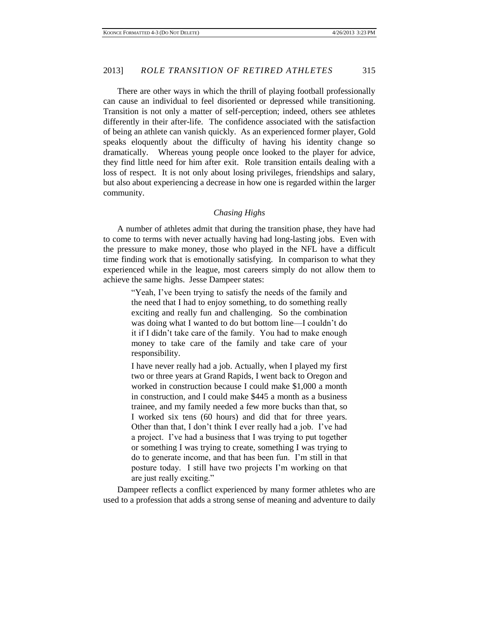There are other ways in which the thrill of playing football professionally can cause an individual to feel disoriented or depressed while transitioning. Transition is not only a matter of self-perception; indeed, others see athletes differently in their after-life. The confidence associated with the satisfaction of being an athlete can vanish quickly. As an experienced former player, Gold speaks eloquently about the difficulty of having his identity change so dramatically. Whereas young people once looked to the player for advice, they find little need for him after exit. Role transition entails dealing with a loss of respect. It is not only about losing privileges, friendships and salary, but also about experiencing a decrease in how one is regarded within the larger community.

### *Chasing Highs*

A number of athletes admit that during the transition phase, they have had to come to terms with never actually having had long-lasting jobs. Even with the pressure to make money, those who played in the NFL have a difficult time finding work that is emotionally satisfying. In comparison to what they experienced while in the league, most careers simply do not allow them to achieve the same highs. Jesse Dampeer states:

> "Yeah, I've been trying to satisfy the needs of the family and the need that I had to enjoy something, to do something really exciting and really fun and challenging. So the combination was doing what I wanted to do but bottom line—I couldn't do it if I didn't take care of the family. You had to make enough money to take care of the family and take care of your responsibility.

> I have never really had a job. Actually, when I played my first two or three years at Grand Rapids, I went back to Oregon and worked in construction because I could make \$1,000 a month in construction, and I could make \$445 a month as a business trainee, and my family needed a few more bucks than that, so I worked six tens (60 hours) and did that for three years. Other than that, I don't think I ever really had a job. I've had a project. I've had a business that I was trying to put together or something I was trying to create, something I was trying to do to generate income, and that has been fun. I'm still in that posture today. I still have two projects I'm working on that are just really exciting."

Dampeer reflects a conflict experienced by many former athletes who are used to a profession that adds a strong sense of meaning and adventure to daily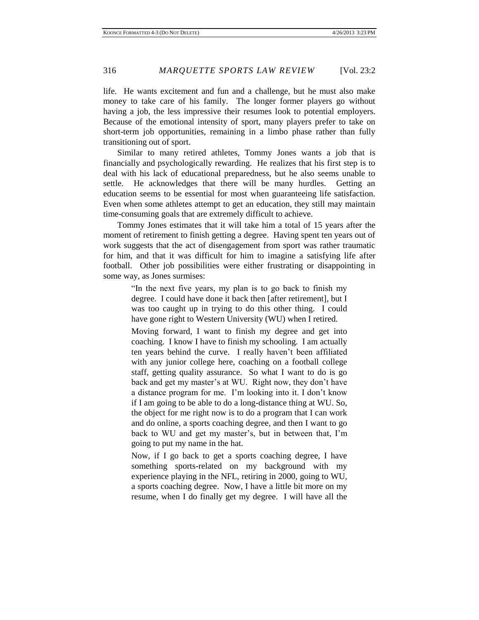life. He wants excitement and fun and a challenge, but he must also make money to take care of his family. The longer former players go without having a job, the less impressive their resumes look to potential employers. Because of the emotional intensity of sport, many players prefer to take on short-term job opportunities, remaining in a limbo phase rather than fully transitioning out of sport.

Similar to many retired athletes, Tommy Jones wants a job that is financially and psychologically rewarding. He realizes that his first step is to deal with his lack of educational preparedness, but he also seems unable to settle. He acknowledges that there will be many hurdles. Getting an education seems to be essential for most when guaranteeing life satisfaction. Even when some athletes attempt to get an education, they still may maintain time-consuming goals that are extremely difficult to achieve.

Tommy Jones estimates that it will take him a total of 15 years after the moment of retirement to finish getting a degree. Having spent ten years out of work suggests that the act of disengagement from sport was rather traumatic for him, and that it was difficult for him to imagine a satisfying life after football. Other job possibilities were either frustrating or disappointing in some way, as Jones surmises:

> "In the next five years, my plan is to go back to finish my degree. I could have done it back then [after retirement], but I was too caught up in trying to do this other thing. I could have gone right to Western University (WU) when I retired.

> Moving forward, I want to finish my degree and get into coaching. I know I have to finish my schooling. I am actually ten years behind the curve. I really haven't been affiliated with any junior college here, coaching on a football college staff, getting quality assurance. So what I want to do is go back and get my master's at WU. Right now, they don't have a distance program for me. I'm looking into it. I don't know if I am going to be able to do a long-distance thing at WU. So, the object for me right now is to do a program that I can work and do online, a sports coaching degree, and then I want to go back to WU and get my master's, but in between that, I'm going to put my name in the hat.

> Now, if I go back to get a sports coaching degree, I have something sports-related on my background with my experience playing in the NFL, retiring in 2000, going to WU, a sports coaching degree. Now, I have a little bit more on my resume, when I do finally get my degree. I will have all the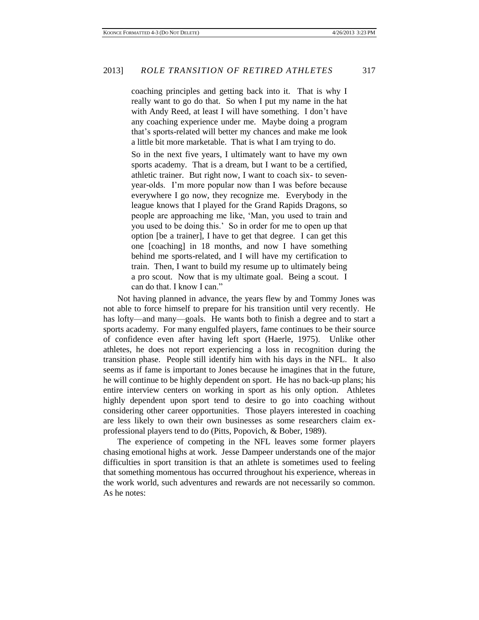coaching principles and getting back into it. That is why I really want to go do that. So when I put my name in the hat with Andy Reed, at least I will have something. I don't have any coaching experience under me. Maybe doing a program that's sports-related will better my chances and make me look a little bit more marketable. That is what I am trying to do.

So in the next five years, I ultimately want to have my own sports academy. That is a dream, but I want to be a certified, athletic trainer. But right now, I want to coach six- to sevenyear-olds. I'm more popular now than I was before because everywhere I go now, they recognize me. Everybody in the league knows that I played for the Grand Rapids Dragons, so people are approaching me like, 'Man, you used to train and you used to be doing this.' So in order for me to open up that option [be a trainer], I have to get that degree. I can get this one [coaching] in 18 months, and now I have something behind me sports-related, and I will have my certification to train. Then, I want to build my resume up to ultimately being a pro scout. Now that is my ultimate goal. Being a scout. I can do that. I know I can."

Not having planned in advance, the years flew by and Tommy Jones was not able to force himself to prepare for his transition until very recently. He has lofty—and many—goals. He wants both to finish a degree and to start a sports academy. For many engulfed players, fame continues to be their source of confidence even after having left sport (Haerle, 1975). Unlike other athletes, he does not report experiencing a loss in recognition during the transition phase. People still identify him with his days in the NFL. It also seems as if fame is important to Jones because he imagines that in the future, he will continue to be highly dependent on sport. He has no back-up plans; his entire interview centers on working in sport as his only option. Athletes highly dependent upon sport tend to desire to go into coaching without considering other career opportunities. Those players interested in coaching are less likely to own their own businesses as some researchers claim exprofessional players tend to do (Pitts, Popovich, & Bober, 1989).

The experience of competing in the NFL leaves some former players chasing emotional highs at work. Jesse Dampeer understands one of the major difficulties in sport transition is that an athlete is sometimes used to feeling that something momentous has occurred throughout his experience, whereas in the work world, such adventures and rewards are not necessarily so common. As he notes: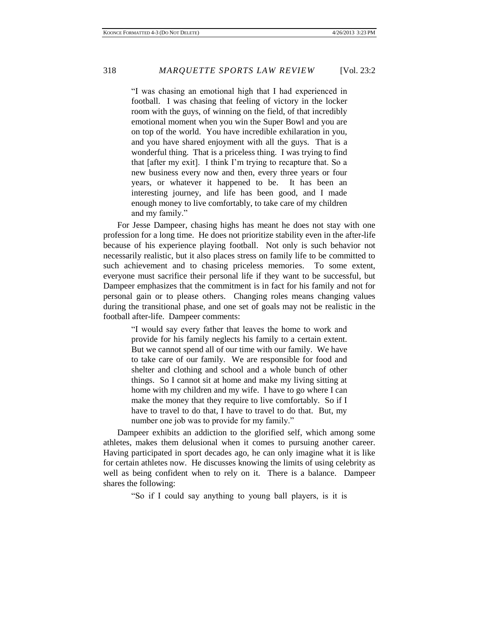"I was chasing an emotional high that I had experienced in football. I was chasing that feeling of victory in the locker room with the guys, of winning on the field, of that incredibly emotional moment when you win the Super Bowl and you are on top of the world. You have incredible exhilaration in you, and you have shared enjoyment with all the guys. That is a wonderful thing. That is a priceless thing. I was trying to find that [after my exit]. I think I'm trying to recapture that. So a new business every now and then, every three years or four years, or whatever it happened to be. It has been an interesting journey, and life has been good, and I made enough money to live comfortably, to take care of my children and my family."

For Jesse Dampeer, chasing highs has meant he does not stay with one profession for a long time. He does not prioritize stability even in the after-life because of his experience playing football. Not only is such behavior not necessarily realistic, but it also places stress on family life to be committed to such achievement and to chasing priceless memories. To some extent, everyone must sacrifice their personal life if they want to be successful, but Dampeer emphasizes that the commitment is in fact for his family and not for personal gain or to please others. Changing roles means changing values during the transitional phase, and one set of goals may not be realistic in the football after-life. Dampeer comments:

> "I would say every father that leaves the home to work and provide for his family neglects his family to a certain extent. But we cannot spend all of our time with our family. We have to take care of our family. We are responsible for food and shelter and clothing and school and a whole bunch of other things. So I cannot sit at home and make my living sitting at home with my children and my wife. I have to go where I can make the money that they require to live comfortably. So if I have to travel to do that, I have to travel to do that. But, my number one job was to provide for my family."

Dampeer exhibits an addiction to the glorified self, which among some athletes, makes them delusional when it comes to pursuing another career. Having participated in sport decades ago, he can only imagine what it is like for certain athletes now. He discusses knowing the limits of using celebrity as well as being confident when to rely on it. There is a balance. Dampeer shares the following:

"So if I could say anything to young ball players, is it is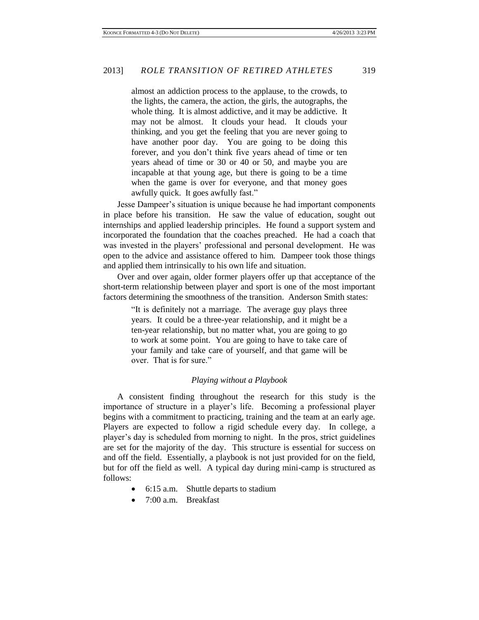almost an addiction process to the applause, to the crowds, to the lights, the camera, the action, the girls, the autographs, the whole thing. It is almost addictive, and it may be addictive. It may not be almost. It clouds your head. It clouds your thinking, and you get the feeling that you are never going to have another poor day. You are going to be doing this forever, and you don't think five years ahead of time or ten years ahead of time or 30 or 40 or 50, and maybe you are incapable at that young age, but there is going to be a time when the game is over for everyone, and that money goes awfully quick. It goes awfully fast."

Jesse Dampeer's situation is unique because he had important components in place before his transition. He saw the value of education, sought out internships and applied leadership principles. He found a support system and incorporated the foundation that the coaches preached. He had a coach that was invested in the players' professional and personal development. He was open to the advice and assistance offered to him. Dampeer took those things and applied them intrinsically to his own life and situation.

Over and over again, older former players offer up that acceptance of the short-term relationship between player and sport is one of the most important factors determining the smoothness of the transition. Anderson Smith states:

> "It is definitely not a marriage. The average guy plays three years. It could be a three-year relationship, and it might be a ten-year relationship, but no matter what, you are going to go to work at some point. You are going to have to take care of your family and take care of yourself, and that game will be over. That is for sure."

#### *Playing without a Playbook*

A consistent finding throughout the research for this study is the importance of structure in a player's life. Becoming a professional player begins with a commitment to practicing, training and the team at an early age. Players are expected to follow a rigid schedule every day. In college, a player's day is scheduled from morning to night. In the pros, strict guidelines are set for the majority of the day. This structure is essential for success on and off the field. Essentially, a playbook is not just provided for on the field, but for off the field as well. A typical day during mini-camp is structured as follows:

- 6:15 a.m. Shuttle departs to stadium
- 7:00 a.m. Breakfast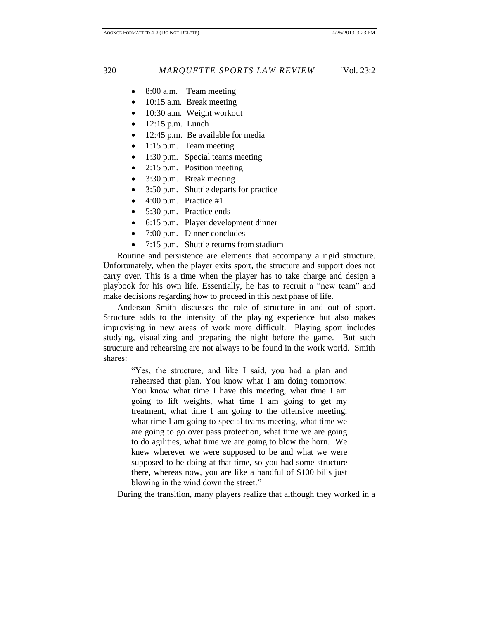- 8:00 a.m. Team meeting
- 10:15 a.m. Break meeting
- 10:30 a.m. Weight workout
- 12:15 p.m. Lunch
- 12:45 p.m. Be available for media
- 1:15 p.m. Team meeting
- 1:30 p.m. Special teams meeting
- 2:15 p.m. Position meeting
- 3:30 p.m. Break meeting
- 3:50 p.m. Shuttle departs for practice
- 4:00 p.m. Practice #1
- 5:30 p.m. Practice ends
- 6:15 p.m. Player development dinner
- 7:00 p.m. Dinner concludes
- 7:15 p.m. Shuttle returns from stadium

Routine and persistence are elements that accompany a rigid structure. Unfortunately, when the player exits sport, the structure and support does not carry over. This is a time when the player has to take charge and design a playbook for his own life. Essentially, he has to recruit a "new team" and make decisions regarding how to proceed in this next phase of life.

Anderson Smith discusses the role of structure in and out of sport. Structure adds to the intensity of the playing experience but also makes improvising in new areas of work more difficult. Playing sport includes studying, visualizing and preparing the night before the game. But such structure and rehearsing are not always to be found in the work world. Smith shares:

> "Yes, the structure, and like I said, you had a plan and rehearsed that plan. You know what I am doing tomorrow. You know what time I have this meeting, what time I am going to lift weights, what time I am going to get my treatment, what time I am going to the offensive meeting, what time I am going to special teams meeting, what time we are going to go over pass protection, what time we are going to do agilities, what time we are going to blow the horn. We knew wherever we were supposed to be and what we were supposed to be doing at that time, so you had some structure there, whereas now, you are like a handful of \$100 bills just blowing in the wind down the street."

During the transition, many players realize that although they worked in a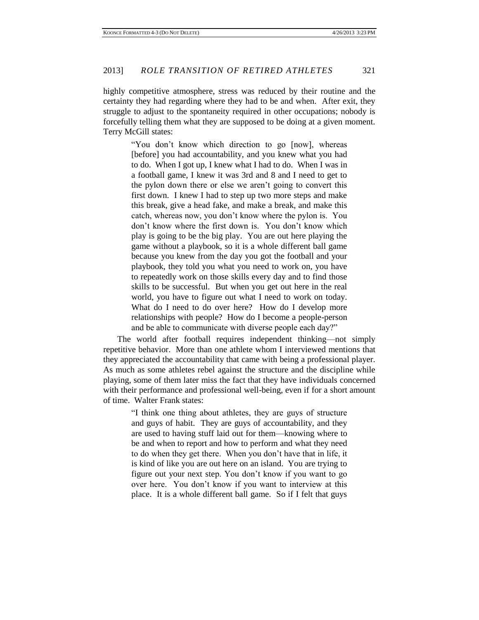highly competitive atmosphere, stress was reduced by their routine and the certainty they had regarding where they had to be and when. After exit, they struggle to adjust to the spontaneity required in other occupations; nobody is forcefully telling them what they are supposed to be doing at a given moment. Terry McGill states:

> "You don't know which direction to go [now], whereas [before] you had accountability, and you knew what you had to do. When I got up, I knew what I had to do. When I was in a football game, I knew it was 3rd and 8 and I need to get to the pylon down there or else we aren't going to convert this first down. I knew I had to step up two more steps and make this break, give a head fake, and make a break, and make this catch, whereas now, you don't know where the pylon is. You don't know where the first down is. You don't know which play is going to be the big play. You are out here playing the game without a playbook, so it is a whole different ball game because you knew from the day you got the football and your playbook, they told you what you need to work on, you have to repeatedly work on those skills every day and to find those skills to be successful. But when you get out here in the real world, you have to figure out what I need to work on today. What do I need to do over here? How do I develop more relationships with people? How do I become a people-person and be able to communicate with diverse people each day?"

The world after football requires independent thinking—not simply repetitive behavior. More than one athlete whom I interviewed mentions that they appreciated the accountability that came with being a professional player. As much as some athletes rebel against the structure and the discipline while playing, some of them later miss the fact that they have individuals concerned with their performance and professional well-being, even if for a short amount of time. Walter Frank states:

> "I think one thing about athletes, they are guys of structure and guys of habit. They are guys of accountability, and they are used to having stuff laid out for them—knowing where to be and when to report and how to perform and what they need to do when they get there. When you don't have that in life, it is kind of like you are out here on an island. You are trying to figure out your next step. You don't know if you want to go over here. You don't know if you want to interview at this place. It is a whole different ball game. So if I felt that guys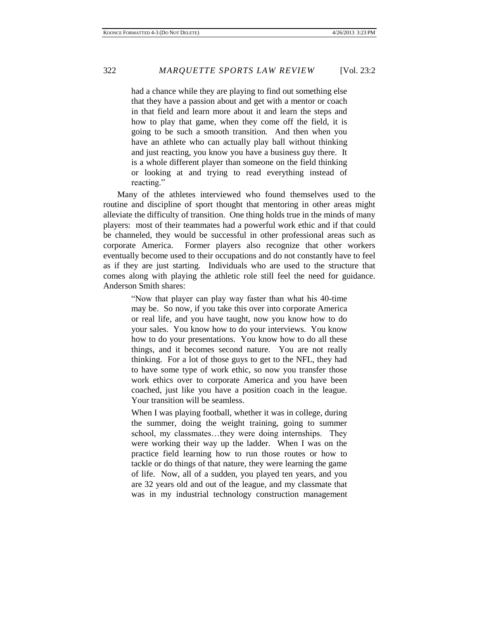had a chance while they are playing to find out something else that they have a passion about and get with a mentor or coach in that field and learn more about it and learn the steps and how to play that game, when they come off the field, it is going to be such a smooth transition. And then when you have an athlete who can actually play ball without thinking and just reacting, you know you have a business guy there. It is a whole different player than someone on the field thinking or looking at and trying to read everything instead of reacting."

Many of the athletes interviewed who found themselves used to the routine and discipline of sport thought that mentoring in other areas might alleviate the difficulty of transition. One thing holds true in the minds of many players: most of their teammates had a powerful work ethic and if that could be channeled, they would be successful in other professional areas such as corporate America. Former players also recognize that other workers eventually become used to their occupations and do not constantly have to feel as if they are just starting. Individuals who are used to the structure that comes along with playing the athletic role still feel the need for guidance. Anderson Smith shares:

> "Now that player can play way faster than what his 40-time may be. So now, if you take this over into corporate America or real life, and you have taught, now you know how to do your sales. You know how to do your interviews. You know how to do your presentations. You know how to do all these things, and it becomes second nature. You are not really thinking. For a lot of those guys to get to the NFL, they had to have some type of work ethic, so now you transfer those work ethics over to corporate America and you have been coached, just like you have a position coach in the league. Your transition will be seamless.

> When I was playing football, whether it was in college, during the summer, doing the weight training, going to summer school, my classmates…they were doing internships. They were working their way up the ladder. When I was on the practice field learning how to run those routes or how to tackle or do things of that nature, they were learning the game of life. Now, all of a sudden, you played ten years, and you are 32 years old and out of the league, and my classmate that was in my industrial technology construction management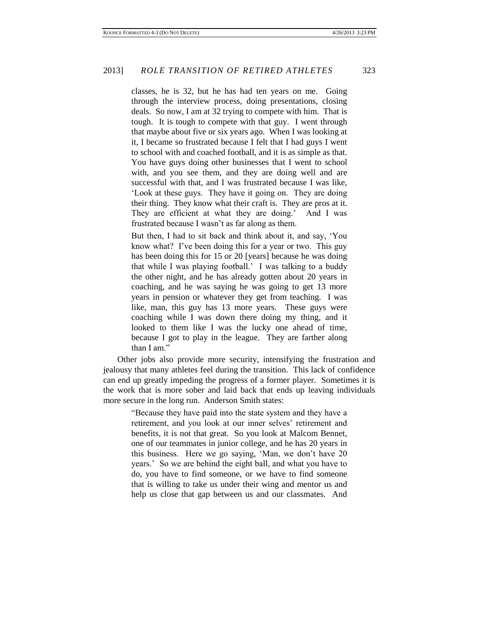classes, he is 32, but he has had ten years on me. Going through the interview process, doing presentations, closing deals. So now, I am at 32 trying to compete with him. That is tough. It is tough to compete with that guy. I went through that maybe about five or six years ago. When I was looking at it, I became so frustrated because I felt that I had guys I went to school with and coached football, and it is as simple as that. You have guys doing other businesses that I went to school with, and you see them, and they are doing well and are successful with that, and I was frustrated because I was like, 'Look at these guys. They have it going on. They are doing their thing. They know what their craft is. They are pros at it. They are efficient at what they are doing.' And I was frustrated because I wasn't as far along as them.

But then, I had to sit back and think about it, and say, 'You know what? I've been doing this for a year or two. This guy has been doing this for 15 or 20 [years] because he was doing that while I was playing football.' I was talking to a buddy the other night, and he has already gotten about 20 years in coaching, and he was saying he was going to get 13 more years in pension or whatever they get from teaching. I was like, man, this guy has 13 more years. These guys were coaching while I was down there doing my thing, and it looked to them like I was the lucky one ahead of time, because I got to play in the league. They are farther along than I am."

Other jobs also provide more security, intensifying the frustration and jealousy that many athletes feel during the transition. This lack of confidence can end up greatly impeding the progress of a former player. Sometimes it is the work that is more sober and laid back that ends up leaving individuals more secure in the long run. Anderson Smith states:

> "Because they have paid into the state system and they have a retirement, and you look at our inner selves' retirement and benefits, it is not that great. So you look at Malcom Bennet, one of our teammates in junior college, and he has 20 years in this business. Here we go saying, 'Man, we don't have 20 years.' So we are behind the eight ball, and what you have to do, you have to find someone, or we have to find someone that is willing to take us under their wing and mentor us and help us close that gap between us and our classmates. And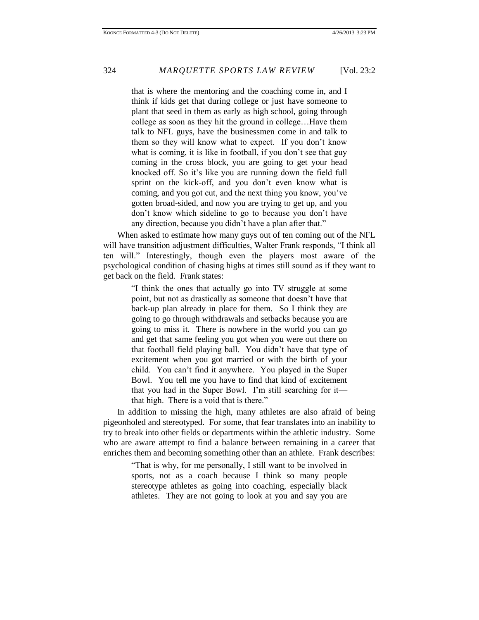that is where the mentoring and the coaching come in, and I think if kids get that during college or just have someone to plant that seed in them as early as high school, going through college as soon as they hit the ground in college…Have them talk to NFL guys, have the businessmen come in and talk to them so they will know what to expect. If you don't know what is coming, it is like in football, if you don't see that guy coming in the cross block, you are going to get your head knocked off. So it's like you are running down the field full sprint on the kick-off, and you don't even know what is coming, and you got cut, and the next thing you know, you've gotten broad-sided, and now you are trying to get up, and you don't know which sideline to go to because you don't have any direction, because you didn't have a plan after that."

When asked to estimate how many guys out of ten coming out of the NFL will have transition adjustment difficulties, Walter Frank responds, "I think all ten will." Interestingly, though even the players most aware of the psychological condition of chasing highs at times still sound as if they want to get back on the field. Frank states:

> "I think the ones that actually go into TV struggle at some point, but not as drastically as someone that doesn't have that back-up plan already in place for them. So I think they are going to go through withdrawals and setbacks because you are going to miss it. There is nowhere in the world you can go and get that same feeling you got when you were out there on that football field playing ball. You didn't have that type of excitement when you got married or with the birth of your child. You can't find it anywhere. You played in the Super Bowl. You tell me you have to find that kind of excitement that you had in the Super Bowl. I'm still searching for it that high. There is a void that is there."

In addition to missing the high, many athletes are also afraid of being pigeonholed and stereotyped. For some, that fear translates into an inability to try to break into other fields or departments within the athletic industry. Some who are aware attempt to find a balance between remaining in a career that enriches them and becoming something other than an athlete. Frank describes:

> "That is why, for me personally, I still want to be involved in sports, not as a coach because I think so many people stereotype athletes as going into coaching, especially black athletes. They are not going to look at you and say you are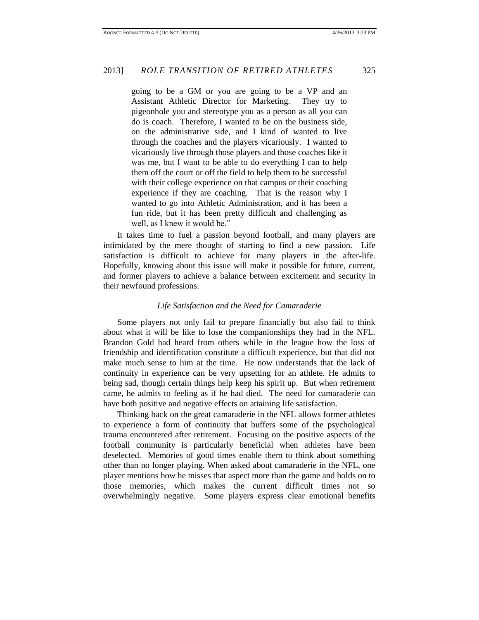going to be a GM or you are going to be a VP and an Assistant Athletic Director for Marketing. They try to pigeonhole you and stereotype you as a person as all you can do is coach. Therefore, I wanted to be on the business side, on the administrative side, and I kind of wanted to live through the coaches and the players vicariously. I wanted to vicariously live through those players and those coaches like it was me, but I want to be able to do everything I can to help them off the court or off the field to help them to be successful with their college experience on that campus or their coaching experience if they are coaching. That is the reason why I wanted to go into Athletic Administration, and it has been a fun ride, but it has been pretty difficult and challenging as well, as I knew it would be."

It takes time to fuel a passion beyond football, and many players are intimidated by the mere thought of starting to find a new passion. Life satisfaction is difficult to achieve for many players in the after-life. Hopefully, knowing about this issue will make it possible for future, current, and former players to achieve a balance between excitement and security in their newfound professions.

# *Life Satisfaction and the Need for Camaraderie*

Some players not only fail to prepare financially but also fail to think about what it will be like to lose the companionships they had in the NFL. Brandon Gold had heard from others while in the league how the loss of friendship and identification constitute a difficult experience, but that did not make much sense to him at the time. He now understands that the lack of continuity in experience can be very upsetting for an athlete. He admits to being sad, though certain things help keep his spirit up. But when retirement came, he admits to feeling as if he had died. The need for camaraderie can have both positive and negative effects on attaining life satisfaction.

Thinking back on the great camaraderie in the NFL allows former athletes to experience a form of continuity that buffers some of the psychological trauma encountered after retirement. Focusing on the positive aspects of the football community is particularly beneficial when athletes have been deselected. Memories of good times enable them to think about something other than no longer playing. When asked about camaraderie in the NFL, one player mentions how he misses that aspect more than the game and holds on to those memories, which makes the current difficult times not so overwhelmingly negative. Some players express clear emotional benefits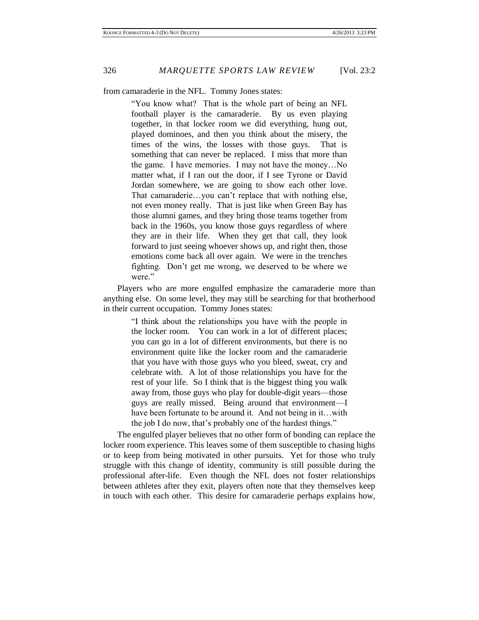from camaraderie in the NFL. Tommy Jones states:

"You know what? That is the whole part of being an NFL football player is the camaraderie. By us even playing together, in that locker room we did everything, hung out, played dominoes, and then you think about the misery, the times of the wins, the losses with those guys. That is something that can never be replaced. I miss that more than the game. I have memories. I may not have the money…No matter what, if I ran out the door, if I see Tyrone or David Jordan somewhere, we are going to show each other love. That camaraderie…you can't replace that with nothing else, not even money really. That is just like when Green Bay has those alumni games, and they bring those teams together from back in the 1960s, you know those guys regardless of where they are in their life. When they get that call, they look forward to just seeing whoever shows up, and right then, those emotions come back all over again. We were in the trenches fighting. Don't get me wrong, we deserved to be where we were."

Players who are more engulfed emphasize the camaraderie more than anything else. On some level, they may still be searching for that brotherhood in their current occupation. Tommy Jones states:

> "I think about the relationships you have with the people in the locker room. You can work in a lot of different places; you can go in a lot of different environments, but there is no environment quite like the locker room and the camaraderie that you have with those guys who you bleed, sweat, cry and celebrate with. A lot of those relationships you have for the rest of your life. So I think that is the biggest thing you walk away from, those guys who play for double-digit years—those guys are really missed. Being around that environment—I have been fortunate to be around it. And not being in it...with the job I do now, that's probably one of the hardest things."

The engulfed player believes that no other form of bonding can replace the locker room experience. This leaves some of them susceptible to chasing highs or to keep from being motivated in other pursuits. Yet for those who truly struggle with this change of identity, community is still possible during the professional after-life. Even though the NFL does not foster relationships between athletes after they exit, players often note that they themselves keep in touch with each other. This desire for camaraderie perhaps explains how,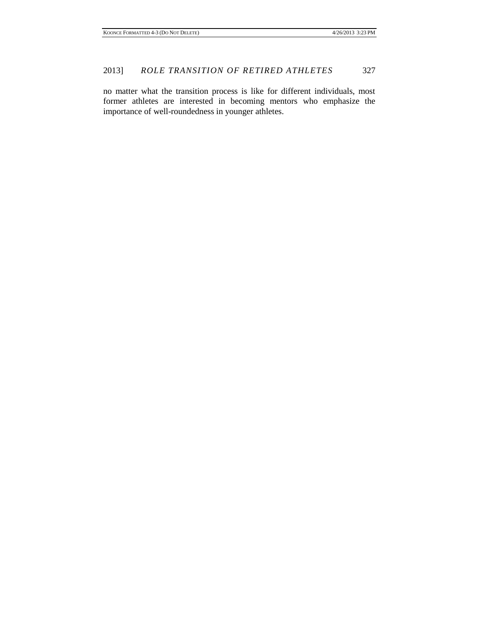no matter what the transition process is like for different individuals, most former athletes are interested in becoming mentors who emphasize the importance of well-roundedness in younger athletes.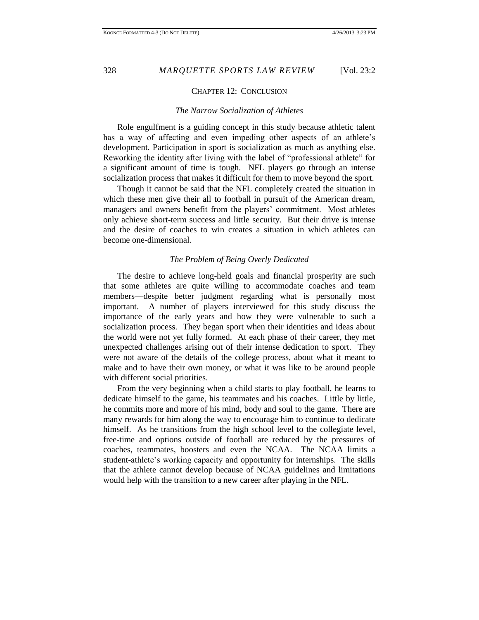# CHAPTER 12: CONCLUSION

# *The Narrow Socialization of Athletes*

Role engulfment is a guiding concept in this study because athletic talent has a way of affecting and even impeding other aspects of an athlete's development. Participation in sport is socialization as much as anything else. Reworking the identity after living with the label of "professional athlete" for a significant amount of time is tough. NFL players go through an intense socialization process that makes it difficult for them to move beyond the sport.

Though it cannot be said that the NFL completely created the situation in which these men give their all to football in pursuit of the American dream, managers and owners benefit from the players' commitment. Most athletes only achieve short-term success and little security. But their drive is intense and the desire of coaches to win creates a situation in which athletes can become one-dimensional.

### *The Problem of Being Overly Dedicated*

The desire to achieve long-held goals and financial prosperity are such that some athletes are quite willing to accommodate coaches and team members—despite better judgment regarding what is personally most important. A number of players interviewed for this study discuss the importance of the early years and how they were vulnerable to such a socialization process. They began sport when their identities and ideas about the world were not yet fully formed. At each phase of their career, they met unexpected challenges arising out of their intense dedication to sport. They were not aware of the details of the college process, about what it meant to make and to have their own money, or what it was like to be around people with different social priorities.

From the very beginning when a child starts to play football, he learns to dedicate himself to the game, his teammates and his coaches. Little by little, he commits more and more of his mind, body and soul to the game. There are many rewards for him along the way to encourage him to continue to dedicate himself. As he transitions from the high school level to the collegiate level, free-time and options outside of football are reduced by the pressures of coaches, teammates, boosters and even the NCAA. The NCAA limits a student-athlete's working capacity and opportunity for internships. The skills that the athlete cannot develop because of NCAA guidelines and limitations would help with the transition to a new career after playing in the NFL.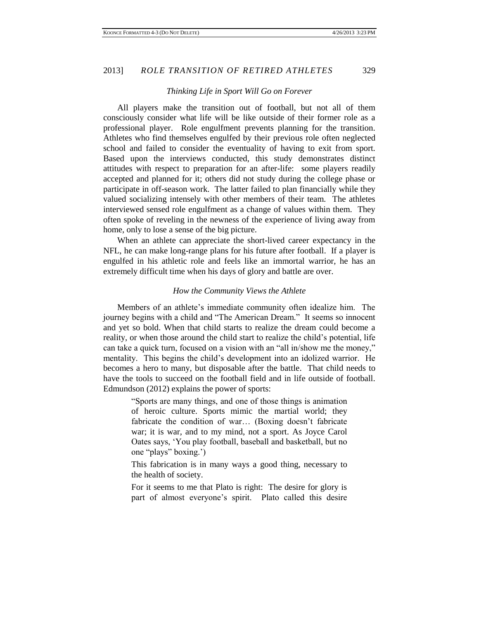#### *Thinking Life in Sport Will Go on Forever*

All players make the transition out of football, but not all of them consciously consider what life will be like outside of their former role as a professional player. Role engulfment prevents planning for the transition. Athletes who find themselves engulfed by their previous role often neglected school and failed to consider the eventuality of having to exit from sport. Based upon the interviews conducted, this study demonstrates distinct attitudes with respect to preparation for an after-life: some players readily accepted and planned for it; others did not study during the college phase or participate in off-season work. The latter failed to plan financially while they valued socializing intensely with other members of their team. The athletes interviewed sensed role engulfment as a change of values within them. They often spoke of reveling in the newness of the experience of living away from home, only to lose a sense of the big picture.

When an athlete can appreciate the short-lived career expectancy in the NFL, he can make long-range plans for his future after football. If a player is engulfed in his athletic role and feels like an immortal warrior, he has an extremely difficult time when his days of glory and battle are over.

### *How the Community Views the Athlete*

Members of an athlete's immediate community often idealize him. The journey begins with a child and "The American Dream." It seems so innocent and yet so bold. When that child starts to realize the dream could become a reality, or when those around the child start to realize the child's potential, life can take a quick turn, focused on a vision with an "all in/show me the money," mentality. This begins the child's development into an idolized warrior. He becomes a hero to many, but disposable after the battle. That child needs to have the tools to succeed on the football field and in life outside of football. Edmundson (2012) explains the power of sports:

> "Sports are many things, and one of those things is animation of heroic culture. Sports mimic the martial world; they fabricate the condition of war… (Boxing doesn't fabricate war; it is war, and to my mind, not a sport. As Joyce Carol Oates says, 'You play football, baseball and basketball, but no one "plays" boxing.')

> This fabrication is in many ways a good thing, necessary to the health of society.

> For it seems to me that Plato is right: The desire for glory is part of almost everyone's spirit. Plato called this desire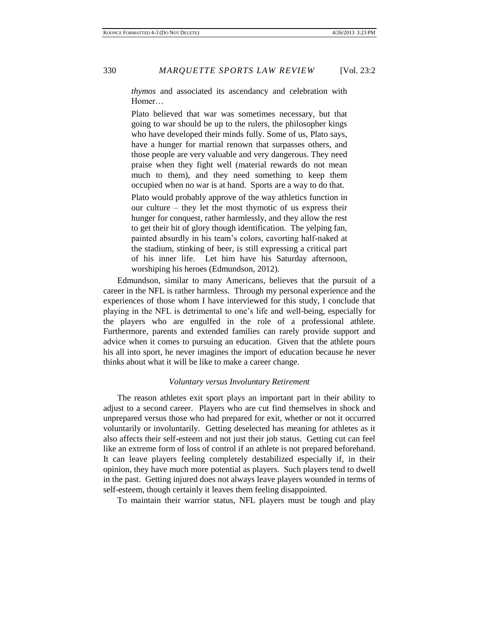*thymos* and associated its ascendancy and celebration with Homer…

Plato believed that war was sometimes necessary, but that going to war should be up to the rulers, the philosopher kings who have developed their minds fully. Some of us, Plato says, have a hunger for martial renown that surpasses others, and those people are very valuable and very dangerous. They need praise when they fight well (material rewards do not mean much to them), and they need something to keep them occupied when no war is at hand. Sports are a way to do that. Plato would probably approve of the way athletics function in our culture – they let the most thymotic of us express their hunger for conquest, rather harmlessly, and they allow the rest to get their hit of glory though identification. The yelping fan, painted absurdly in his team's colors, cavorting half-naked at the stadium, stinking of beer, is still expressing a critical part of his inner life. Let him have his Saturday afternoon, worshiping his heroes (Edmundson, 2012).

Edmundson, similar to many Americans, believes that the pursuit of a career in the NFL is rather harmless. Through my personal experience and the experiences of those whom I have interviewed for this study, I conclude that playing in the NFL is detrimental to one's life and well-being, especially for the players who are engulfed in the role of a professional athlete. Furthermore, parents and extended families can rarely provide support and advice when it comes to pursuing an education. Given that the athlete pours his all into sport, he never imagines the import of education because he never thinks about what it will be like to make a career change.

# *Voluntary versus Involuntary Retirement*

The reason athletes exit sport plays an important part in their ability to adjust to a second career. Players who are cut find themselves in shock and unprepared versus those who had prepared for exit, whether or not it occurred voluntarily or involuntarily. Getting deselected has meaning for athletes as it also affects their self-esteem and not just their job status. Getting cut can feel like an extreme form of loss of control if an athlete is not prepared beforehand. It can leave players feeling completely destabilized especially if, in their opinion, they have much more potential as players. Such players tend to dwell in the past. Getting injured does not always leave players wounded in terms of self-esteem, though certainly it leaves them feeling disappointed.

To maintain their warrior status, NFL players must be tough and play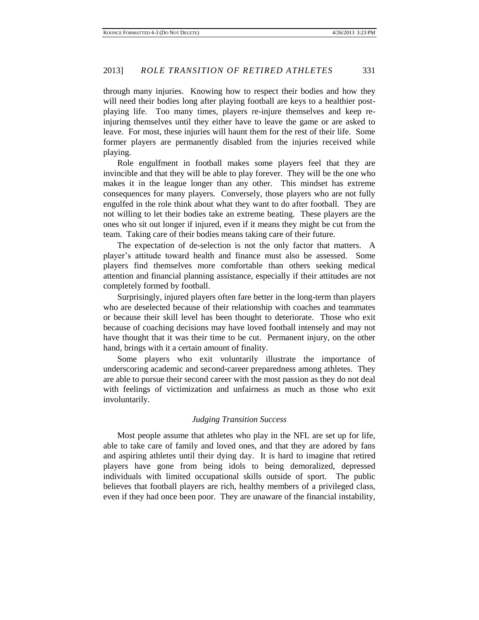through many injuries. Knowing how to respect their bodies and how they will need their bodies long after playing football are keys to a healthier postplaying life. Too many times, players re-injure themselves and keep reinjuring themselves until they either have to leave the game or are asked to leave. For most, these injuries will haunt them for the rest of their life. Some former players are permanently disabled from the injuries received while playing.

Role engulfment in football makes some players feel that they are invincible and that they will be able to play forever. They will be the one who makes it in the league longer than any other. This mindset has extreme consequences for many players. Conversely, those players who are not fully engulfed in the role think about what they want to do after football. They are not willing to let their bodies take an extreme beating. These players are the ones who sit out longer if injured, even if it means they might be cut from the team. Taking care of their bodies means taking care of their future.

The expectation of de-selection is not the only factor that matters. A player's attitude toward health and finance must also be assessed. Some players find themselves more comfortable than others seeking medical attention and financial planning assistance, especially if their attitudes are not completely formed by football.

Surprisingly, injured players often fare better in the long-term than players who are deselected because of their relationship with coaches and teammates or because their skill level has been thought to deteriorate. Those who exit because of coaching decisions may have loved football intensely and may not have thought that it was their time to be cut. Permanent injury, on the other hand, brings with it a certain amount of finality.

Some players who exit voluntarily illustrate the importance of underscoring academic and second-career preparedness among athletes. They are able to pursue their second career with the most passion as they do not deal with feelings of victimization and unfairness as much as those who exit involuntarily.

### *Judging Transition Success*

Most people assume that athletes who play in the NFL are set up for life, able to take care of family and loved ones, and that they are adored by fans and aspiring athletes until their dying day. It is hard to imagine that retired players have gone from being idols to being demoralized, depressed individuals with limited occupational skills outside of sport. The public believes that football players are rich, healthy members of a privileged class, even if they had once been poor. They are unaware of the financial instability,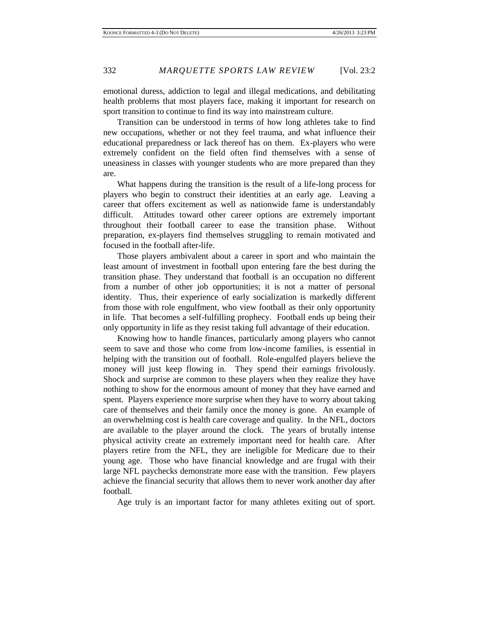emotional duress, addiction to legal and illegal medications, and debilitating health problems that most players face, making it important for research on sport transition to continue to find its way into mainstream culture.

Transition can be understood in terms of how long athletes take to find new occupations, whether or not they feel trauma, and what influence their educational preparedness or lack thereof has on them. Ex-players who were extremely confident on the field often find themselves with a sense of uneasiness in classes with younger students who are more prepared than they are.

What happens during the transition is the result of a life-long process for players who begin to construct their identities at an early age. Leaving a career that offers excitement as well as nationwide fame is understandably difficult. Attitudes toward other career options are extremely important throughout their football career to ease the transition phase. Without preparation, ex-players find themselves struggling to remain motivated and focused in the football after-life.

Those players ambivalent about a career in sport and who maintain the least amount of investment in football upon entering fare the best during the transition phase. They understand that football is an occupation no different from a number of other job opportunities; it is not a matter of personal identity. Thus, their experience of early socialization is markedly different from those with role engulfment, who view football as their only opportunity in life. That becomes a self-fulfilling prophecy. Football ends up being their only opportunity in life as they resist taking full advantage of their education.

Knowing how to handle finances, particularly among players who cannot seem to save and those who come from low-income families, is essential in helping with the transition out of football. Role-engulfed players believe the money will just keep flowing in. They spend their earnings frivolously. Shock and surprise are common to these players when they realize they have nothing to show for the enormous amount of money that they have earned and spent. Players experience more surprise when they have to worry about taking care of themselves and their family once the money is gone. An example of an overwhelming cost is health care coverage and quality. In the NFL, doctors are available to the player around the clock. The years of brutally intense physical activity create an extremely important need for health care. After players retire from the NFL, they are ineligible for Medicare due to their young age. Those who have financial knowledge and are frugal with their large NFL paychecks demonstrate more ease with the transition. Few players achieve the financial security that allows them to never work another day after football.

Age truly is an important factor for many athletes exiting out of sport.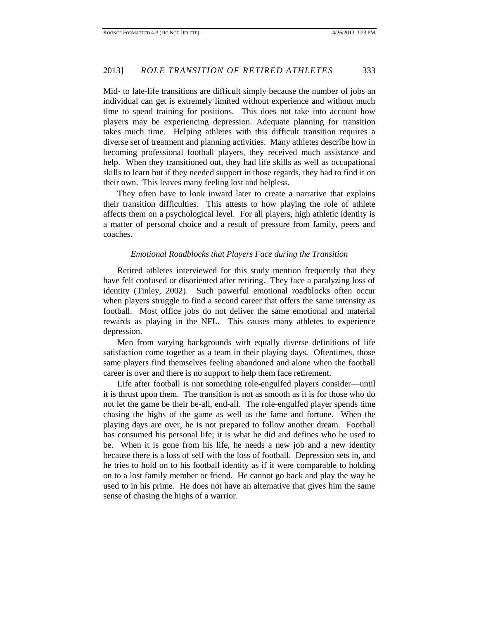Mid- to late-life transitions are difficult simply because the number of jobs an individual can get is extremely limited without experience and without much time to spend training for positions. This does not take into account how players may be experiencing depression. Adequate planning for transition takes much time. Helping athletes with this difficult transition requires a diverse set of treatment and planning activities. Many athletes describe how in becoming professional football players, they received much assistance and help. When they transitioned out, they had life skills as well as occupational skills to learn but if they needed support in those regards, they had to find it on their own. This leaves many feeling lost and helpless.

They often have to look inward later to create a narrative that explains their transition difficulties. This attests to how playing the role of athlete affects them on a psychological level. For all players, high athletic identity is a matter of personal choice and a result of pressure from family, peers and coaches.

### *Emotional Roadblocks that Players Face during the Transition*

Retired athletes interviewed for this study mention frequently that they have felt confused or disoriented after retiring. They face a paralyzing loss of identity (Tinley, 2002). Such powerful emotional roadblocks often occur when players struggle to find a second career that offers the same intensity as football. Most office jobs do not deliver the same emotional and material rewards as playing in the NFL. This causes many athletes to experience depression.

Men from varying backgrounds with equally diverse definitions of life satisfaction come together as a team in their playing days. Oftentimes, those same players find themselves feeling abandoned and alone when the football career is over and there is no support to help them face retirement.

Life after football is not something role-engulfed players consider—until it is thrust upon them. The transition is not as smooth as it is for those who do not let the game be their be-all, end-all. The role-engulfed player spends time chasing the highs of the game as well as the fame and fortune. When the playing days are over, he is not prepared to follow another dream. Football has consumed his personal life; it is what he did and defines who he used to be. When it is gone from his life, he needs a new job and a new identity because there is a loss of self with the loss of football. Depression sets in, and he tries to hold on to his football identity as if it were comparable to holding on to a lost family member or friend. He cannot go back and play the way he used to in his prime. He does not have an alternative that gives him the same sense of chasing the highs of a warrior.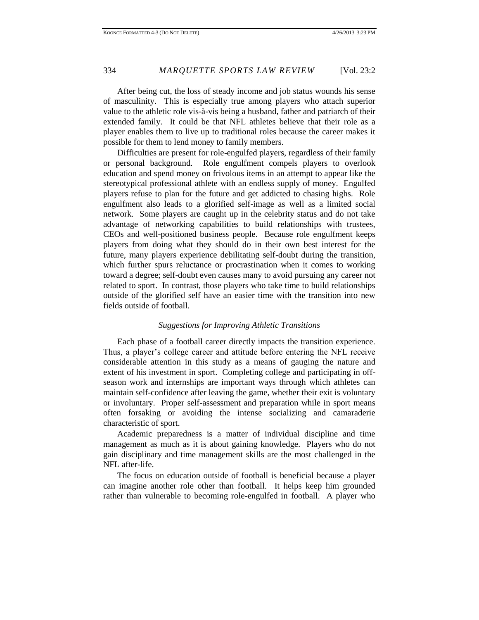After being cut, the loss of steady income and job status wounds his sense of masculinity. This is especially true among players who attach superior value to the athletic role vis-à-vis being a husband, father and patriarch of their extended family. It could be that NFL athletes believe that their role as a player enables them to live up to traditional roles because the career makes it possible for them to lend money to family members.

Difficulties are present for role-engulfed players, regardless of their family or personal background. Role engulfment compels players to overlook education and spend money on frivolous items in an attempt to appear like the stereotypical professional athlete with an endless supply of money. Engulfed players refuse to plan for the future and get addicted to chasing highs. Role engulfment also leads to a glorified self-image as well as a limited social network. Some players are caught up in the celebrity status and do not take advantage of networking capabilities to build relationships with trustees, CEOs and well-positioned business people. Because role engulfment keeps players from doing what they should do in their own best interest for the future, many players experience debilitating self-doubt during the transition, which further spurs reluctance or procrastination when it comes to working toward a degree; self-doubt even causes many to avoid pursuing any career not related to sport. In contrast, those players who take time to build relationships outside of the glorified self have an easier time with the transition into new fields outside of football.

# *Suggestions for Improving Athletic Transitions*

Each phase of a football career directly impacts the transition experience. Thus, a player's college career and attitude before entering the NFL receive considerable attention in this study as a means of gauging the nature and extent of his investment in sport. Completing college and participating in offseason work and internships are important ways through which athletes can maintain self-confidence after leaving the game, whether their exit is voluntary or involuntary. Proper self-assessment and preparation while in sport means often forsaking or avoiding the intense socializing and camaraderie characteristic of sport.

Academic preparedness is a matter of individual discipline and time management as much as it is about gaining knowledge. Players who do not gain disciplinary and time management skills are the most challenged in the NFL after-life.

The focus on education outside of football is beneficial because a player can imagine another role other than football. It helps keep him grounded rather than vulnerable to becoming role-engulfed in football. A player who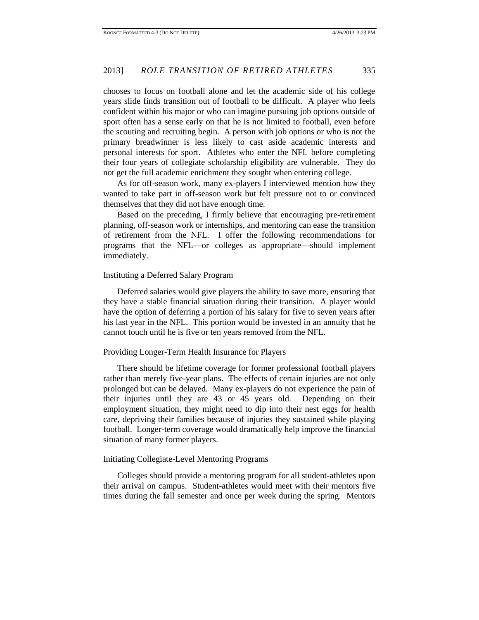chooses to focus on football alone and let the academic side of his college years slide finds transition out of football to be difficult. A player who feels confident within his major or who can imagine pursuing job options outside of sport often has a sense early on that he is not limited to football, even before the scouting and recruiting begin. A person with job options or who is not the primary breadwinner is less likely to cast aside academic interests and personal interests for sport. Athletes who enter the NFL before completing their four years of collegiate scholarship eligibility are vulnerable. They do not get the full academic enrichment they sought when entering college.

As for off-season work, many ex-players I interviewed mention how they wanted to take part in off-season work but felt pressure not to or convinced themselves that they did not have enough time.

Based on the preceding, I firmly believe that encouraging pre-retirement planning, off-season work or internships, and mentoring can ease the transition of retirement from the NFL. I offer the following recommendations for programs that the NFL—or colleges as appropriate—should implement immediately.

### Instituting a Deferred Salary Program

Deferred salaries would give players the ability to save more, ensuring that they have a stable financial situation during their transition. A player would have the option of deferring a portion of his salary for five to seven years after his last year in the NFL. This portion would be invested in an annuity that he cannot touch until he is five or ten years removed from the NFL.

### Providing Longer-Term Health Insurance for Players

There should be lifetime coverage for former professional football players rather than merely five-year plans. The effects of certain injuries are not only prolonged but can be delayed. Many ex-players do not experience the pain of their injuries until they are 43 or 45 years old. Depending on their employment situation, they might need to dip into their nest eggs for health care, depriving their families because of injuries they sustained while playing football. Longer-term coverage would dramatically help improve the financial situation of many former players.

## Initiating Collegiate-Level Mentoring Programs

Colleges should provide a mentoring program for all student-athletes upon their arrival on campus. Student-athletes would meet with their mentors five times during the fall semester and once per week during the spring. Mentors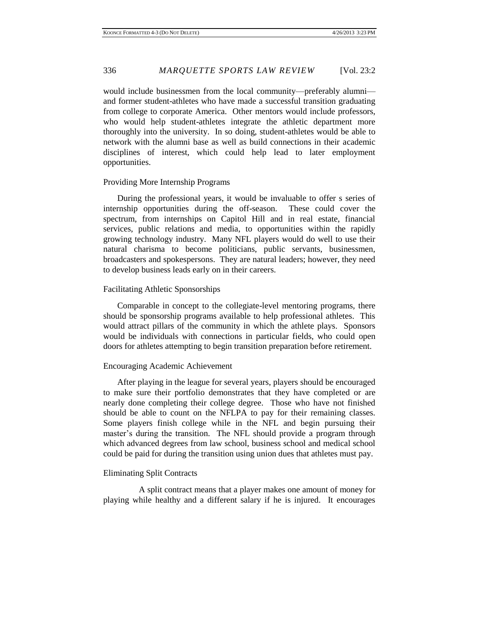would include businessmen from the local community—preferably alumni and former student-athletes who have made a successful transition graduating from college to corporate America. Other mentors would include professors, who would help student-athletes integrate the athletic department more thoroughly into the university. In so doing, student-athletes would be able to network with the alumni base as well as build connections in their academic disciplines of interest, which could help lead to later employment opportunities.

### Providing More Internship Programs

During the professional years, it would be invaluable to offer s series of internship opportunities during the off-season. These could cover the spectrum, from internships on Capitol Hill and in real estate, financial services, public relations and media, to opportunities within the rapidly growing technology industry. Many NFL players would do well to use their natural charisma to become politicians, public servants, businessmen, broadcasters and spokespersons. They are natural leaders; however, they need to develop business leads early on in their careers.

### Facilitating Athletic Sponsorships

Comparable in concept to the collegiate-level mentoring programs, there should be sponsorship programs available to help professional athletes. This would attract pillars of the community in which the athlete plays. Sponsors would be individuals with connections in particular fields, who could open doors for athletes attempting to begin transition preparation before retirement.

# Encouraging Academic Achievement

After playing in the league for several years, players should be encouraged to make sure their portfolio demonstrates that they have completed or are nearly done completing their college degree. Those who have not finished should be able to count on the NFLPA to pay for their remaining classes. Some players finish college while in the NFL and begin pursuing their master's during the transition. The NFL should provide a program through which advanced degrees from law school, business school and medical school could be paid for during the transition using union dues that athletes must pay.

# Eliminating Split Contracts

 A split contract means that a player makes one amount of money for playing while healthy and a different salary if he is injured. It encourages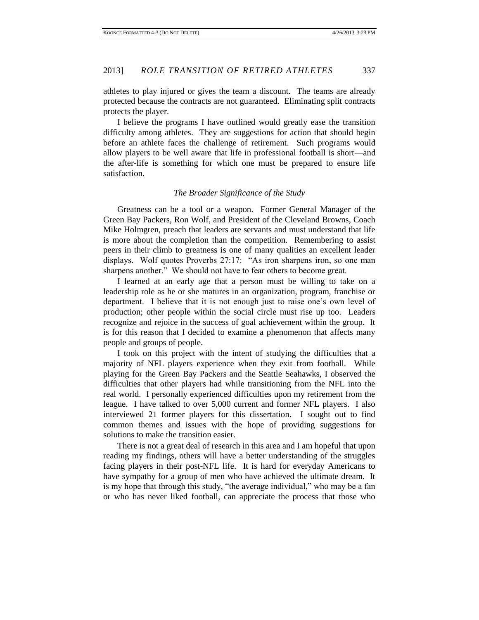athletes to play injured or gives the team a discount. The teams are already protected because the contracts are not guaranteed. Eliminating split contracts protects the player.

I believe the programs I have outlined would greatly ease the transition difficulty among athletes. They are suggestions for action that should begin before an athlete faces the challenge of retirement. Such programs would allow players to be well aware that life in professional football is short—and the after-life is something for which one must be prepared to ensure life satisfaction.

# *The Broader Significance of the Study*

Greatness can be a tool or a weapon. Former General Manager of the Green Bay Packers, Ron Wolf, and President of the Cleveland Browns, Coach Mike Holmgren, preach that leaders are servants and must understand that life is more about the completion than the competition. Remembering to assist peers in their climb to greatness is one of many qualities an excellent leader displays. Wolf quotes Proverbs 27:17: "As iron sharpens iron, so one man sharpens another." We should not have to fear others to become great.

I learned at an early age that a person must be willing to take on a leadership role as he or she matures in an organization, program, franchise or department. I believe that it is not enough just to raise one's own level of production; other people within the social circle must rise up too. Leaders recognize and rejoice in the success of goal achievement within the group. It is for this reason that I decided to examine a phenomenon that affects many people and groups of people.

I took on this project with the intent of studying the difficulties that a majority of NFL players experience when they exit from football. While playing for the Green Bay Packers and the Seattle Seahawks, I observed the difficulties that other players had while transitioning from the NFL into the real world. I personally experienced difficulties upon my retirement from the league. I have talked to over 5,000 current and former NFL players. I also interviewed 21 former players for this dissertation. I sought out to find common themes and issues with the hope of providing suggestions for solutions to make the transition easier.

There is not a great deal of research in this area and I am hopeful that upon reading my findings, others will have a better understanding of the struggles facing players in their post-NFL life. It is hard for everyday Americans to have sympathy for a group of men who have achieved the ultimate dream. It is my hope that through this study, "the average individual," who may be a fan or who has never liked football, can appreciate the process that those who